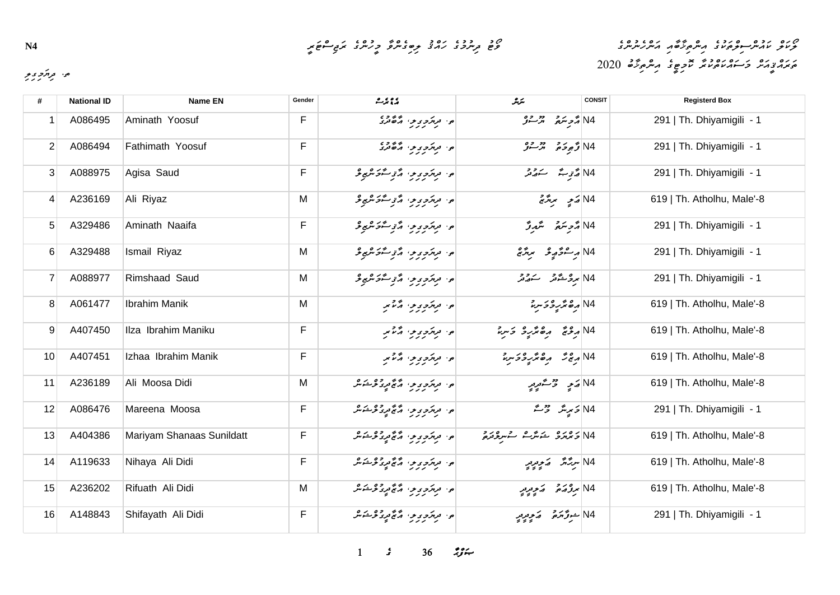*sCw7q7s5w7m< o<n9nOoAw7o< sCq;mAwBoEw7q<m; wBm;vB* م من المرة المرة المرة المرة المرة المرة العربية 2020<br>مجم*د المريض المريض المربع المربع المربع المراجع المراجع ال* 

| می تر <i>مرد د بر</i> |
|-----------------------|
|                       |

| #              | <b>National ID</b> | Name EN                   | Gender      | بروبره                                                | سرپر                                              | <b>CONSIT</b> | <b>Registerd Box</b>       |
|----------------|--------------------|---------------------------|-------------|-------------------------------------------------------|---------------------------------------------------|---------------|----------------------------|
|                | A086495            | Aminath Yoosuf            | F           | ه مرکزد و محمده<br>مسترد و در محمد                    | N4 مُجِسَعَةِ مِنْ مِنْ مِنْ الْمَنْ الْمُنْ مِنْ |               | 291   Th. Dhiyamigili - 1  |
| $\overline{2}$ | A086494            | Fathimath Yoosuf          | F           | و · مرمرد و د · مرکب و ،                              | N4 رُجِ حَمَّ مَنْ مِنْ الْمَنْ مِنْ              |               | 291   Th. Dhiyamigili - 1  |
| 3              | A088975            | Agisa Saud                | $\mathsf F$ | ه مرکز در گروگرگرگر                                   | N4 مَّ توبە مەھەمىر                               |               | 291   Th. Dhiyamigili - 1  |
| 4              | A236169            | Ali Riyaz                 | M           | و · مرکز د د و ارگانی شود می شده و استان می شد.<br> - | N4 کی مرم <i>گی</i> ج                             |               | 619   Th. Atholhu, Male'-8 |
| 5 <sup>5</sup> | A329486            | Aminath Naaifa            | $\mathsf F$ | و· مركزورو، مُتْرِسُّنْ مُعْرِفْ                      | N4 مَّحِسَمَةً سَمَّدِرَّ                         |               | 291   Th. Dhiyamigili - 1  |
| 6              | A329488            | Ismail Riyaz              | M           | و· مرکز در در اگریگر مگر مگر د                        | N4 مر شوتھ پھر مر مریض<br>ا                       |               | 291   Th. Dhiyamigili - 1  |
| $\overline{7}$ | A088977            | Rimshaad Saud             | M           | و· درگرد دو، گازیگاه شورهای د                         | N4 برو شوتر کرد تر                                |               | 291   Th. Dhiyamigili - 1  |
| 8              | A061477            | <b>Ibrahim Manik</b>      | M           | وسير مركز براير المركز من                             | N4 مەھەمگەرى2 <i>قىبدى</i> گە                     |               | 619   Th. Atholhu, Male'-8 |
| 9              | A407450            | Ilza Ibrahim Maniku       | $\mathsf F$ | وسور دور و مارس                                       | N4 مِرْدَةً مِنْ مَرْرِدْ دَسِرْ                  |               | 619   Th. Atholhu, Male'-8 |
| 10             | A407451            | Izhaa Ibrahim Manik       | F           | و مرکز در در انگر                                     | N4 مِعْ شَمْ مِرْهُ مَّرْرِ دْ دَ مَرْتَهْ        |               | 619   Th. Atholhu, Male'-8 |
| 11             | A236189            | Ali Moosa Didi            | M           | ه مرکزد و انگلیزه و مشکل                              | N4 كەير قۇشەربىر                                  |               | 619   Th. Atholhu, Male'-8 |
| 12             | A086476            | Mareena Moosa             | F           | ه ورکودی اگاگاپردوشک                                  | N4 كەبىرىش تۇش                                    |               | 291   Th. Dhiyamigili - 1  |
| 13             | A404386            | Mariyam Shanaas Sunildatt | $\mathsf F$ | و ۰ فرمز و دو به در گروه و مشکل                       | N4 كەمەرە ھەش ھەسەر مەدەرە                        |               | 619   Th. Atholhu, Male'-8 |
| 14             | A119633            | Nihaya Ali Didi           | F           | و · درگرد و د از گاهیده و شکس                         | N4 سربرگر کروبربر                                 |               | 619   Th. Atholhu, Male'-8 |
| 15             | A236202            | Rifuath Ali Didi          | M           | ه ورکوری ایگانی و و شک                                | N4 مر <i>ؤمَة م</i> كوميو                         |               | 619   Th. Atholhu, Male'-8 |
| 16             | A148843            | Shifayath Ali Didi        | $\mathsf F$ | ه · مرمزد و د · مگام مود و شوش                        |                                                   |               | 291   Th. Dhiyamigili - 1  |

*1 s* 36 *i*<sub>Si</sub>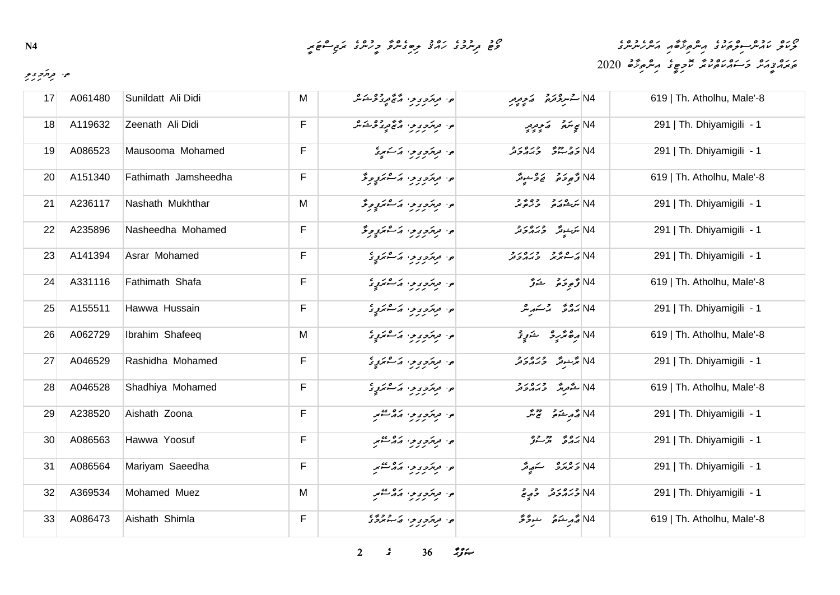*sCw7q7s5w7m< o<n9nOoAw7o< sCq;mAwBoEw7q<m; wBm;vB* م من المرة المرة المرة المرجع المرجع في المركبة 2020<br>مجم*د المريض المربوط المربع المرجع في المراجع المركبة* 

| 17 | A061480 | Sunildatt Ali Didi   | M           | ه ورکوری گیگوروگیش                                               | N4 جسر\$ترة, كەردىر                  | 619   Th. Atholhu, Male'-8 |
|----|---------|----------------------|-------------|------------------------------------------------------------------|--------------------------------------|----------------------------|
| 18 | A119632 | Zeenath Ali Didi     | F           | و · فرمزور و از منظم برد و شکس<br>  و · فرمزور از منظم برد و شکس | N4 پ <i>ڇ سَمَعُ - مَ</i> حِمِيمِ    | 291   Th. Dhiyamigili - 1  |
| 19 | A086523 | Mausooma Mohamed     | F           | ه مرکزد و ارکنودگی                                               | N4 زو دوسر وره دو                    | 291   Th. Dhiyamigili - 1  |
| 20 | A151340 | Fathimath Jamsheedha | F           | ه ويروء والمستعرو و و ا                                          | N4 ۇَمِوَدَةُ كَەرْشِيْتَر           | 619   Th. Atholhu, Male'-8 |
| 21 | A236117 | Nashath Mukhthar     | M           | و· درگرد دو، اگر شمکره و د                                       | N4 سَرَڪ <i>م ۾ حي مُحمد</i>         | 291   Th. Dhiyamigili - 1  |
| 22 | A235896 | Nasheedha Mohamed    | $\mathsf F$ | ه مرکزد و اکسی                                                   | N4 سَرَشِيمَد حَ بَرَ ثَرَ قَرْ      | 291   Th. Dhiyamigili - 1  |
| 23 | A141394 | Asrar Mohamed        | F           | ه ورکودی کا مشترونی                                              | N4 كەشقىر مەردە دە                   | 291   Th. Dhiyamigili - 1  |
| 24 | A331116 | Fathimath Shafa      | $\mathsf F$ | ه مرکزد و اکسیکرد کا                                             | N4 تَرْجِرْحَمْ شَرَرَّ              | 619   Th. Atholhu, Male'-8 |
| 25 | A155511 | Hawwa Hussain        | $\mathsf F$ | والرمزد و والمسترور                                              | N4 بَرْدَةَ بِرْسَمبِ شَرْ           | 291   Th. Dhiyamigili - 1  |
| 26 | A062729 | Ibrahim Shafeeq      | M           | ه · مرکزد و از مشترو د                                           | N4 م <i>وھ مُرْرِ</i> وْ سَوَرٍ تَرَ | 619   Th. Atholhu, Male'-8 |
| 27 | A046529 | Rashidha Mohamed     | F           | ه ويركوبوا مك موري                                               | N4 بَرْسْمِتْر وَبَرْدُوَتْر         | 291   Th. Dhiyamigili - 1  |
| 28 | A046528 | Shadhiya Mohamed     | $\mathsf F$ | ه مرکزد و اکسیکرونی                                              | N4 شَمَعِرِ بَرَ 25 دَمَر 25         | 619   Th. Atholhu, Male'-8 |
| 29 | A238520 | Aishath Zoona        | $\mathsf F$ | ه ويركوبون مكر كم كامل                                           | N4 مەم شىم ئىچ ئىگر                  | 291   Th. Dhiyamigili - 1  |
| 30 | A086563 | Hawwa Yoosuf         | $\mathsf F$ | ه مرکزد و ارو علم                                                | $3 - 3$ $3 - 14$                     | 291   Th. Dhiyamigili - 1  |
| 31 | A086564 | Mariyam Saeedha      | F           | ه و مرکز د د از کشم                                              | N4 كى <i>جەيزى كەمپ</i> وتر          | 291   Th. Dhiyamigili - 1  |
| 32 | A369534 | Mohamed Muez         | M           | ه و مرکز دی از مشیر                                              | N4ج برو د بر ح م پنج                 | 291   Th. Dhiyamigili - 1  |
| 33 | A086473 | Aishath Shimla       | F           | ه ورکوری که جوده                                                 | N4 مَّ مِرْ مَحَمَّةٍ مُ مِوْرَةٌ وَ | 619   Th. Atholhu, Male'-8 |

 $2$   $36$   $36$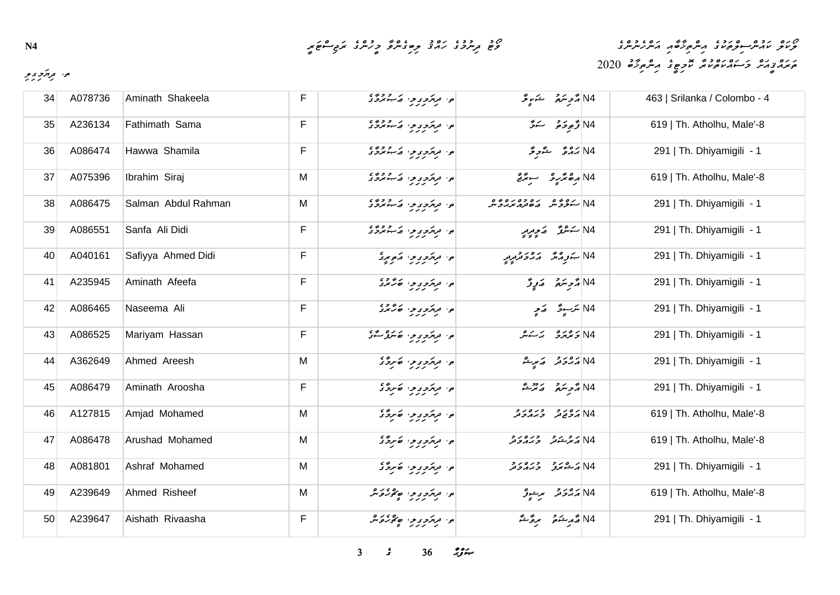*sCw7q7s5w7m< o<n9nOoAw7o< sCq;mAwBoEw7q<m; wBm;vB* م من المرة المرة المرة المرجع المرجع في المركبة 2020<br>مجم*د المريض المربوط المربع المرجع في المراجع المركبة* 

| 34 | A078736 | Aminath Shakeela    | $\mathsf{F}$ | په مرکز د د د کرد د د د د                | N4 مَرْحِ سَمَعٍ مَسَسِمَّةٍ     | 463   Srilanka / Colombo - 4 |
|----|---------|---------------------|--------------|------------------------------------------|----------------------------------|------------------------------|
| 35 | A236134 | Fathimath Sama      | $\mathsf F$  | ه مرکزد و که دوه                         | N4 وَج <i>وح</i> قو سَق          | 619   Th. Atholhu, Male'-8   |
| 36 | A086474 | Hawwa Shamila       | $\mathsf F$  | و • مرمزو و و ، و کرد و و ،              | N4 بَرْدٌمَّ شَّحِرَّ            | 291   Th. Dhiyamigili - 1    |
| 37 | A075396 | Ibrahim Siraj       | M            | و مرکزد و از مسلوده                      | N4 مەھمگەر ئەسىمىسى بىرى         | 619   Th. Atholhu, Male'-8   |
| 38 | A086475 | Salman Abdul Rahman | M            | و • مرکزدرو • که ۱۰۰۰ و ده               | N4 كورۇش مەھ <i>ەرمەدە</i> ش     | 291   Th. Dhiyamigili - 1    |
| 39 | A086551 | Sanfa Ali Didi      | $\mathsf F$  | ه مرکزد د که برده                        | N4 سەئىندۇ ھەمچە يېرىسە          | 291   Th. Dhiyamigili - 1    |
| 40 | A040161 | Safiyya Ahmed Didi  | $\mathsf{F}$ | ه مرکزد دو که ده                         | N4 جَوِړْنَز کەردۇرىيە ب         | 291   Th. Dhiyamigili - 1    |
| 41 | A235945 | Aminath Afeefa      | $\mathsf F$  | ه مرکزد و منظر                           | N4 مَّ <i>حِ سَعَۃ مَ وِ وَّ</i> | 291   Th. Dhiyamigili - 1    |
| 42 | A086465 | Naseema Ali         | $\mathsf{F}$ | و ۰ مرمز و دو ۰ ه شمری                   | N4 سَرَسِرتَ صَعِي               | 291   Th. Dhiyamigili - 1    |
| 43 | A086525 | Mariyam Hassan      | $\mathsf F$  | و· تر پر کو دی که کار میتواند کرد.<br> - | N4 كەنگەر ئەسەئىل                | 291   Th. Dhiyamigili - 1    |
| 44 | A362649 | Ahmed Areesh        | M            | ه مرکزد و کردد                           | N4 كەبرى كى كەمىرىشى <b>/</b>    | 291   Th. Dhiyamigili - 1    |
| 45 | A086479 | Aminath Aroosha     | $\mathsf F$  | ه مرکزد و کرد و                          | N4 مَّحْرِسَمَّةَ مَسَمَّشَّ     | 291   Th. Dhiyamigili - 1    |
| 46 | A127815 | Amjad Mohamed       | M            | ه مرکزد و کردد                           | N4 كەن قەرەر دەرد                | 619   Th. Atholhu, Male'-8   |
| 47 | A086478 | Arushad Mohamed     | M            | ه مرکزد و کرد و                          | N4 كەيمرىشكى ئەمەكە ئىر          | 619   Th. Atholhu, Male'-8   |
| 48 | A081801 | Ashraf Mohamed      | M            | ه مرکزد و کارد د                         | N4 كەشىر <i>قىدە دەر</i>         | 291   Th. Dhiyamigili - 1    |
| 49 | A239649 | Ahmed Risheef       | M            | و · مرکزد و به صلی کرونگر                | N4 كەبرى كىر سىرسىد <i>ۇ</i>     | 619   Th. Atholhu, Male'-8   |
| 50 | A239647 | Aishath Rivaasha    | $\mathsf F$  | ه مرکزد و محرکوکر                        | N4 مَّ مِرْشَعْرِ مَمْرَةٌ شَّهَ | 291   Th. Dhiyamigili - 1    |

**3 36** *<i>f f s*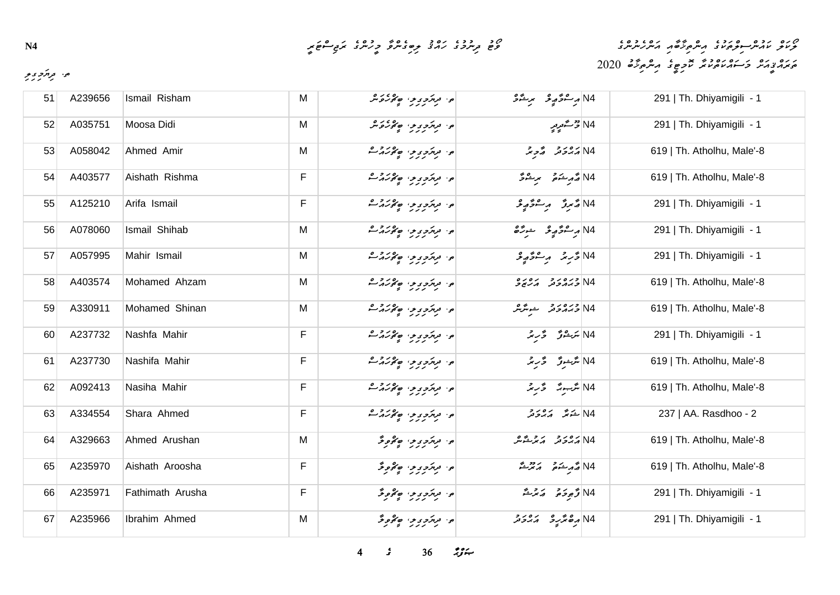*sCw7q7s5w7m< o<n9nOoAw7o< sCq;mAwBoEw7q<m; wBm;vB* م من المرة المرة المرة المرجع المرجع في المركبة 2020<br>مجم*د المريض المربوط المربع المرجع في المراجع المركبة* 

| 51 | A239656 | Ismail Risham    | M            | و· مرمزد و در موفور د شر                        | N4 <sub>م</sub> رےد <i>ۇر</i> ئىم سرىسىگى | 291   Th. Dhiyamigili - 1  |
|----|---------|------------------|--------------|-------------------------------------------------|-------------------------------------------|----------------------------|
| 52 | A035751 | Moosa Didi       | M            | ه مرکزد و محمده ک                               | N4  تخ گے موقع                            | 291   Th. Dhiyamigili - 1  |
| 53 | A058042 | Ahmed Amir       | M            | م مركز در موكرد م                               | N4 كەبرى قىم ئەرىتى                       | 619   Th. Atholhu, Male'-8 |
| 54 | A403577 | Aishath Rishma   | $\mathsf{F}$ | ه مرکز در مگر کرد .<br>مسیر بر بر بر مسیح کرد . | N4 مَەرشەم مرشۇ U4                        | 619   Th. Atholhu, Male'-8 |
| 55 | A125210 | Arifa Ismail     | $\mathsf{F}$ | و · مرکز در در میگرد می در م                    | N4 مَمرت <sub>ِ</sub> مِــْحَمٍ وَ        | 291   Th. Dhiyamigili - 1  |
| 56 | A078060 | Ismail Shihab    | M            | و · مرکز در در میگرد می در م                    | N4 <sub>م</sub> رےد <i>و پو</i> جو شور پھ | 291   Th. Dhiyamigili - 1  |
| 57 | A057995 | Mahir Ismail     | M            | ه مركز و و محرك كرد                             | N4 دَّرِيْرَ بِرِحْدَّثِهِ وَ             | 291   Th. Dhiyamigili - 1  |
| 58 | A403574 | Mohamed Ahzam    | M            | و مرکزد و مهم کرد م                             | $2222$ $2222$ $84$                        | 619   Th. Atholhu, Male'-8 |
| 59 | A330911 | Mohamed Shinan   | M            | ه مركزد و محمد كرد.                             | N4 <i>ڈبز پروت</i> ر ہے۔ش <i>رنگر</i>     | 619   Th. Atholhu, Male'-8 |
| 60 | A237732 | Nashfa Mahir     | F            | ه مرکزد و محمد الله                             | N4 سَرَشْرٌ وَ وَ رِ بَرُ                 | 291   Th. Dhiyamigili - 1  |
| 61 | A237730 | Nashifa Mahir    | F            | ه مرکزه و محمد کرد.<br>مسیر در در محمد کرد      | N4 سَّرَحورٌ _ حَ ۡرِ مِرۡ َ              | 619   Th. Atholhu, Male'-8 |
| 62 | A092413 | Nasiha Mahir     | $\mathsf F$  | ه مرکز در مگر کرد.<br>مسیر در در مسیح           | N4 سَّرَ- وَ مَحَمَدِ مِنْتَرِ مِنْ       | 619   Th. Atholhu, Male'-8 |
| 63 | A334554 | Shara Ahmed      | F            | ه مرکز در مهم کرد .<br>مسیر بر بر مهم کرد       | N4 حَدَيَّر     پروژوگر                   | 237   AA. Rasdhoo - 2      |
| 64 | A329663 | Ahmed Arushan    | M            | و· مرمزد و در موکور گ                           | N4 كەبروتر كەيمرىشەتلر                    | 619   Th. Atholhu, Male'-8 |
| 65 | A235970 | Aishath Aroosha  | $\mathsf F$  | ه مرکزدر و محور                                 | N4 ۾ پرڪتو <b>پريڙڪ</b>                   | 619   Th. Atholhu, Male'-8 |
| 66 | A235971 | Fathimath Arusha | $\mathsf F$  | ه مرکزد و موکوځ                                 | N4 زَّەپ <i>وَدَە مەت</i> رىشە            | 291   Th. Dhiyamigili - 1  |
| 67 | A235966 | Ibrahim Ahmed    | M            | ه مرکزد د میگود                                 | N4 م <i>ِرەْ ئَدَيْرَة مەدەند</i>         | 291   Th. Dhiyamigili - 1  |

*4 s* 36 *i*<sub>Si</sub>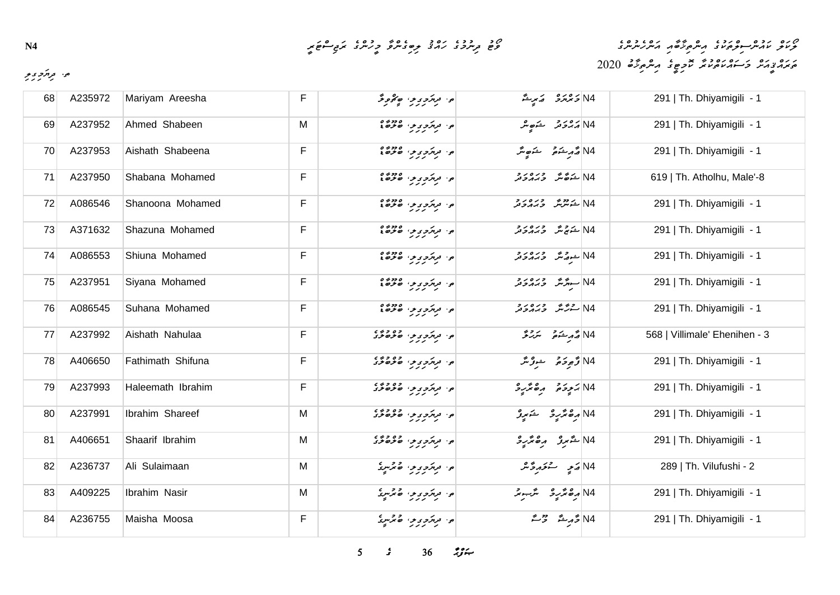*sCw7q7s5w7m< o<n9nOoAw7o< sCq;mAwBoEw7q<m; wBm;vB* م من المرة المرة المرة المرجع المرجع في المركبة 2020<br>مجم*د المريض المربوط المربع المرجع في المراجع المركبة* 

| 68 | A235972 | Mariyam Areesha   | F           | ه مرکزد د میگود                                                                                    | N4 كاجر بهر كالمحرب المريضة<br>المحافظ بين المريضية                                                                    | 291   Th. Dhiyamigili - 1     |
|----|---------|-------------------|-------------|----------------------------------------------------------------------------------------------------|------------------------------------------------------------------------------------------------------------------------|-------------------------------|
| 69 | A237952 | Ahmed Shabeen     | M           | په مرمزد پر در ده ده و<br>  په مرمزد پر در موه و                                                   | N4 كەبرى ئىر ئىستى ئىشتىر بىر ئىستىكى ئىستىك ئىستىك ئىستىك ئىستىك ئىستىك ئىستىك ئىستىك ئىستىك ئىستىك ئىستى             | 291   Th. Dhiyamigili - 1     |
| 70 | A237953 | Aishath Shabeena  | F           | ص مرکز د ور و و و و و<br>  ص مرکز د و سرح و                                                        | N4 مَگرمِشَمَّة مُشَوِّسَّة                                                                                            | 291   Th. Dhiyamigili - 1     |
| 71 | A237950 | Shabana Mohamed   | $\mathsf F$ | <br>  په درمرد د و په ووځ و و                                                                      | N4 خەھ شەر <i>دىنەدە</i> ر                                                                                             | 619   Th. Atholhu, Male'-8    |
| 72 | A086546 | Shanoona Mohamed  | F           | ه مرکزدی موسوده<br>مرکزدی موسوده                                                                   | N4 خەنترىتر ئەبرە ئەر                                                                                                  | 291   Th. Dhiyamigili - 1     |
| 73 | A371632 | Shazuna Mohamed   | F           | ه مرکز دی.<br>مسترد در محمد                                                                        | N4 خەنم شرىق دېر دىر                                                                                                   | 291   Th. Dhiyamigili - 1     |
| 74 | A086553 | Shiuna Mohamed    | F           | ه ۰ مرکز در ۶ در ۱۵ و مرکز و ۹<br>  ۱۰ مرکز در ر                                                   | N4 جوړنگر و <i>ج</i> ې د د                                                                                             | 291   Th. Dhiyamigili - 1     |
| 75 | A237951 | Siyana Mohamed    | $\mathsf F$ | و · مرمز د د به و ده و ه<br>  و · مرمز د بر بر ا                                                   | N4 – پر په دې د د تر                                                                                                   | 291   Th. Dhiyamigili - 1     |
| 76 | A086545 | Suhana Mohamed    | F           | ه ۰ تر پر در ۶ در ۱۵ و مرده و<br>  ۱۰ در مرد ر                                                     | N4 جۇنئر ئ <i>ەزەرە</i>                                                                                                | 291   Th. Dhiyamigili - 1     |
| 77 | A237992 | Aishath Nahulaa   | F           | په مرکز در وه ده ورو د                                                                             | N4 مَگْرِسْتَمْتَرْ سَرَكْتَرْ                                                                                         | 568   Villimale' Ehenihen - 3 |
| 78 | A406650 | Fathimath Shifuna | F           | و مرکز د و و و و د و                                                                               | N4 ۇ <sub>جو</sub> رَمْ شورْسَّر                                                                                       | 291   Th. Dhiyamigili - 1     |
| 79 | A237993 | Haleemath Ibrahim | F           | ه مرکزد و موهود                                                                                    | N4 بَر <sub>ُم</sub> ِرَة مِنْ مِرْسِرَة الله                                                                          | 291   Th. Dhiyamigili - 1     |
| 80 | A237991 | Ibrahim Shareef   | M           | په مرمزد ورسي ده دوه ور                                                                            | N4 مەھەر ئەر ئىكتىر ۋە بىر ئىكتىر ئىكتار ئىكتىر ئىكتار ئىكتار ئىكتار ئىكتار ئىكتار ئىكتار ئىكتار ئىكتار ئىكتا<br>مەنبە | 291   Th. Dhiyamigili - 1     |
| 81 | A406651 | Shaarif Ibrahim   | M           | په مرکز د ده د ده د د د ه<br>  په د کرکړ د سر د ه د ه د د                                          | N4 ڪُمرر رهمگر <sub>ي</sub> و                                                                                          | 291   Th. Dhiyamigili - 1     |
| 82 | A236737 | Ali Sulaimaan     | M           | و· مرمزد و و محسن الله و محسن الله الله مع الله عليه الله مع الله الله عليه الله مع الله عليه الله | N4 كەير سى <i>قەر</i> ۇند                                                                                              | 289   Th. Vilufushi - 2       |
| 83 | A409225 | Ibrahim Nasir     | M           | و· مرکزدرو و محمد پر                                                                               | N4 <sub>م</sub> ەمگەر ئەسىر ئىسىر ئىس                                                                                  | 291   Th. Dhiyamigili - 1     |
| 84 | A236755 | Maisha Moosa      | F           | ه مرکز دی که مرسی                                                                                  | N4 وَمِثَّة وَّتَّ                                                                                                     | 291   Th. Dhiyamigili - 1     |

 $5$   $5$   $36$   $29$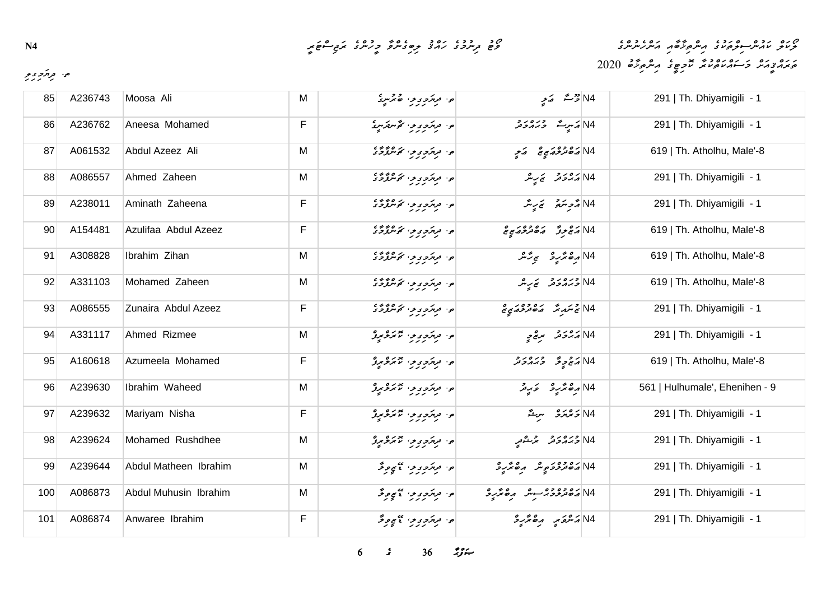*sCw7q7s5w7m< o<n9nOoAw7o< sCq;mAwBoEw7q<m; wBm;vB* م من المرة المرة المرة المرجع المرجع في المركبة 2020<br>مجم*د المريض المربوط المربع المرجع في المراجع المركبة* 

| 85  | A236743 | Moosa Ali             | M           | ه مرکزد و محمد الله محمد الله بالله | N4 چڪ چو                                          | 291   Th. Dhiyamigili - 1      |
|-----|---------|-----------------------|-------------|-------------------------------------|---------------------------------------------------|--------------------------------|
| 86  | A236762 | Aneesa Mohamed        | F           | ه وگردوس گالگریزی                   | N4 كەسرىسى ئەمەكەتر                               | 291   Th. Dhiyamigili - 1      |
| 87  | A061532 | Abdul Azeez Ali       | M           | ه مرکزد و نمسرود                    | N4 <i>جَ هُ تروُ جَ بِي مَ جِ</i>                 | 619   Th. Atholhu, Male'-8     |
| 88  | A086557 | Ahmed Zaheen          | M           | ه مرکزد و نمسرود                    | N4 كەندى كىم ئىچ بەشىر                            | 291   Th. Dhiyamigili - 1      |
| 89  | A238011 | Aminath Zaheena       | $\mathsf F$ | و · مرمزد و به نمی مروری            | N4 مَّ حِ سَمَّةٌ سَمَّ سِنَّر                    | 291   Th. Dhiyamigili - 1      |
| 90  | A154481 | Azulifaa Abdul Azeez  | $\mathsf F$ | ه مرکزد و نمسرود                    | N4 كەنج <i>جوڭ مەھەر جو</i> مىي                   | 619   Th. Atholhu, Male'-8     |
| 91  | A308828 | Ibrahim Zihan         | M           | ه مرکزد و میگیرد د                  | N4 مەھەرىرى بېرتىر                                | 619   Th. Atholhu, Male'-8     |
| 92  | A331103 | Mohamed Zaheen        | M           | ه مرکزد و نکرارده                   | N4 <i>32825 تم</i> ريثر                           | 619   Th. Atholhu, Male'-8     |
| 93  | A086555 | Zunaira Abdul Azeez   | F           | و · مرمزو و به نم مرود و            | N4ج <i>سَمد<sup>ين</sup>گ م</i> ەھى <i>ر دەرى</i> | 291   Th. Dhiyamigili - 1      |
| 94  | A331117 | Ahmed Rizmee          | M           | ه مرکزد و منگورو                    | N4 كەشكەتقى سىرچى <i>چ</i>                        | 291   Th. Dhiyamigili - 1      |
| 95  | A160618 | Azumeela Mohamed      | $\mathsf F$ | ه مرکزد و میکوید                    | N4 كەيم <i>چەڭ مەكتە</i> ر بولىر                  | 619   Th. Atholhu, Male'-8     |
| 96  | A239630 | Ibrahim Waheed        | M           | ه مرکزد و میگوید                    | N4 م <i>وھ مگرچ</i> کا کاپانگر                    | 561   Hulhumale', Ehenihen - 9 |
| 97  | A239632 | Mariyam Nisha         | $\mathsf F$ | ه مرکزد و میکرومرژ                  | N4 كى يوپرى سرىتىگە                               | 291   Th. Dhiyamigili - 1      |
| 98  | A239624 | Mohamed Rushdhee      | M           | و • مرکز در به استروپرو             | N4 <i>3222 برقور برخوب</i> ر                      | 291   Th. Dhiyamigili - 1      |
| 99  | A239644 | Abdul Matheen Ibrahim | M           | ه ورکرد د مېمورگ                    | N4 مَەقىر ئۇ ئومۇر مەھگرىي ئى                     | 291   Th. Dhiyamigili - 1      |
| 100 | A086873 | Abdul Muhusin Ibrahim | M           | و· مرکزدر و المعجم و مح             | N4 مەھىر <i>ۋە جەسىس مەھەر ۋە</i>                 | 291   Th. Dhiyamigili - 1      |
| 101 | A086874 | Anwaree Ibrahim       | $\mathsf F$ | ه مرکزد د په سمج و څ                | N4 كەنگىرىس مەھەر ي <sup>و</sup>                  | 291   Th. Dhiyamigili - 1      |

 $6$   $36$   $29$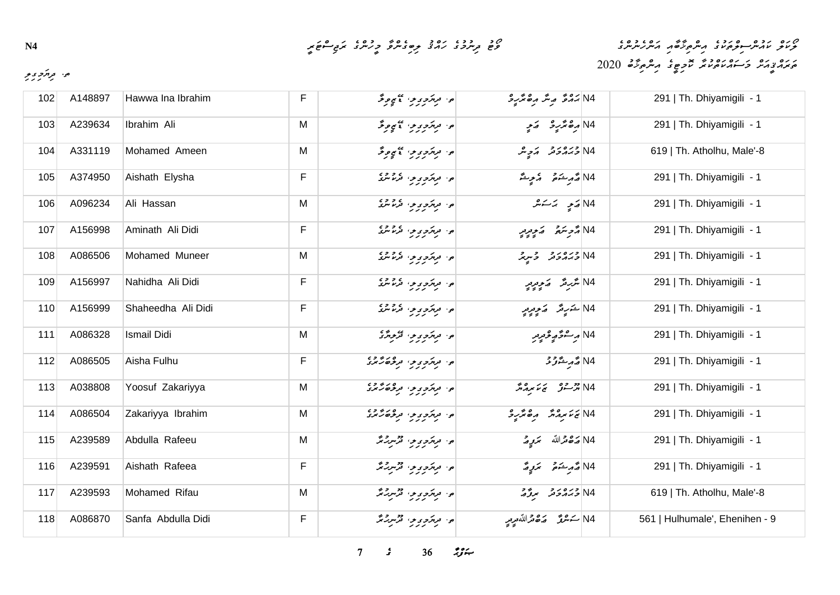*sCw7q7s5w7m< o<n9nOoAw7o< sCq;mAwBoEw7q<m; wBm;vB* م من المرة المرة المرة المرجع المرجع في المركبة 2020<br>مجم*د المريض المربوط المربع المرجع في المراجع المركبة* 

| 102 | A148897 | Hawwa Ina Ibrahim  | F | ه و مرکز در پیمورگ                                               | N4 بَرْدُوَّ مِرْسَر مِرْهُ بَرْرِدْ      | 291   Th. Dhiyamigili - 1      |
|-----|---------|--------------------|---|------------------------------------------------------------------|-------------------------------------------|--------------------------------|
| 103 | A239634 | Ibrahim Ali        | M | ه ورکرد د ځې د ځ                                                 | N4 پ <i>رهنگړی ټ</i> ې                    | 291   Th. Dhiyamigili - 1      |
| 104 | A331119 | Mohamed Ameen      | M | و· مرکزدرو به معجم و د                                           | N4  352,3 كەربىر                          | 619   Th. Atholhu, Male'-8     |
| 105 | A374950 | Aishath Elysha     | F | ه مرکزد و مرکز می                                                | N4 مَرْمِـــْمَعْر كَرْمِيــْدَّ          | 291   Th. Dhiyamigili - 1      |
| 106 | A096234 | Ali Hassan         | M | و و مرکز دی و مرکز مرکز                                          | N4 كەيپ بەس <i>تەنگ</i> ە                 | 291   Th. Dhiyamigili - 1      |
| 107 | A156998 | Aminath Ali Didi   | F | ه · مرکزد و و ، مرکز مرد و                                       | N4 مُتَّحِسَمَةً مَتَّجِبِينِ             | 291   Th. Dhiyamigili - 1      |
| 108 | A086506 | Mohamed Muneer     | M | ه مرکزد و محمد شده                                               | N4   3 <i>2 3 2 3 2 3 2 3 2 3</i>         | 291   Th. Dhiyamigili - 1      |
| 109 | A156997 | Nahidha Ali Didi   | F | و مرکز در مرکز میگیرد و م                                        | N4 مَرْرِمَّر   مَرْمِدِيرِ               | 291   Th. Dhiyamigili - 1      |
| 110 | A156999 | Shaheedha Ali Didi | F | ه ويردووه ودوه                                                   | N4 شَمَرٍ <i>مَدَّ مَ</i> حِمِّدِ بِرِ    | 291   Th. Dhiyamigili - 1      |
| 111 | A086328 | <b>Ismail Didi</b> | M | ه مرکزد د تروگه                                                  | N4 <sub>مر</sub> شۇ <sub>مو</sub> ۋىرىر   | 291   Th. Dhiyamigili - 1      |
| 112 | A086505 | Aisha Fulhu        | F | ه مرکزدی مرکزه ده<br>مسترکز در مرکزه کرده                        | N4 <sub>مەمش</sub> ور                     | 291   Th. Dhiyamigili - 1      |
| 113 | A038808 | Yoosuf Zakariyya   | M | په مرکز در د وروسر د د د<br>  په مرکز د در مرکز د د د            | N4 ترجو تم معده محمد                      | 291   Th. Dhiyamigili - 1      |
| 114 | A086504 | Zakariyya Ibrahim  | M | په مرکز در د بروه <i>زېږ</i><br>  په د کرکړ د مرکز <i>په د</i> ې | N4ج <i>مَع بِرو مَنْ</i> مِنْ مُرْسِرْ وَ | 291   Th. Dhiyamigili - 1      |
| 115 | A239589 | Abdulla Rafeeu     | M | و ا مریز در دی از مریکریمگر                                      | N4 رَصْحَرْاللَّهُ تَحْرَمِهِ 2⁄          | 291   Th. Dhiyamigili - 1      |
| 116 | A239591 | Aishath Rafeea     | F | و· مریز دیدو، فرسر محمد                                          | N4 مَەرشەق ىم <i>زى</i> م                 | 291   Th. Dhiyamigili - 1      |
| 117 | A239593 | Mohamed Rifau      | M | و· مریز دیدو، فرسر محمد                                          | N4 دېرورو بروگ                            | 619   Th. Atholhu, Male'-8     |
| 118 | A086870 | Sanfa Abdulla Didi | F | و ا مریز در در مریز میگردیم.                                     | N4 كەشرىز كەھەراللەمپرىير                 | 561   Hulhumale', Ehenihen - 9 |

*7 sC 36 nNw?mS*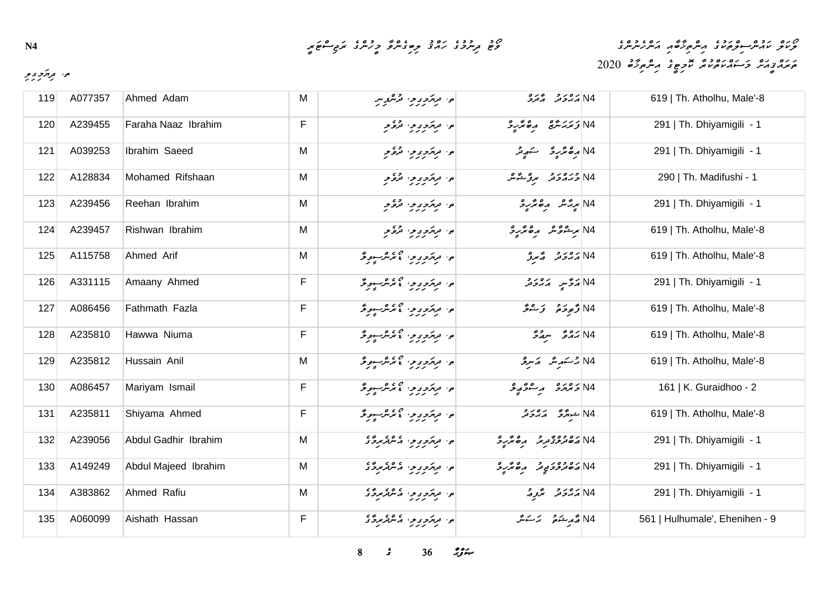*sCw7q7s5w7m< o<n9nOoAw7o< sCq;mAwBoEw7q<m; wBm;vB* م من المرة المرة المرة المرجع المرجع في المركبة 2020<br>مجم*د المريض المربوط المربع المرجع في المراجع المركبة* 

| 119 | A077357 | Ahmed Adam           | M | ء • مریز دیرو، فرنگرمبر                         | N4 كەبرى قرىم ئەرە                      | 619   Th. Atholhu, Male'-8     |
|-----|---------|----------------------|---|-------------------------------------------------|-----------------------------------------|--------------------------------|
| 120 | A239455 | Faraha Naaz Ibrahim  | F | و مرکزدی میگر                                   | N4 زَىَرَىَدَىدَّى مِنْ مِرْدِدْ        | 291   Th. Dhiyamigili - 1      |
| 121 | A039253 | Ibrahim Saeed        | M | و ا مریز در در مرگز در                          | N4 مەھەر ئەر سىمبەر                     | 291   Th. Dhiyamigili - 1      |
| 122 | A128834 | Mohamed Rifshaan     | M | و· مرکزورو، مروکو                               | N4جەم دىرىم ئىرى ئىگەنگە                | 290   Th. Madifushi - 1        |
| 123 | A239456 | Reehan Ibrahim       | M | ه ويروروا فرومي                                 | N4 برِیَّ شَر مِرصَّرَ رِحْ             | 291   Th. Dhiyamigili - 1      |
| 124 | A239457 | Rishwan Ibrahim      | M | ه مرکزده مگور                                   | N4 ىرىشۇ ئىر مەھگەر ئى                  | 619   Th. Atholhu, Male'-8     |
| 125 | A115758 | Ahmed Arif           | M | ه مرکزدی کا مرکز ده د                           | N4 كەش <sup>ى</sup> رىق گەنىرى          | 619   Th. Atholhu, Male'-8     |
| 126 | A331115 | Amaany Ahmed         | F | ه مرکزدی کا مرکز ده د                           | N4 كەڭ س <sub>ىر</sub> كەبرى قىر        | 291   Th. Dhiyamigili - 1      |
| 127 | A086456 | Fathmath Fazla       | F | ه مهرد دو گی م                                  | N4 تَ <i>حِوِحَ</i> هُمَ تَرَ يَحْتَمَّ | 619   Th. Atholhu, Male'-8     |
| 128 | A235810 | Hawwa Niuma          | F | د مرکزدی د می کرد.<br>  د مرکز در می کارگرموی د | $52 - 52$ $\sim$ N4                     | 619   Th. Atholhu, Male'-8     |
| 129 | A235812 | Hussain Anil         | M | د مرکزدی د می گرمرسور مح                        | N4 يُرْسَمْ مِيْتَ مَرْسِرْ \$          | 619   Th. Atholhu, Male'-8     |
| 130 | A086457 | Mariyam Ismail       | F | ه مرکزده په کې کرسو د گر                        | N4ج بروج - مرشو <i>گرو</i> یژ           | 161   K. Guraidhoo - 2         |
| 131 | A235811 | Shiyama Ahmed        | F | د مرکزدی د اولاد مرکز بروگر                     | N4 شەنگە كەنگە <i>قىل</i>               | 619   Th. Atholhu, Male'-8     |
| 132 | A239056 | Abdul Gadhir Ibrahim | M | و • مرکزدی و امریز مردمی                        | N4 مَەقىرىق تىرىم مەھەرىپ               | 291   Th. Dhiyamigili - 1      |
| 133 | A149249 | Abdul Majeed Ibrahim | M | و • مرکزدرو • مرکز مرکز                         | N4 مَ <i>ھوجو حي قر</i> مِنھ مَرْرِ ح   | 291   Th. Dhiyamigili - 1      |
| 134 | A383862 | Ahmed Rafiu          | M | ه مرکزدی که شرکترنده                            | N4 كەش <sup>ى</sup> تىر مىگە بورگە      | 291   Th. Dhiyamigili - 1      |
| 135 | A060099 | Aishath Hassan       | F | ه مرکز دی کمیگر کرد و                           | N4 مەمرىش <i>ەھ بىرىكى</i> ر            | 561   Hulhumale', Ehenihen - 9 |

## *oBoCo>mIo@ .A*

**8** *s* **36** *n***<sub>y</sub> <b>***n*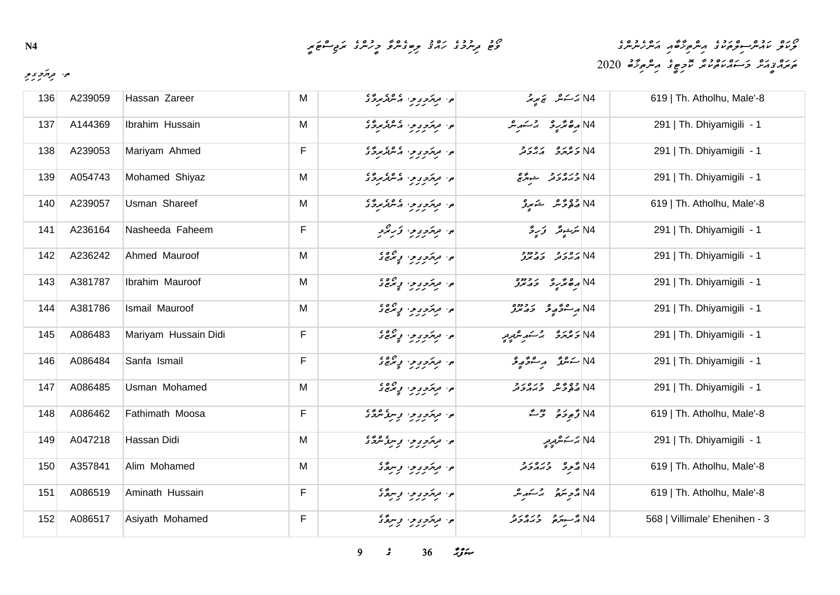*sCw7q7s5w7m< o<n9nOoAw7o< sCq;mAwBoEw7q<m; wBm;vB* م من المرة المرة المرة المرجع المرجع في المركبة 2020<br>مجم*د المريض المربوط المربع المرجع في المراجع المركبة* 

| 136 | A239059 | Hassan Zareer        | M            | و · مرکز د د مرکز مرکز د                   | N4   پرسترېنز   پېړمتر                                 | 619   Th. Atholhu, Male'-8    |
|-----|---------|----------------------|--------------|--------------------------------------------|--------------------------------------------------------|-------------------------------|
| 137 | A144369 | Ibrahim Hussain      | M            | د مرکزدی که مرکز مرکز                      | N4 مەھەرىپى جەسەمبىر                                   | 291   Th. Dhiyamigili - 1     |
| 138 | A239053 | Mariyam Ahmed        | F            | و • مرکزد و و امرکزمرد و ه                 | N4 كەيمەرە كەبرەر د                                    | 291   Th. Dhiyamigili - 1     |
| 139 | A054743 | Mohamed Shiyaz       | M            | ه مرکزدی استربردی                          | N4 <i>32825 شوپر چ</i>                                 | 291   Th. Dhiyamigili - 1     |
| 140 | A239057 | Usman Shareef        | M            | و مرکزد و مرکز مرکز                        | N4 ۾ <i>۾ وُڱ شميرو</i>                                | 619   Th. Atholhu, Male'-8    |
| 141 | A236164 | Nasheeda Faheem      | $\mathsf{F}$ | ه ويروء والمرتزو                           | N4 سَرَحدٍ مَدَّرٍ وَ رِحْ                             | 291   Th. Dhiyamigili - 1     |
| 142 | A236242 | Ahmed Mauroof        | M            | ه ويترورو ويرجى                            | N4 كەبرو كەمدى                                         | 291   Th. Dhiyamigili - 1     |
| 143 | A381787 | Ibrahim Mauroof      | M            | والمتعرض والمعالج والمنتجاني               | N4 مەھەرىرى بەدە 1945                                  | 291   Th. Dhiyamigili - 1     |
| 144 | A381786 | Ismail Mauroof       | M            | ه مرکز ده و ده                             | N4 مِـــْمَرَّمْ وَمَسْرَرْ                            | 291   Th. Dhiyamigili - 1     |
| 145 | A086483 | Mariyam Hussain Didi | F            | و مرکز دو، و روه و                         | N4  <i>5 پر<sub>ە</sub>برۇ ب<sub>ە</sub>شىر بۇيدىر</i> | 291   Th. Dhiyamigili - 1     |
| 146 | A086484 | Sanfa Ismail         | $\mathsf F$  | ه ورکورو و پره                             | N4 سَمَعْدٌ مِسْعَوَّمِهِ مِحْ                         | 291   Th. Dhiyamigili - 1     |
| 147 | A086485 | Usman Mohamed        | M            | و مرکز در ویره و                           | N4 مەۋرىس دىرەرد                                       | 291   Th. Dhiyamigili - 1     |
| 148 | A086462 | Fathimath Moosa      | $\mathsf F$  | ه مرکزدی و سرگاه گاه                       | N4 رَّجِ دَحَمَّةَ مَحْتَّةً                           | 619   Th. Atholhu, Male'-8    |
| 149 | A047218 | Hassan Didi          | M            | و· ترمزد و و به و مرد مرد و و و و ا        | N4 كەسكەنگەيرى <i>ر</i>                                | 291   Th. Dhiyamigili - 1     |
| 150 | A357841 | Alim Mohamed         | M            | ه مرکزد د و سرگاه                          | N4 مَّعِرْ حَمَدَ اللهِ عَ                             | 619   Th. Atholhu, Male'-8    |
| 151 | A086519 | Aminath Hussain      | F            | ه مرکزد د و سرگاه                          | N4 مَّ حِ سَمَّ مِنْ سَمَّ مِسْرِ مِسْر                | 619   Th. Atholhu, Male'-8    |
| 152 | A086517 | Asiyath Mohamed      | F            | و· مرکز درو و سرگاه<br>  د سرگر در در مرکز | N4 جُرِ مِيرَ حَ بِرُ مِرْ وَ بِرَ مِ                  | 568   Villimale' Ehenihen - 3 |

*9 s* 36 *i*<sub>Si</sub>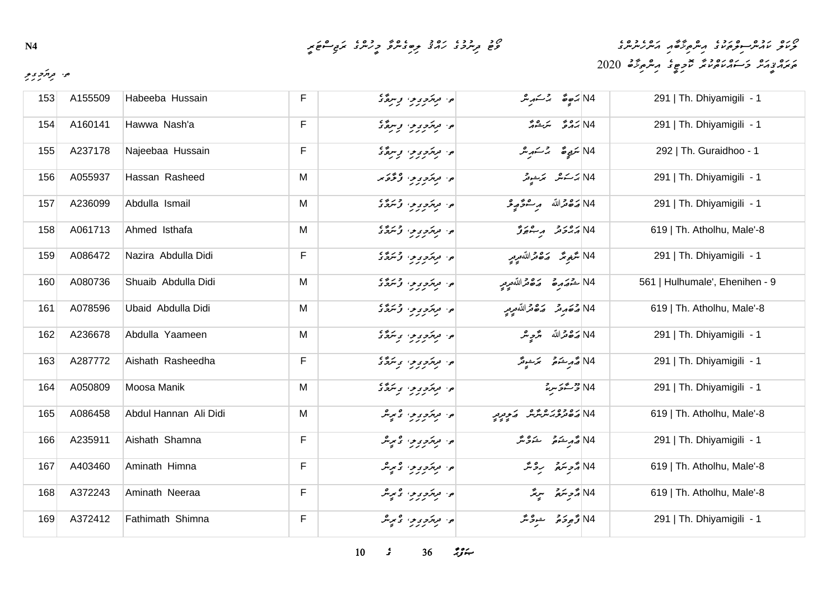*sCw7q7s5w7m< o<n9nOoAw7o< sCq;mAwBoEw7q<m; wBm;vB* م من المرة المرة المرة المرجع المرجع في المركبة 2020<br>مجم*د المريض المربوط المربع المرجع في المراجع المركبة* 

| 153 | A155509 | Habeeba Hussain       | F            | اء مرکزد دی وسره د                            | N4 كەھەتقە كەسكەر بىر                                    | 291   Th. Dhiyamigili - 1      |
|-----|---------|-----------------------|--------------|-----------------------------------------------|----------------------------------------------------------|--------------------------------|
| 154 | A160141 | Hawwa Nash'a          | $\mathsf F$  | ه مرکزد و د مرگز                              | N4 بَرْدُوَّ سَرَشْرُدَّ                                 | 291   Th. Dhiyamigili - 1      |
| 155 | A237178 | Najeebaa Hussain      | $\mathsf F$  | ه مرکزد د و سرگاه                             | N4 سَمِعٍ صَلَّى مِرْسَمَ مِرْسَر                        | 292   Th. Guraidhoo - 1        |
| 156 | A055937 | Hassan Rasheed        | M            | والمتراد ويروا المحتفظ المحرور المحتفظ المعدد | N4 بَرَسَة مَثَّرَ مِيَشْوِيْرُ                          | 291   Th. Dhiyamigili - 1      |
| 157 | A236099 | Abdulla Ismail        | M            | ه مرکزد و او مرکز                             | N4 كەھىراللە م <i>ې</i> شە <i>گەپ</i> ۇ                  | 291   Th. Dhiyamigili - 1      |
| 158 | A061713 | Ahmed Isthafa         | M            | ه مرکزد د و کرد و                             | N4 كەبروتر بەسب <i>وق</i>                                | 619   Th. Atholhu, Male'-8     |
| 159 | A086472 | Nazira Abdulla Didi   | $\mathsf F$  | ه مرکزد و و کرده                              | N4 سَّمْعِ سَرَ مَدَّةَ اللَّهُ مِرْمَدٍ                 | 291   Th. Dhiyamigili - 1      |
| 160 | A080736 | Shuaib Abdulla Didi   | M            | ه مرکزد و و مرکز                              | N4 ش <i>ەمەم ھەھەر</i> اللەمپەير                         | 561   Hulhumale', Ehenihen - 9 |
| 161 | A078596 | Ubaid Abdulla Didi    | M            | والمركز والمروج المركزة والمركزة              | N4 صُصَمِرٍ مَرْ صَحْرَاللَّهُ مِرِمِرِ                  | 619   Th. Atholhu, Male'-8     |
| 162 | A236678 | Abdulla Yaameen       | M            | ه مرکزد و رنگه                                | N4 كەھەراللە م <i>ۇرم</i> ىر                             | 291   Th. Dhiyamigili - 1      |
| 163 | A287772 | Aishath Rasheedha     | $\mathsf F$  | ه مرکزد و استروی                              | N4 مَ <i>ذہب مَشَمَّۃ مَدَ</i> شِی <i>دَّ</i>            | 291   Th. Dhiyamigili - 1      |
| 164 | A050809 | Moosa Manik           | M            | ه مرکزد د استرگ                               | N4 تۇشەيخ س <sub>ىرىم</sub>                              | 291   Th. Dhiyamigili - 1      |
| 165 | A086458 | Abdul Hannan Ali Didi | M            | ه ويركوبون وميش                               | N4 كەھەردە ئەرگە ئەربىرىر<br>N4 كەھەر <i>ۈب ئارىقى</i> ر | 619   Th. Atholhu, Male'-8     |
| 166 | A235911 | Aishath Shamna        | $\mathsf F$  | ه ويركوبون ومريثه                             | N4 مَ <i>ذْمِرْ حَمَّةً حَدَّدْ مَّرَّ</i>               | 291   Th. Dhiyamigili - 1      |
| 167 | A403460 | Aminath Himna         | $\mathsf{F}$ | ه ويركز ديو و برنگر                           | N4 مَّحِسَمَ بِ9سَّ                                      | 619   Th. Atholhu, Male'-8     |
| 168 | A372243 | Aminath Neeraa        | F            | ه ويرکوري ويږمر                               | N4 مَّحِسَمَ سِبَّر                                      | 619   Th. Atholhu, Male'-8     |
| 169 | A372412 | Fathimath Shimna      | $\mathsf F$  | ه مرکزده و تور                                | N4 <i>وَّج</i> وحَمَّ صَوَّحَسَّ                         | 291   Th. Dhiyamigili - 1      |

 $10$  *s* 36  $23$   $\div$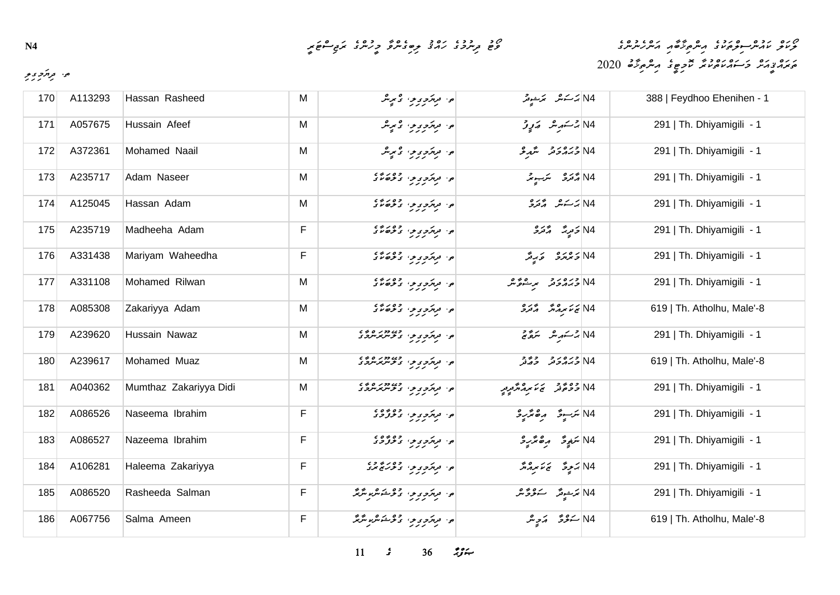*sCw7q7s5w7m< o<n9nOoAw7o< sCq;mAwBoEw7q<m; wBm;vB* م من المرة المرة المرة المرجع المرجع في المركبة 2020<br>مجم*د المريض المربوط المربع المرجع في المراجع المركبة* 

| 170 | A113293 | Hassan Rasheed         | M           | ء <sub>ُ</sub> مرکز <sub>کر ک</sub> ر و مریگر               | N4 كەسكەنلەر كەش <u>ە</u> مىر                                                                                                                                                                                          | 388   Feydhoo Ehenihen - 1 |
|-----|---------|------------------------|-------------|-------------------------------------------------------------|------------------------------------------------------------------------------------------------------------------------------------------------------------------------------------------------------------------------|----------------------------|
| 171 | A057675 | Hussain Afeef          | M           | ه ورکرد د کامیګر                                            | N4 پر <i>شهر شهروژ</i>                                                                                                                                                                                                 | 291   Th. Dhiyamigili - 1  |
| 172 | A372361 | Mohamed Naail          | M           | و· مرکزدرو و محمد علی می                                    | N4 \$ <i>بَرْدٌ \$ بَرْمَدِ \$</i>                                                                                                                                                                                     | 291   Th. Dhiyamigili - 1  |
| 173 | A235717 | Adam Naseer            | M           |                                                             | N4 مُرْمَرْدْ سَرَسِوِيْرْ                                                                                                                                                                                             | 291   Th. Dhiyamigili - 1  |
| 174 | A125045 | Hassan Adam            | M           | ه مرکزد و ده ده                                             | N4 پَرسَسْ گَرَمَرْدُ                                                                                                                                                                                                  | 291   Th. Dhiyamigili - 1  |
| 175 | A235719 | Madheeha Adam          | $\mathsf F$ | ه مرکزد و دورو .<br>مسترکز و دوه کار                        | N4 ك <sup>و</sup> ميدً مُرتمدًى                                                                                                                                                                                        | 291   Th. Dhiyamigili - 1  |
| 176 | A331438 | Mariyam Waheedha       | F           | ه مرکزدی و دوره ده<br>د مرکزدی کوه ن                        | N4 كا <i>كاروندى كەب</i> وتگر                                                                                                                                                                                          | 291   Th. Dhiyamigili - 1  |
| 177 | A331108 | Mohamed Rilwan         | M           |                                                             | N4 32025 مرت وحمد المحمد السير السير بين السير السير السير السير السير السير السير السير السير السير<br>مستقبل السير السير السير السير السير السير السير السير السير السير السير السير السير السير السير السير السير ا | 291   Th. Dhiyamigili - 1  |
| 178 | A085308 | Zakariyya Adam         | M           | په مرمزد د ده ده ده د د پا                                  |                                                                                                                                                                                                                        | 619   Th. Atholhu, Male'-8 |
| 179 | A239620 | Hussain Nawaz          | M           | ه مرکزد و در ۲۵ در ۲۵ و د                                   | N4 پر کے مرب <i>ق مربق ت</i> ح                                                                                                                                                                                         | 291   Th. Dhiyamigili - 1  |
| 180 | A239617 | Mohamed Muaz           | M           | ه مرکز دی.<br>۱۶ مرکز دی د دسترس                            | N4ج بروبر و و دور                                                                                                                                                                                                      | 619   Th. Atholhu, Male'-8 |
| 181 | A040362 | Mumthaz Zakariyya Didi | M           | ه مرکزد و د استاده در ۲۵ و و د                              | N4 جۇھۇنىر تە <i>مەيرە مۇمو</i> پر                                                                                                                                                                                     | 291   Th. Dhiyamigili - 1  |
| 182 | A086526 | Naseema Ibrahim        | $\mathsf F$ | و · مرکز در و و و و و و و و                                 | N4 سَرَسودَ مِن صَحَّرِيدَ                                                                                                                                                                                             | 291   Th. Dhiyamigili - 1  |
| 183 | A086527 | Nazeema Ibrahim        | F           | په مرکز د ده وه وه وه<br>  په مرکز د روسته د کارونو         | N4 سَمِرٍ حَسَّ مِنْ مِنْ اللَّهِ عَنْ اللَّهِ مِنْ الْمَدَّوِرِ حَسَّى اللَّهِ مِنْ الْمَدَّةِ مِنْ                                                                                                                   | 291   Th. Dhiyamigili - 1  |
| 184 | A106281 | Haleema Zakariyya      | $\mathsf F$ | په د مرکز د ده د ورو د و ه<br>  په د مرکز د د د کار کار و ه | N4 بَرْجِرةً بِمَ <i>مَدِهْ مَّ</i> ر                                                                                                                                                                                  | 291   Th. Dhiyamigili - 1  |
| 185 | A086520 | Rasheeda Salman        | F           | و · فرمزور و از و و شرما مریز میگذارید.<br> -               | N4 <del>مَرْ</del> شِينَر سَوْدَّشْ                                                                                                                                                                                    | 291   Th. Dhiyamigili - 1  |
| 186 | A067756 | Salma Ameen            | F           | ه مرکزدر و دوستمبر گنگ                                      | N4  سَتَوْتَى كَمَ <i>جِينْر</i>                                                                                                                                                                                       | 619   Th. Atholhu, Male'-8 |

 $11$  *s* 36  $23$   $\div$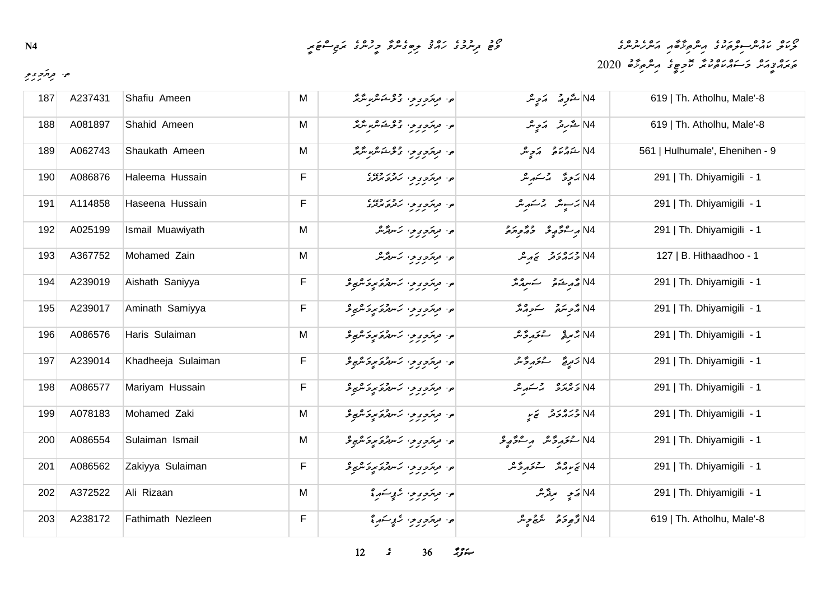*sCw7q7s5w7m< o<n9nOoAw7o< sCq;mAwBoEw7q<m; wBm;vB* م من المرة المرة المرة المرجع المرجع في المركبة 2020<br>مجم*د المريض المربوط المربع المرجع في المراجع المركبة* 

| 187 | A237431 | Shafiu Ameen       | M            | و او مرکز دی د و و شکر مرکز میگرد       | N4 ڪ <i>ورڏ پڌ</i> ڇيش                | 619   Th. Atholhu, Male'-8     |
|-----|---------|--------------------|--------------|-----------------------------------------|---------------------------------------|--------------------------------|
| 188 | A081897 | Shahid Ameen       | M            | و · فرمزور و ، و و شرمز مربع مربع<br> - | N4 ڪريز ک <i>ے چ</i> ير               | 619   Th. Atholhu, Male'-8     |
| 189 | A062743 | Shaukath Ameen     | M            | ە بەركەبىرە ئىمىشكەر ئىگە               | N4 ڪم <i>م ڏي مڌي</i> ر               | 561   Hulhumale', Ehenihen - 9 |
| 190 | A086876 | Haleema Hussain    | F            | ه و مرکز دی کرد وره و                   | N4  كەچەر ئەسكەر بىر                  | 291   Th. Dhiyamigili - 1      |
| 191 | A114858 | Haseena Hussain    | $\mathsf{F}$ | د ۰ درگرد د و ۰ د د د د د د د د         | N4 كەسپەنتر كەسكە <i>ر نىگ</i> ر      | 291   Th. Dhiyamigili - 1      |
| 192 | A025199 | Ismail Muawiyath   | M            | ه مرکزد و کسیگر                         | N4 مِرْ مُتَرَّمِهِ فَرَ مَعْ مِرْمَ  | 291   Th. Dhiyamigili - 1      |
| 193 | A367752 | Mohamed Zain       | M            | ه مرکزد و کسترگ                         | N4 3222 كوبرمر                        | 127   B. Hithaadhoo - 1        |
| 194 | A239019 | Aishath Saniyya    | F            | ه مرکزدی کسترکیږکرکرک                   | N4 مُەرِ ئىككە سىستىدىگە              | 291   Th. Dhiyamigili - 1      |
| 195 | A239017 | Aminath Samiyya    | F            | ه مرکزد و کسرگرگردگرگر                  | N4 مَّحرِ سَمَعَ مَسَحَرِ مِهْتَر     | 291   Th. Dhiyamigili - 1      |
| 196 | A086576 | Haris Sulaiman     | M            | و· وركزورو، كالموكوكوكركركري            | N4 ئەبرۇ سە <i>خەر</i> ۇپر            | 291   Th. Dhiyamigili - 1      |
| 197 | A239014 | Khadheeja Sulaiman | F            | د. درگرد د د. کاملگرد مرکز ملي د        | N4 زَمَرِيَّ گَمَرَ گُرِدُّ سُ        | 291   Th. Dhiyamigili - 1      |
| 198 | A086577 | Mariyam Hussain    | F            | و مركز و مستركبرد شركز                  | N4 كى ئىرتىر بىر شەر بىر              | 291   Th. Dhiyamigili - 1      |
| 199 | A078183 | Mohamed Zaki       | M            | أوا فرمزو والمستركة المركبة للموالي     | N4ج بروبر و سم سي                     | 291   Th. Dhiyamigili - 1      |
| 200 | A086554 | Sulaiman Ismail    | M            | و مرکز دی کسترکایز کرد کرد              | N4 جۇمۇمىر مەش <i>ۇم</i> بۇ           | 291   Th. Dhiyamigili - 1      |
| 201 | A086562 | Zakiyya Sulaiman   | $\mathsf F$  | و وركوبروا كاروكوبركرمركو               | N4ى <i>زىدە ئىم ئىمرى</i> گىر         | 291   Th. Dhiyamigili - 1      |
| 202 | A372522 | Ali Rizaan         | M            | و ا مرکز در دید عربی عمر ؟              | N4 كەمچە موق <i>رى</i> گر             | 291   Th. Dhiyamigili - 1      |
| 203 | A238172 | Fathimath Nezleen  | F            | ه مرکزد و اگرو شهره                     | N4 رَّ <sub>مِو</sub> حَمَّ شَيْءِ شِ | 619   Th. Atholhu, Male'-8     |

 $12$  *s* 36  $23$   $\div$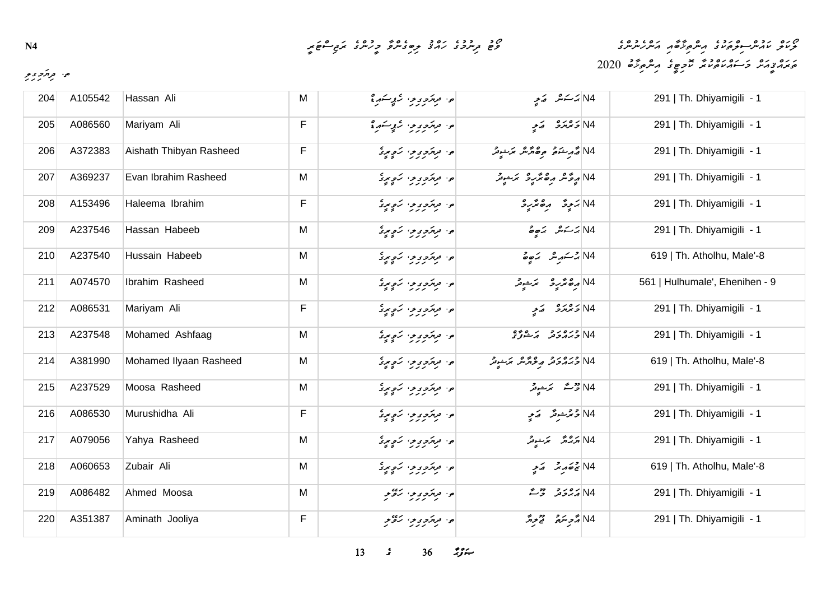*sCw7q7s5w7m< o<n9nOoAw7o< sCq;mAwBoEw7q<m; wBm;vB* م من المرة المرة المرة المرجع المرجع في المركبة 2020<br>مجم*د المريض المربوط المربع المرجع في المراجع المركبة* 

| 204 | A105542 | Hassan Ali              | M            | ه مرکزد و کرد شهره        | N4 ټريکش ک <i>ړې</i>                      | 291   Th. Dhiyamigili - 1      |
|-----|---------|-------------------------|--------------|---------------------------|-------------------------------------------|--------------------------------|
| 205 | A086560 | Mariyam Ali             | F            |                           | N4 كابر <i>مركز في ب</i> ر                | 291   Th. Dhiyamigili - 1      |
| 206 | A372383 | Aishath Thibyan Rasheed | F            | و· مرکز در دو برگویدگی    | N4 مَّ مِـ شَمَعٌ مِ صَبَّرٌ مَرَ شَوْتَر | 291   Th. Dhiyamigili - 1      |
| 207 | A369237 | Evan Ibrahim Rasheed    | M            | و ورکرد و کویږ؟           | N4 <sub>مو</sub> ق مر قرقر تر موقر        | 291   Th. Dhiyamigili - 1      |
| 208 | A153496 | Haleema Ibrahim         | $\mathsf{F}$ | و ا مرکز در دوسره کرد کرد | N4 بَر <sub>ْمٍ</sub> وَّ مِنْ مَرْرِدْ   | 291   Th. Dhiyamigili - 1      |
| 209 | A237546 | Hassan Habeeb           | M            | ه و مرکز در دارد کار      | N4 بَرَسَ <i>مَّتْہ بَرْح</i> دَّةَ       | 291   Th. Dhiyamigili - 1      |
| 210 | A237540 | Hussain Habeeb          | M            | و · مرکز در دو بردگی      | N4 بر مسر شرح برج محد<br>۱۹4 بر مسیر      | 619   Th. Atholhu, Male'-8     |
| 211 | A074570 | Ibrahim Rasheed         | M            | ه ويروروا روبرد           | N4 مەھەرىپە تەرەپەر                       | 561   Hulhumale', Ehenihen - 9 |
| 212 | A086531 | Mariyam Ali             | F            | ه ورکړونو، کوبېږگ         | N4 كانترنى كەم                            | 291   Th. Dhiyamigili - 1      |
| 213 | A237548 | Mohamed Ashfaag         | M            | و · مرکز در دو برگو مرگو  | N4 32028 كەشۇرى                           | 291   Th. Dhiyamigili - 1      |
| 214 | A381990 | Mohamed Ilyaan Rasheed  | M            | ه ويروروا روبرد           | N4 <i>وبروبر و وهر مر مرش</i> وتر         | 619   Th. Atholhu, Male'-8     |
| 215 | A237529 | Moosa Rasheed           | M            | ه ويركوبو كوبره           | N4 فَرْتَهُ عَمَدْ مِعْرِ مَعْرِ          | 291   Th. Dhiyamigili - 1      |
| 216 | A086530 | Murushidha Ali          | $\mathsf{F}$ | ه ويروروا روبره           | N4 څخه شومگر ک <i>ړې</i>                  | 291   Th. Dhiyamigili - 1      |
| 217 | A079056 | Yahya Rasheed           | M            | ه ويركوبو كوبره           | N4 <i>مَرْبُرْ مَنْ مِنْ مِنْ</i>         | 291   Th. Dhiyamigili - 1      |
| 218 | A060653 | Zubair Ali              | M            |                           | N4ج <i>کامی مق</i> رم کے م                | 619   Th. Atholhu, Male'-8     |
| 219 | A086482 | Ahmed Moosa             | M            | ه و مرکز دو، رکامو        | $23.525$ N4                               | 291   Th. Dhiyamigili - 1      |
| 220 | A351387 | Aminath Jooliya         | $\mathsf F$  | ه و مرکز در کار           | N4 مُرْحِسَةٌ فَيَحْرَمُّهُ مَ            | 291   Th. Dhiyamigili - 1      |

 $13$  *s* 36  $23$   $\div$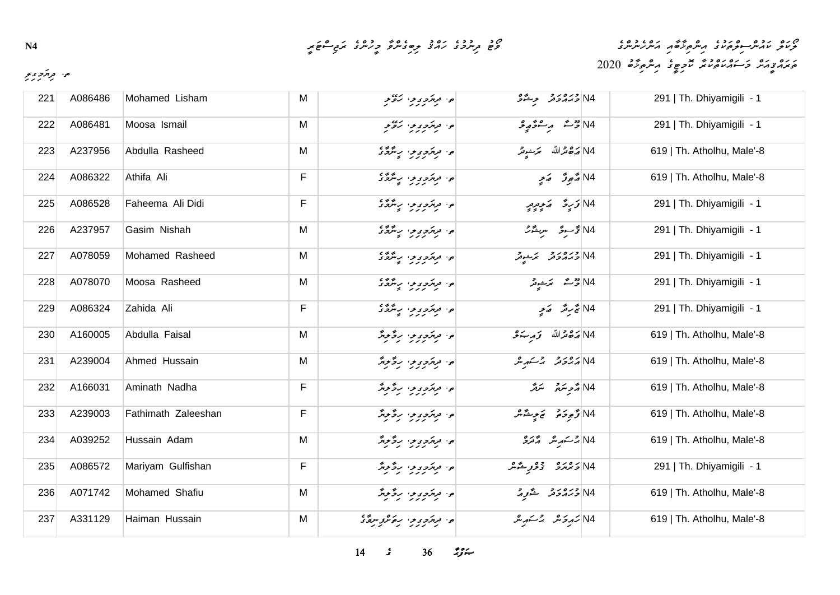*sCw7q7s5w7m< o<n9nOoAw7o< sCq;mAwBoEw7q<m; wBm;vB* م من المرة المرة المرة المرجع المرجع في المركبة 2020<br>مجم*د المريض المربوط المربع المرجع في المراجع المركبة* 

| 221 | A086486 | Mohamed Lisham      | M | و • فروکو و • رکھو                                      |                                                | 291   Th. Dhiyamigili - 1  |
|-----|---------|---------------------|---|---------------------------------------------------------|------------------------------------------------|----------------------------|
| 222 | A086481 | Moosa Ismail        | M | ه و مرکزد و کنگو                                        | N4 جُرْ شَر مِرْ مِنْ مَحْرَمَةٍ عَرْ          | 291   Th. Dhiyamigili - 1  |
| 223 | A237956 | Abdulla Rasheed     | M | ه مرکزد د رسمه د                                        | N4 صَرْحَة مِرْاللَّهُ تَمَرْشُوْمَرْ          | 619   Th. Atholhu, Male'-8 |
| 224 | A086322 | Athifa Ali          | F | و · مرمزور و ، رسمده و                                  | N4 صَّمِوتَر صَعِ                              | 619   Th. Atholhu, Male'-8 |
| 225 | A086528 | Faheema Ali Didi    | F | و ۰ مرمز درو ۷ رنگردی                                   | N4 تررٍدَّ سَعِيسٍ                             | 291   Th. Dhiyamigili - 1  |
| 226 | A237957 | Gasim Nishah        | M | ه مرکزد د سرگرد                                         | N4 تٌوسوڤ سرشَدَتْر                            | 291   Th. Dhiyamigili - 1  |
| 227 | A078059 | Mohamed Rasheed     | M | و ۰ مرمز درو و بر مرکز د                                | N4 <i>وُبَرُوُوَ</i> تَرَ <sub>ّسُوِيْرُ</sub> | 291   Th. Dhiyamigili - 1  |
| 228 | A078070 | Moosa Rasheed       | M | ه مرکزد و رشته                                          | N4 فَرْتُ بَرَ <sub>ْشُو</sub> نْدُ            | 291   Th. Dhiyamigili - 1  |
| 229 | A086324 | Zahida Ali          | F | ه و مرکز دو رشده                                        | N4 تج رِمَّز – مَرْمٍ                          | 291   Th. Dhiyamigili - 1  |
| 230 | A160005 | Abdulla Faisal      | M | و • مرمرکور دی رو گورگر                                 | N4 كەھەراللە   تەرىبكى                         | 619   Th. Atholhu, Male'-8 |
| 231 | A239004 | Ahmed Hussain       | M | ه ويروء و روٌ ويَّ                                      | N4 كەبرى بىر بەسكەر بىر                        | 619   Th. Atholhu, Male'-8 |
| 232 | A166031 | Aminath Nadha       | F | ه ويروء و روٌ ويَّ                                      | N4 مَّحِسَمَةً مَسَمَّد                        | 619   Th. Atholhu, Male'-8 |
| 233 | A239003 | Fathimath Zaleeshan | F | ه مرکزد و روم                                           | N4 وَّج <sub>ُ</sub> وحَمُّ ۖ يَحْمِيشَمْ مَرْ | 619   Th. Atholhu, Male'-8 |
| 234 | A039252 | Hussain Adam        | M | ه مرکزد د روگر                                          | N4 پر <i>کے مربر مرکزی</i>                     | 619   Th. Atholhu, Male'-8 |
| 235 | A086572 | Mariyam Gulfishan   | F | ه مرکزد د روگر                                          | N4 كەيمەك قىمى ئىمىسىسىسىسىسىسى بىر            | 291   Th. Dhiyamigili - 1  |
| 236 | A071742 | Mohamed Shafiu      | M | ه مرکزد د روگر                                          | N4ج يرون پر منگوري                             | 619   Th. Atholhu, Male'-8 |
| 237 | A331129 | Haiman Hussain      | M | ه مرکزدی مرکز مرکز مرکز کار<br>مسیر مرکز مرکز مرکز مرکز | N4  تەرىخى بىر مەسىر ش                         | 619   Th. Atholhu, Male'-8 |

 $14$  *s* 36  $23$   $\div$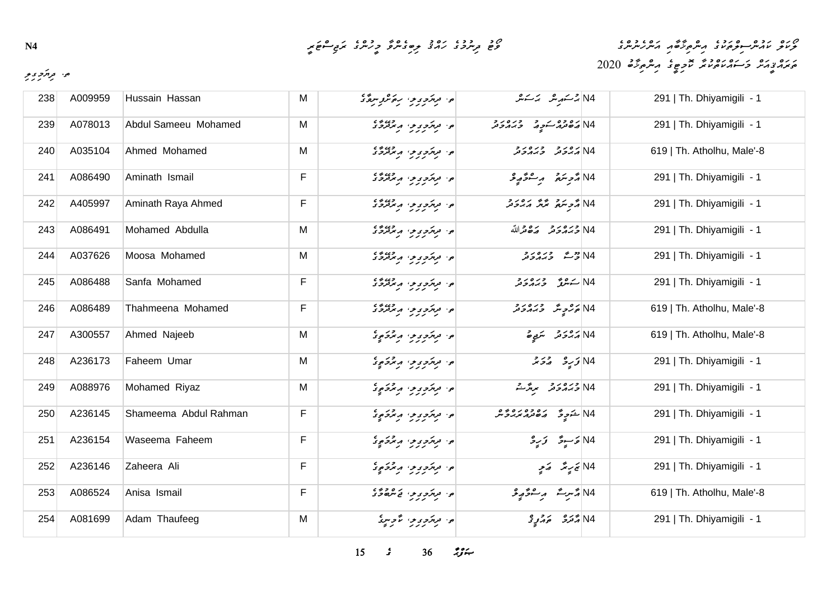*sCw7q7s5w7m< o<n9nOoAw7o< sCq;mAwBoEw7q<m; wBm;vB* م من المرة المرة المرة المرجع المرجع في المركبة 2020<br>مجم*د المريض المربوط المربع المرجع في المراجع المركبة* 

| 238 | A009959 | Hussain Hassan        | M            | و مرکز دی ره نورو مردمی                                         | N4 يُرْسَمَ مِرْسُ بَرْسَة مِرْ                  | 291   Th. Dhiyamigili - 1  |
|-----|---------|-----------------------|--------------|-----------------------------------------------------------------|--------------------------------------------------|----------------------------|
| 239 | A078013 | Abdul Sameeu Mohamed  | M            | ه ۰ مرکز در ۱۶ بر مرکز در ۲<br>  د ۰ بر ۱۶ بر ۱۶ بر مرکز در     | N4 גەدە شەير قىمەدە بەر                          | 291   Th. Dhiyamigili - 1  |
| 240 | A035104 | Ahmed Mohamed         | M            | ه ۰ مرکز در ۱۶ بر برابرد و ۲<br>  بر ۱۶ بر بر بر بر بر برابرد و | N4 كەبرى مەمەمەدىر                               | 619   Th. Atholhu, Male'-8 |
| 241 | A086490 | Aminath Ismail        | F            |                                                                 | N4 مَّحِسَمَةٌ مِسْحَمَّةٍ مِّ                   | 291   Th. Dhiyamigili - 1  |
| 242 | A405997 | Aminath Raya Ahmed    | F            |                                                                 | N4 مَّ حِ سَمَّى مَ مَدَّدَ مَد                  | 291   Th. Dhiyamigili - 1  |
| 243 | A086491 | Mohamed Abdulla       | $\mathsf{M}$ | ه ۰ مرکزد و ۱۰ مرکزد و                                          | N4 32025 مَرْ 20 مِرْاللّه                       | 291   Th. Dhiyamigili - 1  |
| 244 | A037626 | Moosa Mohamed         | M            | ه ۰ مرکزدی به مرکزده<br>با این باربر به مرکزده                  | N4 جي حيد دور                                    | 291   Th. Dhiyamigili - 1  |
| 245 | A086488 | Sanfa Mohamed         | F            | ه ۰ مرکزد و ۱۳ مرکزد و                                          | N4 سەئىر ئەم ئەرگەر ئىر                          | 291   Th. Dhiyamigili - 1  |
| 246 | A086489 | Thahmeena Mohamed     | F            |                                                                 | N4 <sub>ح</sub> وثر بر وبرور د                   | 619   Th. Atholhu, Male'-8 |
| 247 | A300557 | Ahmed Najeeb          | M            | ه ويركوبو ويركوبم                                               | N4 كەش <sup>ى</sup> كەتقى ھ                      | 619   Th. Atholhu, Male'-8 |
| 248 | A236173 | Faheem Umar           | $\mathsf{M}$ | ه مرکزد و مرکزه و                                               | N4 تۇرپى ھەتەتتى                                 | 291   Th. Dhiyamigili - 1  |
| 249 | A088976 | Mohamed Riyaz         | M            | ه مرکزد و مرکزه د                                               | N4 <i>ڈیزہ ڈیٹر م</i> یٹرنٹر                     | 291   Th. Dhiyamigili - 1  |
| 250 | A236145 | Shameema Abdul Rahman | F            | ه مرکزد و مرکزه د                                               | N4 شَر <i>َوِدُ مَەدە برە</i> ئ                  | 291   Th. Dhiyamigili - 1  |
| 251 | A236154 | Waseema Faheem        | F            | ه ويركوبو ويركوبم                                               | N4 حَرْسٍوَّ کَرَرٍوْ                            | 291   Th. Dhiyamigili - 1  |
| 252 | A236146 | Zaheera Ali           | F            |                                                                 | N4 تحریتر کمبر                                   | 291   Th. Dhiyamigili - 1  |
| 253 | A086524 | Anisa Ismail          | F            | ص مرکز در عامرہ دی۔<br>  ص رکز در عامرہ دی                      | N4 مُسِرَّ مِرْ مُتَّامِرْ مِنْ الْمَدَّارِ بِهِ | 619   Th. Atholhu, Male'-8 |
| 254 | A081699 | Adam Thaufeeg         | M            | ه · مرمزد ديو · ما د سره<br>په نرمز بر بر                       | N4 <i>مُرْمَرْدَ - مَ<sub>ا</sub>مْ بِ</i> تْرَ  | 291   Th. Dhiyamigili - 1  |

 $15$  *s* 36  $23$   $\div$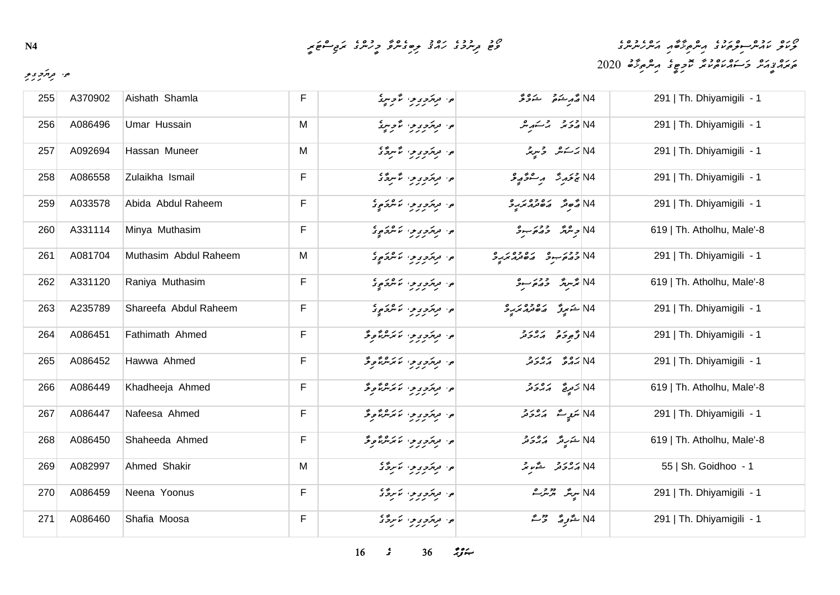*sCw7q7s5w7m< o<n9nOoAw7o< sCq;mAwBoEw7q<m; wBm;vB* م من المرة المرة المرة المرجع المرجع في المركبة 2020<br>مجم*د المريض المربوط المربع المرجع في المراجع المركبة* 

| 255 | A370902 | Aishath Shamla        | F           | ه · مرکزد د د ، مگر سرهٔ | N4 مَ <i>ذہِ حَدَوْ ڈ</i>                                                                            | 291   Th. Dhiyamigili - 1  |
|-----|---------|-----------------------|-------------|--------------------------|------------------------------------------------------------------------------------------------------|----------------------------|
| 256 | A086496 | Umar Hussain          | M           | ه ويردون الموسي          | N4 252 برسكىرىگە                                                                                     | 291   Th. Dhiyamigili - 1  |
| 257 | A092694 | Hassan Muneer         | M           | ه مرکز دید اگر دهم       | N4   پرسترين - <sub>خ</sub> سيريتر                                                                   | 291   Th. Dhiyamigili - 1  |
| 258 | A086558 | Zulaikha Ismail       | $\mathsf F$ | ه مرکزد و شرکه           | N4ج َحَمِيرَ * مِي سُحَمِيرِ \$                                                                      | 291   Th. Dhiyamigili - 1  |
| 259 | A033578 | Abida Abdul Raheem    | $\mathsf F$ | ه مرکزد و نکرد و ؟       | N4 مُّەمَّر مەھىرمىرىي                                                                               | 291   Th. Dhiyamigili - 1  |
| 260 | A331114 | Minya Muthasim        | $\mathsf F$ | ه · مرکز در استرکز و د   | N4 دېمر د ده د د                                                                                     | 619   Th. Atholhu, Male'-8 |
| 261 | A081704 | Muthasim Abdul Raheem | M           | و ورکرد و اسکرکارو کا    | N4ج و محمد محمد محمد المحمد المحمد المحمد محمد المحمد محمد المحمد محمد المحمد المحمد المحمد المحمد ا | 291   Th. Dhiyamigili - 1  |
| 262 | A331120 | Raniya Muthasim       | $\mathsf F$ | ه مرکزد و نکرد و ؟       | N4 بَرْسِ <i>رَّہٗ حَمْہُ مِ</i> حَرُ                                                                | 619   Th. Atholhu, Male'-8 |
| 263 | A235789 | Shareefa Abdul Raheem | F           | ه مرکزد و استرکزه و      | N4 خىمىرتى مەھ <i>ەرمىدى</i>                                                                         | 291   Th. Dhiyamigili - 1  |
| 264 | A086451 | Fathimath Ahmed       | $\mathsf F$ | ه مرکزده به کرام و د     | N4 وَجوحَم مَدَّوم                                                                                   | 291   Th. Dhiyamigili - 1  |
| 265 | A086452 | Hawwa Ahmed           | $\mathsf F$ | ە بەر دەر ئايرىش ئ       | N4 بَرْدَةَ بِرَمْرَ مَدْ                                                                            | 291   Th. Dhiyamigili - 1  |
| 266 | A086449 | Khadheeja Ahmed       | F           | ه مرکزده به کرام و گ     | N4 كَتَمَرِيعٌ - كَدَرُوكْرٌ -                                                                       | 619   Th. Atholhu, Male'-8 |
| 267 | A086447 | Nafeesa Ahmed         | $\mathsf F$ | ه معرود و المستقران      | N4 سَمَعِي مَشْرَ 1⁄2 مَدَّ تَرَ 1⁄2 مَدَّ                                                           | 291   Th. Dhiyamigili - 1  |
| 268 | A086450 | Shaheeda Ahmed        | $\mathsf F$ | ه مرکزد و اسکرام میگرام  | N4 ڪر <i>پ پر پر چو</i> تر                                                                           | 619   Th. Atholhu, Male'-8 |
| 269 | A082997 | Ahmed Shakir          | M           | ه مرکزد د ناردد          | N4 كەبرى قىر مەش <i>ەبىر</i>                                                                         | 55   Sh. Goidhoo - 1       |
| 270 | A086459 | Neena Yoonus          | $\mathsf F$ | ه مرکزد د ناردد          | N4 سرینگ ویژینگ                                                                                      | 291   Th. Dhiyamigili - 1  |
| 271 | A086460 | Shafia Moosa          | F           | ه و مرکز دی مکرد د       | N4 شَروتَه تَرْتَّ                                                                                   | 291   Th. Dhiyamigili - 1  |

 $16$  *s* 36  $23$   $\div$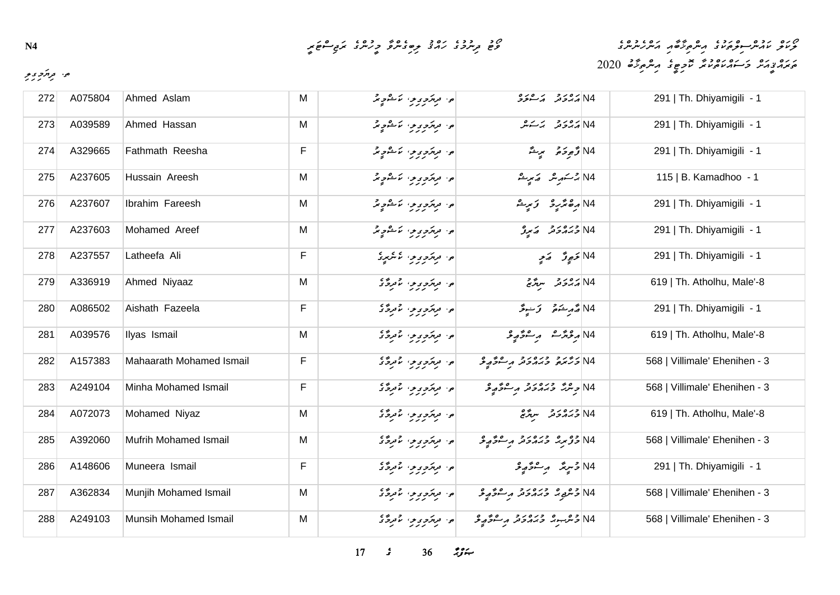*sCw7q7s5w7m< o<n9nOoAw7o< sCq;mAwBoEw7q<m; wBm;vB* م من المرة المرة المرة المرجع المرجع في المركبة 2020<br>مجم*د المريض المربوط المربع المرجع في المراجع المركبة* 

| 272 | A075804 | Ahmed Aslam                  | M |                             | N4 كەبروتىر كەسىر <i>ە</i>                          | 291   Th. Dhiyamigili - 1     |
|-----|---------|------------------------------|---|-----------------------------|-----------------------------------------------------|-------------------------------|
| 273 | A039589 | Ahmed Hassan                 | M | ه ورکوری که عم              | N4 كەبرى كە ئەسكەنلە                                | 291   Th. Dhiyamigili - 1     |
| 274 | A329665 | Fathmath Reesha              | F | و · مرکز در از مکشور مگر    | N4 وَمُودَمَّة مَرِيشَّة                            | 291   Th. Dhiyamigili - 1     |
| 275 | A237605 | Hussain Areesh               | M | ه مرکزد د اسکوچر            | N4 پرڪ <i>مبرنگ ڪيونن</i> گو                        | 115   B. Kamadhoo - 1         |
| 276 | A237607 | Ibrahim Fareesh              | M | وسور در الأكلوبة            | N4 م <i>وڭ ئۇم</i> رىشى كەرىپىش                     | 291   Th. Dhiyamigili - 1     |
| 277 | A237603 | Mohamed Areef                | M | ه ورکوری نکشوپر             | N4 322.2 قرير ت                                     | 291   Th. Dhiyamigili - 1     |
| 278 | A237557 | Latheefa Ali                 | F | و· مرکز کردید ، مانگریزی    | N4 كَهِ <i>وَدَّ سَ</i> جِ                          | 291   Th. Dhiyamigili - 1     |
| 279 | A336919 | Ahmed Niyaaz                 | M | و • مرمز د دور و محمد د د ک | N4 كەبرى ئور سرى <i>گى</i> تە                       | 619   Th. Atholhu, Male'-8    |
| 280 | A086502 | Aishath Fazeela              | F | و ورکرد و عبود کا           | N4 مَگرِمِسْتَمْ تَرَسِعَّ                          | 291   Th. Dhiyamigili - 1     |
| 281 | A039576 | Ilyas Ismail                 | M | و و مرکز دی از محمد دی      | N4 مۇنگە مەش <i>ۇم</i> ۇ                            | 619   Th. Atholhu, Male'-8    |
| 282 | A157383 | Mahaarath Mohamed Ismail     | F | و ۰ مرمزد و و ۱۰ مردگی      | N4  كارتمىقى ئەبەر ئەرگە بەسىۋە يونى                | 568   Villimale' Ehenihen - 3 |
| 283 | A249104 | Minha Mohamed Ismail         | F | و ۰ مرکز درو ۷ مرگز د       | N4 وِ م <i>ُرْبَّہ وَ بَہُ وَ وَ وَ وَ وَ وَ</i> وَ | 568   Villimale' Ehenihen - 3 |
| 284 | A072073 | Mohamed Niyaz                | M | و ورکرد و عموده             | N4ج <i>کرم کا جو مرمگن</i> ج                        | 619   Th. Atholhu, Male'-8    |
| 285 | A392060 | <b>Mufrih Mohamed Ismail</b> | M | و و مرکز دی از مرگز د       | N4 وو ره د دره د مرتفور و در د                      | 568   Villimale' Ehenihen - 3 |
| 286 | A148606 | Muneera Ismail               | F | و و مرکز دی از مرگز د       | N4 دُسِرَةَ مِرْ مُرْدَّمَةٍ وَ                     | 291   Th. Dhiyamigili - 1     |
| 287 | A362834 | Munjih Mohamed Ismail        | M | و • مرکز درو به مقرره د     | N4 وُسْمِهِ رُ وَبَرُودَ تَرَ مِ صُوَّمِهِ وَ       | 568   Villimale' Ehenihen - 3 |
| 288 | A249103 | Munsih Mohamed Ismail        | M | و ۰ مرمز د دور ۴ مرمز د     | N4   جند بن و برور به رسمو مربو به د                | 568   Villimale' Ehenihen - 3 |

 $17$  *s* 36  $23$   $\div$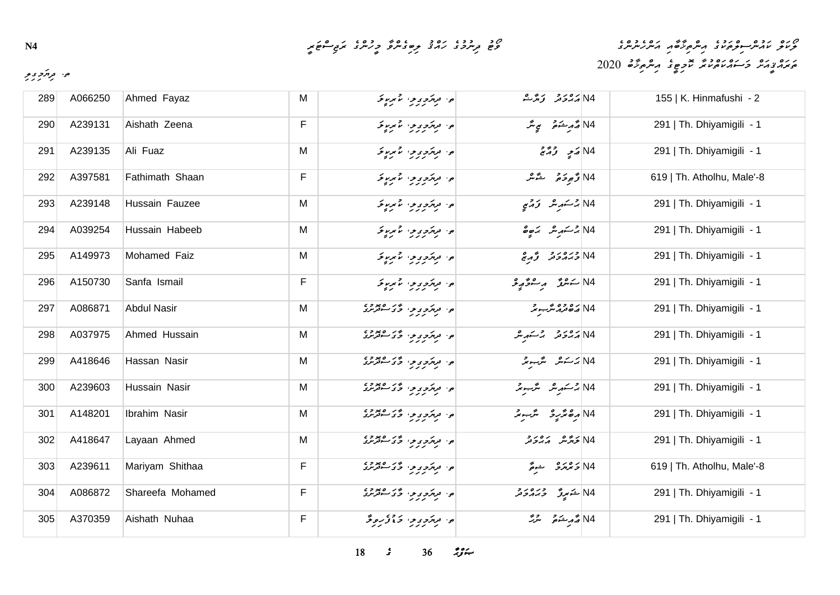*sCw7q7s5w7m< o<n9nOoAw7o< sCq;mAwBoEw7q<m; wBm;vB* م من المرة المرة المرة المرجع المرجع في المركبة 2020<br>مجم*د المريض المربوط المربع المرجع في المراجع المركبة* 

| 289 | A066250 | Ahmed Fayaz        | M           | ه و مرکزد و انگریزی                                                                                                                                      | N4 كەبردىر زېڭرىشە                      | 155   K. Hinmafushi - 2    |
|-----|---------|--------------------|-------------|----------------------------------------------------------------------------------------------------------------------------------------------------------|-----------------------------------------|----------------------------|
| 290 | A239131 | Aishath Zeena      | $\mathsf F$ | ه مرکزد دیا میبانی                                                                                                                                       | N4 مُرْمَة مِ سِمَّ                     | 291   Th. Dhiyamigili - 1  |
| 291 | A239135 | Ali Fuaz           | M           | ه مرکزد دا میبرد                                                                                                                                         | N4 كەير تەرگى<br>14                     | 291   Th. Dhiyamigili - 1  |
| 292 | A397581 | Fathimath Shaan    | F           | ه مرکزد و تمریک                                                                                                                                          | N4 رَّج <i>وحَمَّ</i> شَدَسَّر          | 619   Th. Atholhu, Male'-8 |
| 293 | A239148 | Hussain Fauzee     | M           | ه مرکزد دا میبرد                                                                                                                                         | N4 برسەر مىر ئەرىپى<br>***              | 291   Th. Dhiyamigili - 1  |
| 294 | A039254 | Hussain Habeeb     | M           | ه و مرکزد و انگریز که                                                                                                                                    | N4 بر مسر مرکب کر ہے گا۔<br>ا           | 291   Th. Dhiyamigili - 1  |
| 295 | A149973 | Mohamed Faiz       | M           | ه مرکزدر میتوان                                                                                                                                          | N4ج برو ديمر و تو ديم                   | 291   Th. Dhiyamigili - 1  |
| 296 | A150730 | Sanfa Ismail       | $\mathsf F$ | ه مرکزد دا میباد                                                                                                                                         | N4 سَمَّنْدَ مِ سُنَّحَم <i>ُّهِ وَ</i> | 291   Th. Dhiyamigili - 1  |
| 297 | A086871 | <b>Abdul Nasir</b> | M           | ه مرکزد و می ده بدد ه<br>مستورگرفت می مورد                                                                                                               | N4 مەھ <i>قىرم شىب</i> ىرىمە            | 291   Th. Dhiyamigili - 1  |
| 298 | A037975 | Ahmed Hussain      | M           |                                                                                                                                                          | N4 كەبرى بىر بىر ئىسكەر بىر             | 291   Th. Dhiyamigili - 1  |
| 299 | A418646 | Hassan Nasir       | M           |                                                                                                                                                          | N4 كەسكەش مىگرىبومگر                    | 291   Th. Dhiyamigili - 1  |
| 300 | A239603 | Hussain Nasir      | M           | ه مرکزد و د کار ۱۶۵۵<br>مسرکزد و د کار مترکزد                                                                                                            | N4 بڑے پہ مگر ہے۔<br>***                | 291   Th. Dhiyamigili - 1  |
| 301 | A148201 | Ibrahim Nasir      | M           | په درمرد ويو ، د کار مود و ،<br>  په درمرد ويو ، د کار مودر د د                                                                                          | N4 مەھم <i>گىي</i> ھەسىمىتى بىر         | 291   Th. Dhiyamigili - 1  |
| 302 | A418647 | Layaan Ahmed       | M           | ه به درگرد در مورد در در در در باشد و با<br>مورد برگرد در مورد باشد در باشد و باشد و باشد و باشد و باشد و باشد و باشد و باشد و باشد و باشد و باشد و باشد | N4 كَرْتَرْسْ كْرَبْرْدْتْرْ            | 291   Th. Dhiyamigili - 1  |
| 303 | A239611 | Mariyam Shithaa    | $\mathsf F$ | ه مرکزدی و محکمت معدد و به<br>مستقرم در محکمت معدد در                                                                                                    | N4ج <i>جهزی خومی</i>                    | 619   Th. Atholhu, Male'-8 |
| 304 | A086872 | Shareefa Mohamed   | F           | ه ۱۶۶۰ و در در ۲۶۵ و در ۲۶<br>در مرد در در استان                                                                                                         | N4 خەمرى <sup>ت</sup> ە ئەرەر ئە        | 291   Th. Dhiyamigili - 1  |
| 305 | A370359 | Aishath Nuhaa      | F           | ه مرکز دی دُوکرونگ                                                                                                                                       | N4 م <i>ەمبىشى ھەش</i>                  | 291   Th. Dhiyamigili - 1  |

 $18$  *s* 36  $23$   $\div$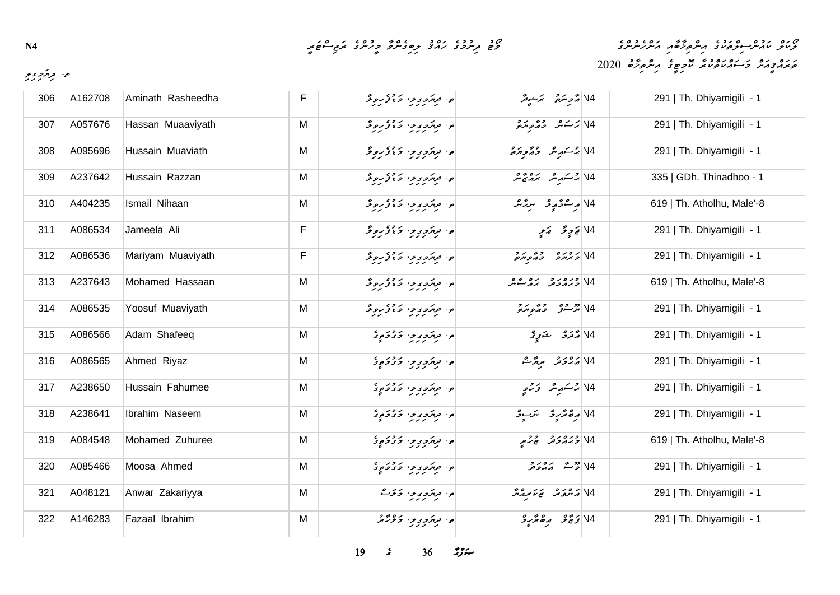*sCw7q7s5w7m< o<n9nOoAw7o< sCq;mAwBoEw7q<m; wBm;vB* م من المرة المرة المرة المرجع المرجع في المركبة 2020<br>مجم*د المريض المربوط المربع المرجع في المراجع المركبة* 

| 306 | A162708 | Aminath Rasheedha | F | اء مريكردبو كالمؤربون                         | N4 مَّ حِ سَمَّ مَ سَمِيعًر                                              | 291   Th. Dhiyamigili - 1  |
|-----|---------|-------------------|---|-----------------------------------------------|--------------------------------------------------------------------------|----------------------------|
| 307 | A057676 | Hassan Muaaviyath | M | ه ويركوبون كالمحاويدة                         | N4 ئەسەنلە ئەھمە <i>مۇم</i> ۇ                                            | 291   Th. Dhiyamigili - 1  |
| 308 | A095696 | Hussain Muaviath  | M | ه ويركوبون كالأروق                            |                                                                          | 291   Th. Dhiyamigili - 1  |
| 309 | A237642 | Hussain Razzan    | M | و مرکز دی کی گرمونگ                           | N4 جُڪمبريش پر جو مُحَ مُش                                               | 335   GDh. Thinadhoo - 1   |
| 310 | A404235 | Ismail Nihaan     | M | ء <sub>َ</sub> مِن <i>زُوءِ وَ</i> 'وَ 'وَروڤ | N4 <sub>م</sub> رعو <i>ڈ پو</i> ڈ سر <i>ڈ</i> شر                         | 619   Th. Atholhu, Male'-8 |
| 311 | A086534 | Jameela Ali       | F | ه مرکزدری کی ژنوژ                             | N4 تح وٍ تَرَ مِي L                                                      | 291   Th. Dhiyamigili - 1  |
| 312 | A086536 | Mariyam Muaviyath | F | ه مەدەرە ئاقرىدۇ.                             | N4ج بر پر وي و بر د محمد شرحه<br>۱۹۹۳ - محمد الله محمد شرحه در محمد شرحه | 291   Th. Dhiyamigili - 1  |
| 313 | A237643 | Mohamed Hassaan   | M | والرمزدوجة الكاثور وق                         | N4 دېره ده بره شهر                                                       | 619   Th. Atholhu, Male'-8 |
| 314 | A086535 | Yoosuf Muaviyath  | M | وا فرمزور والمعجم وتوريد و تح                 | N4 جز قسم و محمد محرکته ترجمو                                            | 291   Th. Dhiyamigili - 1  |
| 315 | A086566 | Adam Shafeeq      | M | ه مرکزد و کرده و                              | N4 مُرْتَرَدٌ شَمَوِرٌ                                                   | 291   Th. Dhiyamigili - 1  |
| 316 | A086565 | Ahmed Riyaz       | M | ه مرکز د د کاکوکا                             | N4 كەبرى ئەرەمەت بىرگە بىر                                               | 291   Th. Dhiyamigili - 1  |
| 317 | A238650 | Hussain Fahumee   | M | ه مرکزدی د دوره                               | N4 پر <i>شهر مگر ت</i> وجي                                               | 291   Th. Dhiyamigili - 1  |
| 318 | A238641 | Ibrahim Naseem    | M | ه مرکزد و دوده و                              | N4 <sub>م</sub> ەمگرى <sub>د</sub> ۇ س <i>رس</i> وۋ                      | 291   Th. Dhiyamigili - 1  |
| 319 | A084548 | Mohamed Zuhuree   | M | ه ويرکوري کړونه                               | N4 <i>32,252 ج</i> رير                                                   | 619   Th. Atholhu, Male'-8 |
| 320 | A085466 | Moosa Ahmed       | M | ه مرکزد و کرده و                              | N4 حيث بر بروتر                                                          | 291   Th. Dhiyamigili - 1  |
| 321 | A048121 | Anwar Zakariyya   | M | ه مرکزد د کرک                                 | N4 كەشھەتمە ئىم <i>كىرىدى</i> گە                                         | 291   Th. Dhiyamigili - 1  |
| 322 | A146283 | Fazaal Ibrahim    | M | ه پرتروپر دورد                                | N4 زَیَّ و مِرْہ مَرْرِدْ                                                | 291   Th. Dhiyamigili - 1  |

*19 s* 36 *i*<sub>S</sub> $\approx$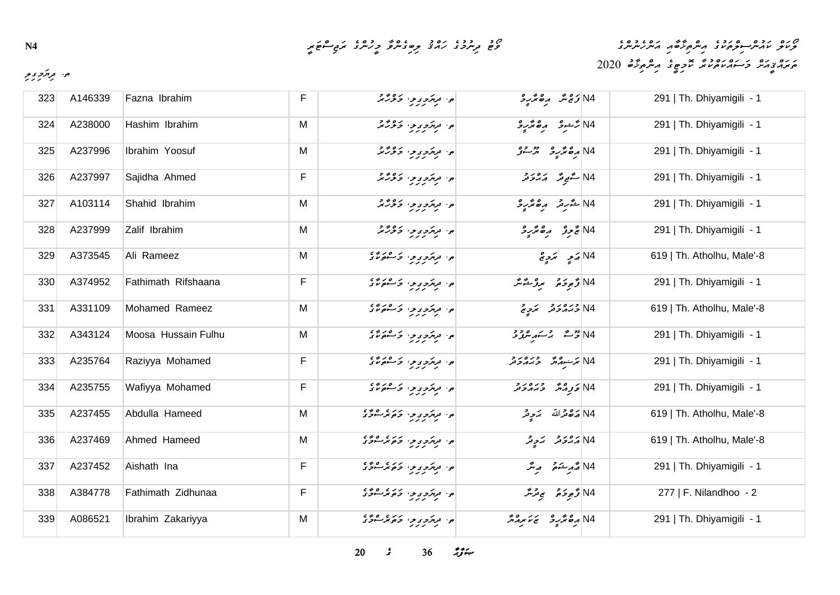*sCw7q7s5w7m< o<n9nOoAw7o< sCq;mAwBoEw7q<m; wBm;vB* م من المرة المرة المرة المرجع المرجع في المركبة 2020<br>مجم*د المريض المربوط المربع المرجع في المراجع المركبة* 

| 323 | A146339 | Fazna Ibrahim       | F           |                                                                                                                                                                                                                               | N4 زَءٌ مَّر مِنْ مَحَرِ وَ                     | 291   Th. Dhiyamigili - 1  |
|-----|---------|---------------------|-------------|-------------------------------------------------------------------------------------------------------------------------------------------------------------------------------------------------------------------------------|-------------------------------------------------|----------------------------|
| 324 | A238000 | Hashim Ibrahim      | M           | و· ويركوبو وكالمرتجمة                                                                                                                                                                                                         | N4 جەھىر ب <i>ەھ ئەي</i> رى                     | 291   Th. Dhiyamigili - 1  |
| 325 | A237996 | Ibrahim Yoosuf      | M           | والمتعرضي والمحاملين                                                                                                                                                                                                          | N4 مەھەرىپە قىزىسىز                             | 291   Th. Dhiyamigili - 1  |
| 326 | A237997 | Sajidha Ahmed       | $\mathsf F$ | ه مرکزد د کوره                                                                                                                                                                                                                | N4 سَمَّمِ مَدْ 12 دَمَّرَ مَدْ                 | 291   Th. Dhiyamigili - 1  |
| 327 | A103114 | Shahid Ibrahim      | M           | ء • مِرْمَدِينِ وَوَرْمَهْ                                                                                                                                                                                                    | N4 ڪريز م <i>چ مڙپ</i> و                        | 291   Th. Dhiyamigili - 1  |
| 328 | A237999 | Zalif Ibrahim       | M           | ه مرکزد و دورند                                                                                                                                                                                                               | N4 تج مِروْ مَصَمَّدِ فِي الْمَسْتَخَفَّةِ مِنْ | 291   Th. Dhiyamigili - 1  |
| 329 | A373545 | Ali Rameez          | M           | ه مرکزدی که موسیق                                                                                                                                                                                                             | N4 <i>ڇَ ڇِ جَرَج</i>                           | 619   Th. Atholhu, Male'-8 |
| 330 | A374952 | Fathimath Rifshaana | $\mathsf F$ | و · مرکزدر و · د می در و ،<br>  و · مرکز را در استحوالای                                                                                                                                                                      | N4 <i>وَّجودَة بروْ</i> شَةَ مَّر               | 291   Th. Dhiyamigili - 1  |
| 331 | A331109 | Mohamed Rameez      | M           | د مرکزدرو، کامونده                                                                                                                                                                                                            | N4 <i>\$ بَدُوْدَ تَدَّدِ</i> بِمَ              | 619   Th. Atholhu, Male'-8 |
| 332 | A343124 | Moosa Hussain Fulhu | M           | په مرکزد و د کار وي.<br>  په مرکز کرد کرد کار وي.                                                                                                                                                                             | N4 جيءُ جيءَ مير مير جي ح                       | 291   Th. Dhiyamigili - 1  |
| 333 | A235764 | Raziyya Mohamed     | $\mathsf F$ | د مرکزد و محمد ده د                                                                                                                                                                                                           | N4 ترىنى <i>مەڭ مەتەمەد</i>                     | 291   Th. Dhiyamigili - 1  |
| 334 | A235755 | Wafiyya Mohamed     | F           | د مرکزدرو، کامونای                                                                                                                                                                                                            | N4 <i>قۇمىگە جەم</i> ردىر                       | 291   Th. Dhiyamigili - 1  |
| 335 | A237455 | Abdulla Hameed      | M           | ه مرکزد و دره ۲۶۵                                                                                                                                                                                                             | N4 رَصْحْراللّه بَرْحِ مَرْ                     | 619   Th. Atholhu, Male'-8 |
| 336 | A237469 | Ahmed Hameed        | M           | ه مرکزدی در در دور                                                                                                                                                                                                            | N4 كەش <sup>ى</sup> قىر كەچ قىر                 | 619   Th. Atholhu, Male'-8 |
| 337 | A237452 | Aishath Ina         | $\mathsf F$ | و · مرکزدی و از در عاده و در عاده در ایران و ایران و ایران و ایران و ایران و ایران و ایران و ایران و ایران و<br>ایران و ایران و ایران و ایران و ایران و ایران و ایران و ایران و ایران و ایران و ایران و ایران و ایران و ایران | N4 مَەمبەق مەمىر                                | 291   Th. Dhiyamigili - 1  |
| 338 | A384778 | Fathimath Zidhunaa  | $\mathsf F$ | و • مرمزد و و ، د و ، و ، و ،                                                                                                                                                                                                 | N4 رَّج <i>وحَة</i> بِمِعْتَد                   | 277   F. Nilandhoo - 2     |
| 339 | A086521 | Ibrahim Zakariyya   | M           | ه مرکزدی ده کرد و ده                                                                                                                                                                                                          |                                                 | 291   Th. Dhiyamigili - 1  |

 $20$  *s* 36 *n***<sub>3</sub>** $\div$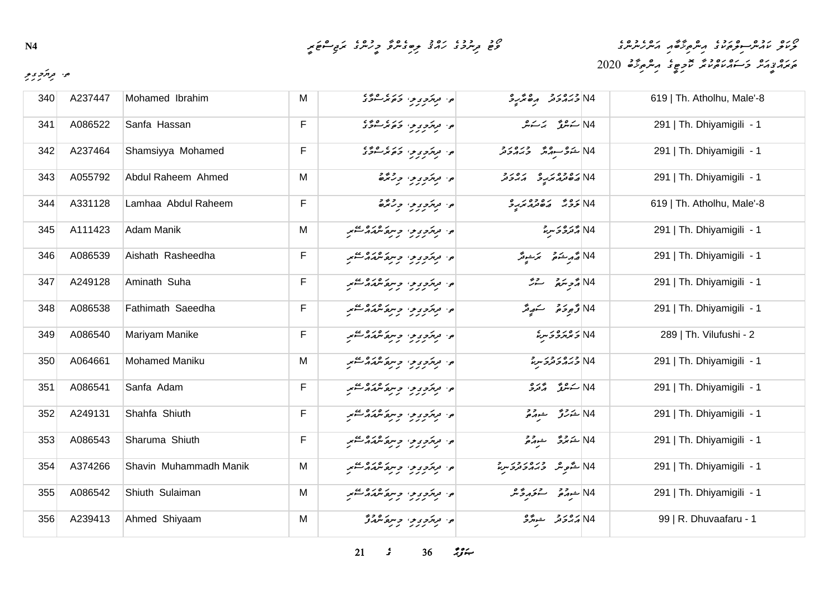*sCw7q7s5w7m< o<n9nOoAw7o< sCq;mAwBoEw7q<m; wBm;vB* م من المرة المرة المرة المرجع المرجع في المركبة 2020<br>مجم*د المريض المربوط المربع المرجع في المراجع المركبة* 

| 340 | A237447 | Mohamed Ibrahim        | M | په مرمزد د ده د د د د د د د د                             | N4 دُبَرْدَدَ مِـ صُنَّرِدْ                                                                                                                                                                                                    | 619   Th. Atholhu, Male'-8 |
|-----|---------|------------------------|---|-----------------------------------------------------------|--------------------------------------------------------------------------------------------------------------------------------------------------------------------------------------------------------------------------------|----------------------------|
| 341 | A086522 | Sanfa Hassan           | F | ه مرکزدی و مرکز ده د                                      | N4 كەشرى ئەسەشر                                                                                                                                                                                                                | 291   Th. Dhiyamigili - 1  |
| 342 | A237464 | Shamsiyya Mohamed      | F | و • ترمزد و در و و و و و و و                              | N4 خەۋسو <i>مەڭ دېم</i> ەر د                                                                                                                                                                                                   | 291   Th. Dhiyamigili - 1  |
| 343 | A055792 | Abdul Raheem Ahmed     | M | ه مرکزد و در مرکزه                                        | N4 ב <i>ב و در و محمد دو د</i>                                                                                                                                                                                                 | 291   Th. Dhiyamigili - 1  |
| 344 | A331128 | Lamhaa Abdul Raheem    | F | ه مرکزد د د د ده                                          | N4 تَرَوْبُرُ مَصْعَمْ مِعْدَ مِرْدِ                                                                                                                                                                                           | 619   Th. Atholhu, Male'-8 |
| 345 | A111423 | Adam Manik             | M | ه · مرکز در و سره سمه در مند                              | N4 مَرْتَرَدْ دَ سِرْتَهُ                                                                                                                                                                                                      | 291   Th. Dhiyamigili - 1  |
| 346 | A086539 | Aishath Rasheedha      | F | ه · مرکز در و سره شمه داشتمبر                             | N4 م <i>ەُمەشقى مەخبەند</i>                                                                                                                                                                                                    | 291   Th. Dhiyamigili - 1  |
| 347 | A249128 | Aminath Suha           | F | و مرکزد و دستگر می کند.                                   | N4 مُج سَمَعُ مُسْتَمَثَّ                                                                                                                                                                                                      | 291   Th. Dhiyamigili - 1  |
| 348 | A086538 | Fathimath Saeedha      | F | ه · مرکز در و سره شمه در مناسر                            | N4 رَّجِ دَمَرَ مَــَ مِرِ مَّرَ                                                                                                                                                                                               | 291   Th. Dhiyamigili - 1  |
| 349 | A086540 | Mariyam Manike         | F | ه · مرکز در و سره سره دره عدم                             | N4 كەبە <i>كەنگەنىڭ بىرىت</i>                                                                                                                                                                                                  | 289   Th. Vilufushi - 2    |
| 350 | A064661 | <b>Mohamed Maniku</b>  | M | ه مرکزد و د مرکز مرکز میگر                                | N4ج <i>كەنگە كەنگەنگە</i> ر                                                                                                                                                                                                    | 291   Th. Dhiyamigili - 1  |
| 351 | A086541 | Sanfa Adam             | F | اء · مرکز در در در در در در در در استان                   | N4 سەنىدۇ گەنىز <i>ى</i>                                                                                                                                                                                                       | 291   Th. Dhiyamigili - 1  |
| 352 | A249131 | Shahfa Shiuth          | F | ه مرکزده و مرکز مرکز به                                   | N4 شەرق <sub>ى</sub> ھەمەم                                                                                                                                                                                                     | 291   Th. Dhiyamigili - 1  |
| 353 | A086543 | Sharuma Shiuth         | F | ه مرکزد و مرکز میگرد میگر<br>مستقر بر در مرکز میگرد میگرد | N4 شەمرى <del>گە ھەم</del> رىمى                                                                                                                                                                                                | 291   Th. Dhiyamigili - 1  |
| 354 | A374266 | Shavin Muhammadh Manik | M | ه مرکزد و مرکز مرکز میگرد میگیر                           | N4 څو شر و <i>ده د و</i> کرمر <i>ه</i>                                                                                                                                                                                         | 291   Th. Dhiyamigili - 1  |
| 355 | A086542 | Shiuth Sulaiman        | M | ه مرکزد د د مرکز شهر من                                   | N4 خورة مشتركرد محمد                                                                                                                                                                                                           | 291   Th. Dhiyamigili - 1  |
| 356 | A239413 | Ahmed Shiyaam          | M | ه مرکزد و سره شده                                         | N4 كەبۇ ئەرگە ئىستىدىگە ئىستىدىكى ئىستەت ئىستەت ئىستەت ئىستەت ئىستان ئىستان ئىستان ئىستان ئىستان ئىستان ئىستا<br>ئىستان ئىستان ئىستان ئىستان ئىستان ئىستان ئىستان ئىستان ئىستان ئىستان ئىستان ئىستان ئىستان ئىستان ئىستان ئىست | 99   R. Dhuvaafaru - 1     |

*oBoCo>mIo@ .A*

 $21$  *s* 36  $23$   $\div$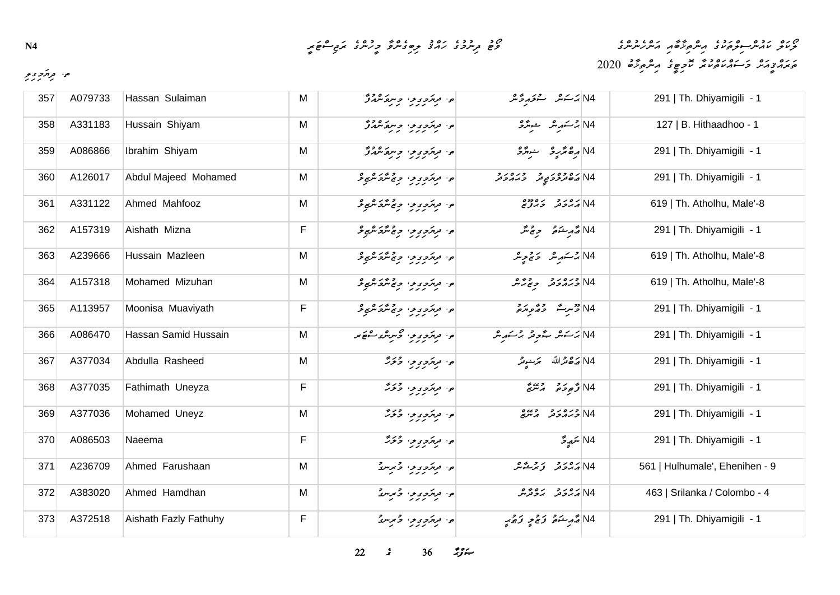*sCw7q7s5w7m< o<n9nOoAw7o< sCq;mAwBoEw7q<m; wBm;vB* م من المرة المرة المرة المرجع المرجع في المركبة 2020<br>مجم*د المريض المربوط المربع المرجع في المراجع المركبة* 

| 357 | A079733 | Hassan Sulaiman       | M | و· مرکزدری و سرگرمدگر                   | N4 كەسكەر سىمخەر دىمىر                      | 291   Th. Dhiyamigili - 1      |
|-----|---------|-----------------------|---|-----------------------------------------|---------------------------------------------|--------------------------------|
| 358 | A331183 | Hussain Shiyam        | M | و مرکز دی و سرگاه دی                    | N4 پرڪ <i>مبر هه جو پڙ</i> و                | 127   B. Hithaadhoo - 1        |
| 359 | A086866 | Ibrahim Shiyam        | M | و مرکز دو و موکندو                      | N4 م <i>وھ مگرچ</i> شو <i>مگ</i> و          | 291   Th. Dhiyamigili - 1      |
| 360 | A126017 | Abdul Majeed Mohamed  | M | و· مرکزدی و په مرکز مربو و              | N4 كەھىرى <i>جەھەر دەر د</i>                | 291   Th. Dhiyamigili - 1      |
| 361 | A331122 | Ahmed Mahfooz         | M | و مرکز دی دیگر محمد محمد از م           | N4 كەبرو بەمدىق                             | 619   Th. Atholhu, Male'-8     |
| 362 | A157319 | Aishath Mizna         | F |                                         | N4 مَگرمِشَہُ ویح مَّرَ                     | 291   Th. Dhiyamigili - 1      |
| 363 | A239666 | Hussain Mazleen       | M | ه مرکزده ده ترکنگر                      | N4 يُرْسَمَّرِ شُرَ وَجَ وِ شُر             | 619   Th. Atholhu, Male'-8     |
| 364 | A157318 | Mohamed Mizuhan       | M | و· مرکز دیرو دیگر محمد محمد محمد الله د | N4ج بره بر ح بح بر مر                       | 619   Th. Atholhu, Male'-8     |
| 365 | A113957 | Moonisa Muaviyath     | F | و· ويتردون ولم يتمكنكونى                | N4 وَسِرِتَهُ وَصَوِمَرَمَو                 | 291   Th. Dhiyamigili - 1      |
| 366 | A086470 | Hassan Samid Hussain  | M | و مرکز در و مرکز کوهر                   | N4 بَرَسَمْرٌ سُدَّرِ قُدْ بُرْسَمَهِ مَّرْ | 291   Th. Dhiyamigili - 1      |
| 367 | A377034 | Abdulla Rasheed       | M | و · مرکزو و و ، و و د گ                 | N4 كَەھْتْراللە كَرَسْوِتْرْ                | 291   Th. Dhiyamigili - 1      |
| 368 | A377035 | Fathimath Uneyza      | F | ه ويروروا ودر                           | N4 وَّجِوحَمْ مُسَّمَّةً                    | 291   Th. Dhiyamigili - 1      |
| 369 | A377036 | Mohamed Uneyz         | M | ه ويروء والمحوش                         | N4 وبروبر و و و و پر                        | 291   Th. Dhiyamigili - 1      |
| 370 | A086503 | Naeema                | F | و • مرمزور و • و و ژ                    | N4 سَمِيرً                                  | 291   Th. Dhiyamigili - 1      |
| 371 | A236709 | Ahmed Farushaan       | M | ه ويركوبو ويرسو                         | N4 كەبروتر كۆتىرىشىر                        | 561   Hulhumale', Ehenihen - 9 |
| 372 | A383020 | Ahmed Hamdhan         | M | و· ويركزون ومرسو                        | N4 كەبرو بەر ئەرگەر                         | 463   Srilanka / Colombo - 4   |
| 373 | A372518 | Aishath Fazly Fathuhy | F | و • مرمرکو دی و مرسد                    | N4 مُرِحْدَة وَتَجْعٍ وَجْرٍ.               | 291   Th. Dhiyamigili - 1      |

 $22$  *s* 36  $23$   $\div$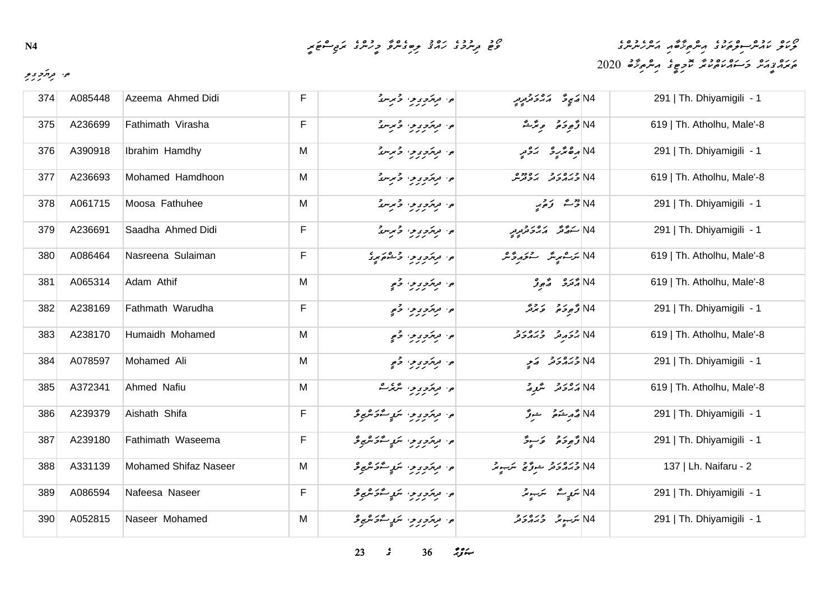*sCw7q7s5w7m< o<n9nOoAw7o< sCq;mAwBoEw7q<m; wBm;vB* م من المرة المرة المرة المرجع المرجع في المركبة 2020<br>مجم*د المريض المربوط المربع المرجع في المراجع المركبة* 

| A085448 | Azeema Ahmed Didi            | F           | او به مروکو دیگر در محمد مردمی | N4 كەنىپ <i>قەركىمىتى</i> ئەرگىرىدىنى بول         | 291   Th. Dhiyamigili - 1  |
|---------|------------------------------|-------------|--------------------------------|---------------------------------------------------|----------------------------|
| A236699 | Fathimath Virasha            | $\mathsf F$ | ه مرکزد و فرسه                 | N4 <i>وَّجِوَدَة</i> مِعَهُّ                      | 619   Th. Atholhu, Male'-8 |
| A390918 | Ibrahim Hamdhy               | M           | و· ويكوبونو، وحميدة            | N4 ب <i>ر&amp;ټرپر\$ بر§نړ</i>                    | 291   Th. Dhiyamigili - 1  |
| A236693 | Mohamed Hamdhoon             | M           | ه مرکزد دی کمیسه               | N4ج ره بر د برودو چر                              | 619   Th. Atholhu, Male'-8 |
| A061715 | Moosa Fathuhee               | M           | و· ويركوبون وحميسة             | N4ج محمد ترتمربي                                  | 291   Th. Dhiyamigili - 1  |
| A236691 | Saadha Ahmed Didi            | $\mathsf F$ | و· ورکړو دو، وګرسو             | N4 كەرگە ئەركە ئىرتى <sub>ر</sub> ىي <sub>ر</sub> | 291   Th. Dhiyamigili - 1  |
| A086464 | Nasreena Sulaiman            | F           | و ورکرد و د و مشو بر د         | N4 ىترىشمېرى <i>گە سىمۇم</i> ېرگىر                | 619   Th. Atholhu, Male'-8 |
| A065314 | Adam Athif                   | M           | ه مرکزدری و چ                  | N4 مُرْمَرْد مُحْجِوْ                             | 619   Th. Atholhu, Male'-8 |
| A238169 | Fathmath Warudha             | $\mathsf F$ | ه مرکزد د ده                   | N4 وَّجِرَة مَعْ مَرْمَّد                         | 291   Th. Dhiyamigili - 1  |
| A238170 | Humaidh Mohamed              | M           | ه مرکزدری و چ                  | N4 يُحَم <i>ِينْ وُيُ</i> مُحَمَّد                | 619   Th. Atholhu, Male'-8 |
| A078597 | Mohamed Ali                  | M           | ه مرکزدری دهی                  | N4ج <i>برو بحق م</i> َعٍ                          | 291   Th. Dhiyamigili - 1  |
| A372341 | Ahmed Nafiu                  | M           | ه ويرورو انگريم                | N4 كەش <sup>ى</sup> رىقى سى <i>گى</i> رى          | 619   Th. Atholhu, Male'-8 |
| A239379 | Aishath Shifa                | $\mathsf F$ | و وركوبو سكرٍ مشكر شركتها و    | N4 مُذہب شورٌ                                     | 291   Th. Dhiyamigili - 1  |
| A239180 | Fathimath Waseema            | F           | و- مرکز در دان سرو گرگران و    | N4 رَّج <i>وحَة</i> وَسِعَّ                       | 291   Th. Dhiyamigili - 1  |
| A331139 | <b>Mohamed Shifaz Naseer</b> | M           | و مرکزد د سکړے گرمرو و         | N4ج بروبر و محروم مرسوبر                          | 137   Lh. Naifaru - 2      |
| A086594 | Nafeesa Naseer               | F           | و- مرکز دارو و- سکوپستوکسی و   | N4 سَمَعِي مَشَرَ مَسَرِيْتِرَ                    | 291   Th. Dhiyamigili - 1  |
| A052815 | Naseer Mohamed               | M           | و· وركزو و و سكو سكركر مربو و  | N4 يَرَسِوِيْرُ - 25,25 كَرْ                      | 291   Th. Dhiyamigili - 1  |
|         |                              |             |                                |                                                   |                            |

**23** *s* **36** *z***<sub>***s***</sub>**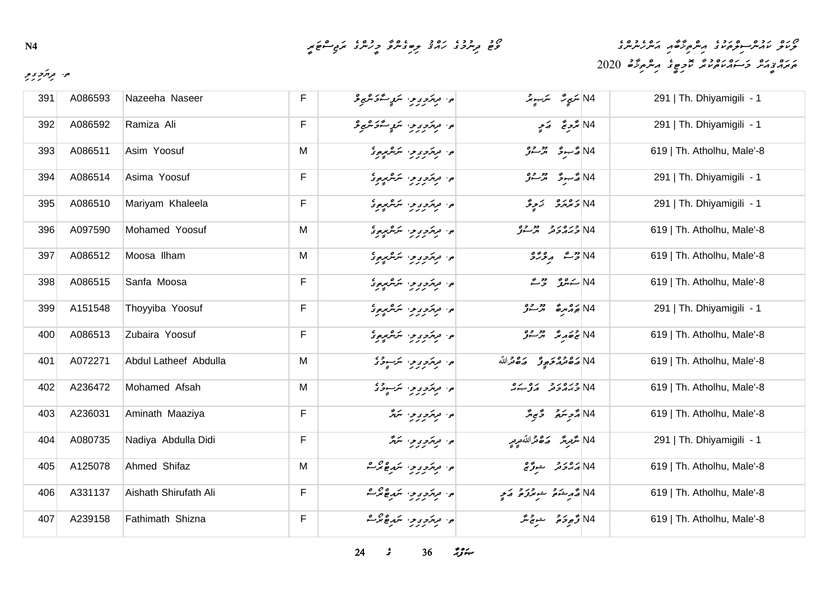*sCw7q7s5w7m< o<n9nOoAw7o< sCq;mAwBoEw7q<m; wBm;vB* م من المرة المرة المرة المرجع المرجع في المركبة 2020<br>مجم*د المريض المربوط المربع المرجع في المراجع المركبة* 

| 391 | A086593 | Nazeeha Naseer        | $\mathsf{F}$ | ە بەركەرى ئەرىپ ئەرە             | N4 سَرِمٍ مَّ سَرَسٍ مِرَّ                        | 291   Th. Dhiyamigili - 1  |
|-----|---------|-----------------------|--------------|----------------------------------|---------------------------------------------------|----------------------------|
| 392 | A086592 | Ramiza Ali            | F            | أەر بەركەت ئىگە ئىگەن ئىگەنچ     | N4 بَرْدِيَّ   رَمِ                               | 291   Th. Dhiyamigili - 1  |
| 393 | A086511 | Asim Yoosuf           | M            | والترمز والترامز مريد مريد و د   | N4 گەسىر <i>ە مەردە</i>                           | 619   Th. Atholhu, Male'-8 |
| 394 | A086514 | Asima Yoosuf          | $\mathsf F$  | ه مرکزده و شرکرموت               | N4 گەسىرى تۈرگۈ                                   | 291   Th. Dhiyamigili - 1  |
| 395 | A086510 | Mariyam Khaleela      | $\mathsf{F}$ | ه مرکزد و اسکرای و کا            | N4 ى پەيز ئىي ئىلىنى ئىل                          | 291   Th. Dhiyamigili - 1  |
| 396 | A097590 | Mohamed Yoosuf        | M            | و مرکزد و شکر م                  | N4ج بره د حر مرتبر و حرم                          | 619   Th. Atholhu, Male'-8 |
| 397 | A086512 | Moosa Ilham           | M            | و مرکز در برانگریز وی            | N4 چرمح په پوري                                   | 619   Th. Atholhu, Male'-8 |
| 398 | A086515 | Sanfa Moosa           | $\mathsf F$  | ه مرکزد و اسکرای و کا            | $23$ $22$ $\sim$ N4                               | 619   Th. Atholhu, Male'-8 |
| 399 | A151548 | Thoyyiba Yoosuf       | $\mathsf{F}$ | ه مرکزد و اسکرده                 | N4ج مرمرة معن من                                  | 291   Th. Dhiyamigili - 1  |
| 400 | A086513 | Zubaira Yoosuf        | $\mathsf F$  | م مرکزدر منگر میگر               | N4ج <i>قہر مگر</i> مرکز دو                        | 619   Th. Atholhu, Male'-8 |
| 401 | A072271 | Abdul Latheef Abdulla | M            | ه ورکوری شریده و                 | N4 <i>مَـُـهُ مَرْمَـوَّجِوْ مَـهُ مَ</i> رْاللّه | 619   Th. Atholhu, Male'-8 |
| 402 | A236472 | Mohamed Afsah         | M            | ه مرکزد د کرده د                 | N4ج بره برو برو برو                               | 619   Th. Atholhu, Male'-8 |
| 403 | A236031 | Aminath Maaziya       | $\mathsf F$  | ه ويروروا شر                     | N4 مَّ حِ سَمَّة _ حَ مِ مَّرَ                    | 619   Th. Atholhu, Male'-8 |
| 404 | A080735 | Nadiya Abdulla Didi   | $\mathsf{F}$ | و·     مرکز و یو     سرگر        | N4 سَّرَمِرِيَّز 500 مِرْاللَّهِ مِرِمِرِ         | 291   Th. Dhiyamigili - 1  |
| 405 | A125078 | Ahmed Shifaz          | M            | ه مرکزد و شروعه                  |                                                   | 619   Th. Atholhu, Male'-8 |
| 406 | A331137 | Aishath Shirufath Ali | F            | وسيركر ويروسكر على المحمد المحمد | N4 مُرمِسَمَة سُومِرْزَة مَرْمٍ                   | 619   Th. Atholhu, Male'-8 |
| 407 | A239158 | Fathimath Shizna      | $\mathsf F$  | ه مرکزد و شرکه م                 | N4 تَرْجُوحَ <sup>م</sup> َّةَ شَبِّحْ مَدَّرَ    | 619   Th. Atholhu, Male'-8 |

 $24$  *s* 36  $23$   $\div$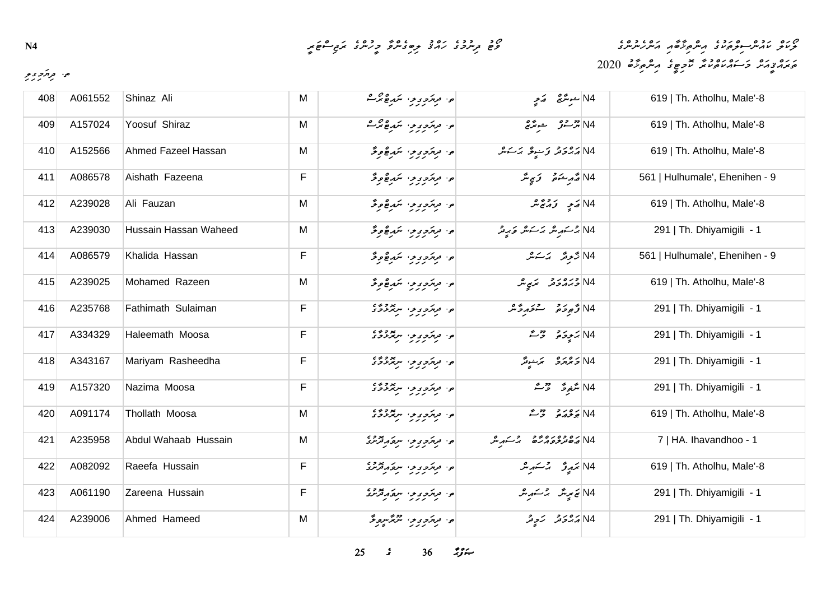*sCw7q7s5w7m< o<n9nOoAw7o< sCq;mAwBoEw7q<m; wBm;vB* م من المرة المرة المرة المرجع المرجع في المركبة 2020<br>مجم*د المريض المربوط المربع المرجع في المراجع المركبة* 

| 408 | A061552 | Shinaz Ali            | M | ء <sub>َ</sub> مرک <i>ز دو م</i> کره مگر ش                   | N4 شومَ <i>نَّ</i> کَمَ مِرَ                     | 619   Th. Atholhu, Male'-8     |
|-----|---------|-----------------------|---|--------------------------------------------------------------|--------------------------------------------------|--------------------------------|
| 409 | A157024 | Yoosuf Shiraz         | M | ه مرکزد و شروع ک                                             | N4 پر شور شویژی                                  | 619   Th. Atholhu, Male'-8     |
| 410 | A152566 | Ahmed Fazeel Hassan   | M | و مرکز در سکر همونځ                                          | N4 كەردى كى ئىس كى سەنگە                         | 619   Th. Atholhu, Male'-8     |
| 411 | A086578 | Aishath Fazeena       | F | ه مرکزدرم سکرهونگر                                           | N4 م <i>ەرخىمۇ ت</i> وپتر                        | 561   Hulhumale', Ehenihen - 9 |
| 412 | A239028 | Ali Fauzan            | M | والمتراد ولا الكراه وقر                                      | N4 كەير     تەرىج ش                              | 619   Th. Atholhu, Male'-8     |
| 413 | A239030 | Hussain Hassan Waheed | M | ه مرکزد و سکرهونگر                                           | N4 پرکسر پر کر کے پر قریباتی کر ایک ا            | 291   Th. Dhiyamigili - 1      |
| 414 | A086579 | Khalida Hassan        | F | ه مرکزد و سکرهونگر                                           | N4 رَّحِيَّر - بَرَسَ رَسُ                       | 561   Hulhumale', Ehenihen - 9 |
| 415 | A239025 | Mohamed Razeen        | M | ه مرکزد و سکرهونگر                                           | N4 <i>3285 ترېم تر</i><br>په ۱۹۹                 | 619   Th. Atholhu, Male'-8     |
| 416 | A235768 | Fathimath Sulaiman    | F |                                                              | N4 <i>وَّجوحَمْ سُمْحَهُ وَ</i> سُّرَ            | 291   Th. Dhiyamigili - 1      |
| 417 | A334329 | Haleemath Moosa       | F | ه ۰ تر تر تر بر به برنده و ۰<br>برابر تر بر بر برند برند و ۶ | N4 بَر <i>ُوِدَة</i> وَ"ـَ                       | 291   Th. Dhiyamigili - 1      |
| 418 | A343167 | Mariyam Rasheedha     | F | ه مرکزدی میکردد .<br>مسیر برد م                              | N4 ك <i>و ترورى - مَرْ</i> شِي <sup>و</sup> َّرَ | 291   Th. Dhiyamigili - 1      |
| 419 | A157320 | Nazima Moosa          | F | ه مرکزد و سرگرمرد .                                          | N4 سَّهْرِ حَ حَ مَّـَ                           | 291   Th. Dhiyamigili - 1      |
| 420 | A091174 | Thollath Moosa        | M | ه مرکزد و سرگردد .<br>مسرکز برای مرکزدگ                      | $23 - 226$ N4                                    | 619   Th. Atholhu, Male'-8     |
| 421 | A235958 | Abdul Wahaab Hussain  | M | د· مرکزدرو، سرع مرمزری                                       | N4 كەھەرمەم بەر بەر بىر بىر                      | 7   HA. Ihavandhoo - 1         |
| 422 | A082092 | Raeefa Hussain        | F | ه مرکزدی سره مرکز                                            | N4 بَرَرٍوَّ بِرَكْسَرِيْر                       | 619   Th. Atholhu, Male'-8     |
| 423 | A061190 | Zareena Hussain       | F | ه مرکزد و سره مرکز                                           | N4 بچ مرینگر کے سک <i>ور</i> یٹر                 | 291   Th. Dhiyamigili - 1      |
| 424 | A239006 | Ahmed Hameed          | M | و· مرم <i>زد و دو مینگیرد</i> ید                             | N4 كەبۇ <i>كەنتى كەچ</i> ىر                      | 291   Th. Dhiyamigili - 1      |

 $25$  *s*  $36$  *n***<sub>3</sub>** *n*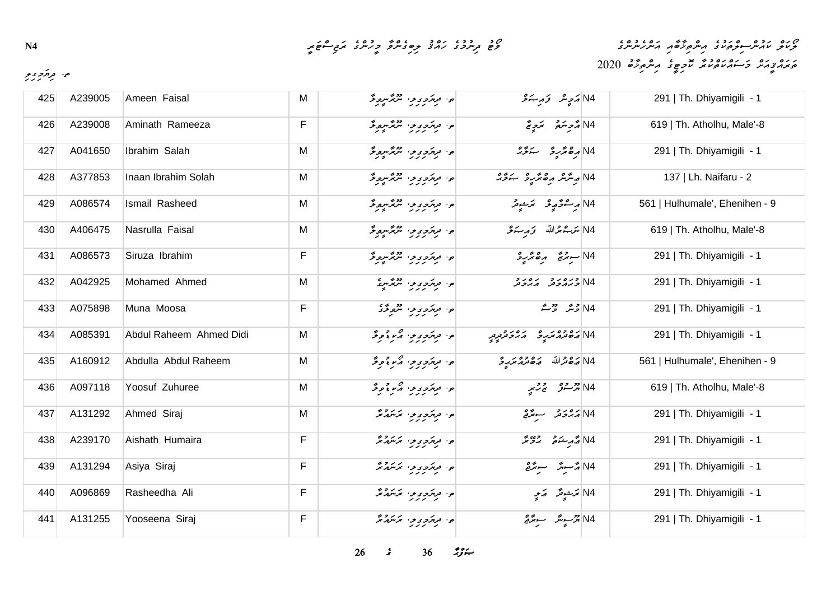*sCw7q7s5w7m< o<n9nOoAw7o< sCq;mAwBoEw7q<m; wBm;vB* م من المرة المرة المرة المرجع المرجع في المركبة 2020<br>مجم*د المريض المربوط المربع المرجع في المراجع المركبة* 

| 425 | A239005 | Ameen Faisal            | M           | اء <sub>ُ</sub> مِهْرَدِ <sub>م</sub> ِنْ مِنْ مِنْ مِنْ مِنْ مِنْ | N4 كەچ بىر   تەرىبتەتر                    | 291   Th. Dhiyamigili - 1      |
|-----|---------|-------------------------|-------------|--------------------------------------------------------------------|-------------------------------------------|--------------------------------|
| 426 | A239008 | Aminath Rameeza         | F           | ه مرکزده شرکتبروگ                                                  | N4 مُتَّحِسَّعَ مَرَحِيَّةَ               | 619   Th. Atholhu, Male'-8     |
| 427 | A041650 | Ibrahim Salah           | M           | ء مەردە دە ئىمگىرە ئ                                               | N4 مەمگەر ئەسىمگەر                        | 291   Th. Dhiyamigili - 1      |
| 428 | A377853 | Inaan Ibrahim Solah     | M           | و مرکزد و میگیروگ                                                  | N4 مِتَرَسَّر مِرْحَتَّرِةِ جَنَّجَةِ     | 137   Lh. Naifaru - 2          |
| 429 | A086574 | Ismail Rasheed          | M           | و مرکزدرو میگیروگ                                                  | N4 <sub>مر</sub> سىمۇ م <sub>ەشھ</sub> ەر | 561   Hulhumale', Ehenihen - 9 |
| 430 | A406475 | Nasrulla Faisal         | M           | ه مرکزده و شمرگیره د                                               | N4 ىتربىقىتى الله      ترم ب تكو          | 619   Th. Atholhu, Male'-8     |
| 431 | A086573 | Siruza Ibrahim          | F           | و· مرکزدرو، میگیرودگر                                              | N4 – يريح م <i>ت هن</i> گريز              | 291   Th. Dhiyamigili - 1      |
| 432 | A042925 | Mohamed Ahmed           | M           | و· مرمزد و در مرمد مربع                                            | N4 <i>32023 م</i> روبر                    | 291   Th. Dhiyamigili - 1      |
| 433 | A075898 | Muna Moosa              | $\mathsf F$ | ه مرکزد و معمومی                                                   | N4 دُنگ تۇش                               | 291   Th. Dhiyamigili - 1      |
| 434 | A085391 | Abdul Raheem Ahmed Didi | M           | وسور در وساء و د                                                   | N4 كەھەترە <i>كەن ئەرە دىرى</i> ر         | 291   Th. Dhiyamigili - 1      |
| 435 | A160912 | Abdulla Abdul Raheem    | M           | ه مرکزدرو اکرایونج                                                 | N4 كەھىراللە كەھ <i>ىرمەترىر ۋ</i>        | 561   Hulhumale', Ehenihen - 9 |
| 436 | A097118 | Yoosuf Zuhuree          | M           | ء مرکزد و مرکز و گر                                                | N4 پر متعمر ہے مت <sub>ا</sub> میر        | 619   Th. Atholhu, Male'-8     |
| 437 | A131292 | Ahmed Siraj             | M           | ه مرکزده نمسکر                                                     | N4 كەبرى كىرىمىسى ئىس بىرى ئىن ئى         | 291   Th. Dhiyamigili - 1      |
| 438 | A239170 | Aishath Humaira         | F           | ه مرکزد و نمکند                                                    | N4 مەم شىم مەدىمە                         | 291   Th. Dhiyamigili - 1      |
| 439 | A131294 | Asiya Siraj             | $\mathsf F$ | ه مرکزد و نمکند                                                    | N4 مُرْسِعَ <i>رٌ</i> سِعِمَّةٍ           | 291   Th. Dhiyamigili - 1      |
| 440 | A096869 | Rasheedha Ali           | F           | ه مرکزد و نمکند                                                    | N4 <del>مَ</del> رْحِوْمَ - صَرِّ         | 291   Th. Dhiyamigili - 1      |
| 441 | A131255 | Yooseena Siraj          | F           | ه مرکزد و نمکند                                                    | N4 پژسویٹر سوئٹرف <sub>ٹ</sub>            | 291   Th. Dhiyamigili - 1      |

 $26$  *s*  $36$  *z*  $25$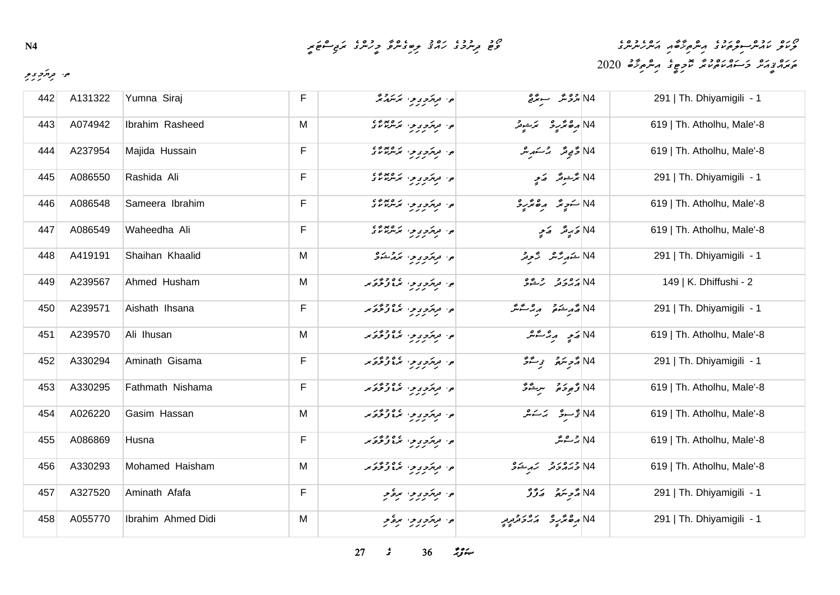*sCw7q7s5w7m< o<n9nOoAw7o< sCq;mAwBoEw7q<m; wBm;vB* م من المرة المرة المرة المرجع المرجع في المركبة 2020<br>مجم*د المريض المربوط المربع المرجع في المراجع المركبة* 

| 442 | A131322 | Yumna Siraj        | F           | و · مرکز در در مرکز گر                                                                                                                                                                                                           | N4 مركز مگر محمد محمد الم                  | 291   Th. Dhiyamigili - 1  |
|-----|---------|--------------------|-------------|----------------------------------------------------------------------------------------------------------------------------------------------------------------------------------------------------------------------------------|--------------------------------------------|----------------------------|
| 443 | A074942 | Ibrahim Rasheed    | M           | ه مرکزد و مرکز میکند و به این محمد و به این محمد این محمد این محمد این محمد این محمد این محمد این محمد این محم<br>محمد این محمد این محمد این محمد این محمد این محمد این محمد این محمد این محمد این محمد این محمد این محمد این مح | N4 مِر <i>ە مُدَّرٍ \$سَمَ مَرْسُوم</i> ْر | 619   Th. Atholhu, Male'-8 |
| 444 | A237954 | Majida Hussain     | F           | د· مرکزدر و· نمکردن                                                                                                                                                                                                              | N4 دَّى مَدْ كَرْسَمبر مْرْ                | 619   Th. Atholhu, Male'-8 |
| 445 | A086550 | Rashida Ali        | $\mathsf F$ | د مرکزدر د کردن ده.<br>  د مرکزدر کردن                                                                                                                                                                                           | N4 مَگْرْشُوشٌ     مَگْرِ بِرِ             | 291   Th. Dhiyamigili - 1  |
| 446 | A086548 | Sameera Ibrahim    | $\mathsf F$ | ه مرکزد و بر مرکز                                                                                                                                                                                                                | N4 سَمَّحٍ بَمَّ مِنْ مَحْرَبِ 3           | 619   Th. Atholhu, Male'-8 |
| 447 | A086549 | Waheedha Ali       | $\mathsf F$ | ه مرکزد و نرگیرین                                                                                                                                                                                                                | N4 حَ بِيمَد صَعِي                         | 619   Th. Atholhu, Male'-8 |
| 448 | A419191 | Shaihan Khaalid    | M           | و · مرکز در و اسکار شده ک                                                                                                                                                                                                        | N4 خەر ئەگە ئىلىقىسى ئىل                   | 291   Th. Dhiyamigili - 1  |
| 449 | A239567 | Ahmed Husham       | M           | ه معرض و معدود المعدد المعد                                                                                                                                                                                                      | N4 كەبرى بىر ئەستەن                        | 149   K. Dhiffushi - 2     |
| 450 | A239571 | Aishath Ihsana     | $\mathsf F$ | و مرکزد و مرد و و و در                                                                                                                                                                                                           | N4 مَەرىسَىمْ    رېژىستىتر                 | 291   Th. Dhiyamigili - 1  |
| 451 | A239570 | Ali Ihusan         | M           | د ا درگردی د استان د وگرمد<br>  د استان د روزان مرد و گرگرمد                                                                                                                                                                     | N4 پر پر میگش                              | 619   Th. Atholhu, Male'-8 |
| 452 | A330294 | Aminath Gisama     | F           | ه • مرکزد د و استان و به در                                                                                                                                                                                                      | N4 مَّ حِ سَمَعَ تَ سَمَّعَتَ              | 291   Th. Dhiyamigili - 1  |
| 453 | A330295 | Fathmath Nishama   | F           | د مرکزدی د عود د د د د د د                                                                                                                                                                                                       | N4 <i>وَّجِ دَمَّ</i> سِتَّمَرَّ           | 619   Th. Atholhu, Male'-8 |
| 454 | A026220 | Gasim Hassan       | M           | ه و مرکز د د و و د د کار                                                                                                                                                                                                         | N4 تخ-بى - ئەسەنلە                         | 619   Th. Atholhu, Male'-8 |
| 455 | A086869 | Husna              | F           | ه مرکزدی می دود در م                                                                                                                                                                                                             | N4 پر هر پر                                | 619   Th. Atholhu, Male'-8 |
| 456 | A330293 | Mohamed Haisham    | M           | ه مهرود و عود و و در                                                                                                                                                                                                             | N4ج يەرە بەر ئەر شەر                       | 619   Th. Atholhu, Male'-8 |
| 457 | A327520 | Aminath Afafa      | F           | وسورکرویو، سرهمو                                                                                                                                                                                                                 | N4 مَّحِسَمَةً صَوَّرَّ                    | 291   Th. Dhiyamigili - 1  |
| 458 | A055770 | Ibrahim Ahmed Didi | M           | ه ويردون بره و                                                                                                                                                                                                                   | N4 مەھەرىپ ھەركە ئىرىدىر                   | 291   Th. Dhiyamigili - 1  |

*27 sC 36 nNw?mS*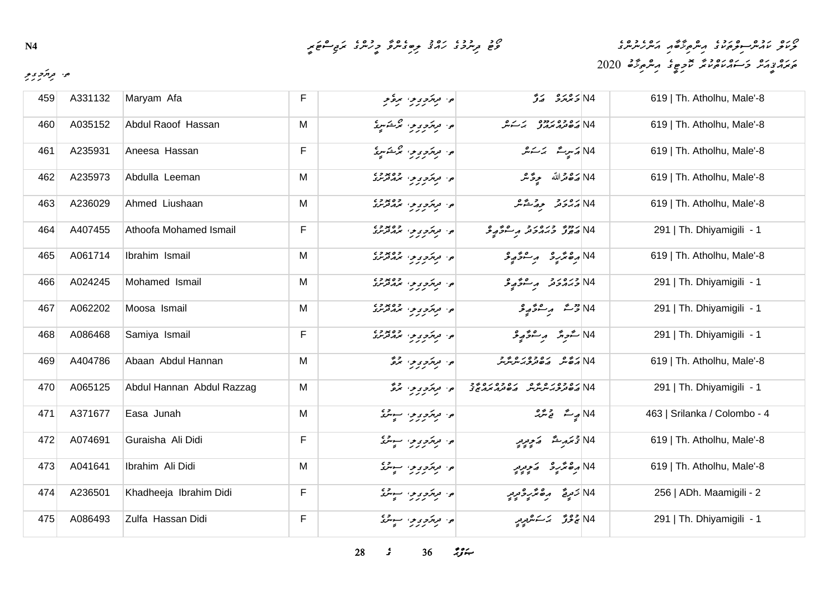*sCw7q7s5w7m< o<n9nOoAw7o< sCq;mAwBoEw7q<m; wBm;vB* م من المرة المرة المرة المرجع المرجع في المركبة 2020<br>مجم*د المريض المربوط المربع المرجع في المراجع المركبة* 

| 459 | A331132 | Maryam Afa                | F | ه و مرکزد و استفاد                                           | $52.25 \times 14$                                                                                              | 619   Th. Atholhu, Male'-8   |
|-----|---------|---------------------------|---|--------------------------------------------------------------|----------------------------------------------------------------------------------------------------------------|------------------------------|
| 460 | A035152 | Abdul Raoof Hassan        | M | و · مرکز در در مرکز میرنگ                                    | N4 كەھ <i>قرە بردە بىر س</i> ەشر                                                                               | 619   Th. Atholhu, Male'-8   |
| 461 | A235931 | Aneesa Hassan             | F | و · مرکز در در انگریشکاریدگا                                 | N4  كەسىرىسى    كەسكەنلىر                                                                                      | 619   Th. Atholhu, Male'-8   |
| 462 | A235973 | Abdulla Leeman            | M | ه ۰ مرمزد و در دوره در در با                                 | N4 كەھەراللە م <sub>و</sub> گە                                                                                 | 619   Th. Atholhu, Male'-8   |
| 463 | A236029 | Ahmed Liushaan            | M | ه مرکزد و مرکز ده<br>مسرکز و مرکز                            | N4 كەبرى بورگىشەر                                                                                              | 619   Th. Atholhu, Male'-8   |
| 464 | A407455 | Athoofa Mohamed Ismail    | F | د ورکړو د مرکزمرد<br>  د ورکړو مرکز                          | N4   مجوز بر مردم مرکب میگردید کلید به این مردم استان میتواند کلید به این مردم استان میتواند به مردم استان می  | 291   Th. Dhiyamigili - 1    |
| 465 | A061714 | Ibrahim Ismail            | M | ه ۱۰ مرکز در در ۲۶ مرد و در د<br>  د ۱۰ مرکز در در مرکز مرکز | N4 مەمگەپى مەسىئەم پىلىكىنى ئىل                                                                                | 619   Th. Atholhu, Male'-8   |
| 466 | A024245 | Mohamed Ismail            | M | ه ۰ مرکز در و ۶ مرکز در و ۶<br>  د ۱ مرکز در مرکز مرکز مرکز  | N4 <i>32023 م شۇم</i> ۇ                                                                                        | 291   Th. Dhiyamigili - 1    |
| 467 | A062202 | Moosa Ismail              | M | ه ۰ مرکز در و ۵ و ۵ و د و<br>  د ۰ مرکز در در مرکز مرکز      | N4 جيءُ په شوگويو ه                                                                                            | 291   Th. Dhiyamigili - 1    |
| 468 | A086468 | Samiya Ismail             | F | ص مرکز در ده برد دره<br>  ص مرکز در مرکز مرکز در             | N4 گجرم <i>د و محمو</i> مح                                                                                     | 291   Th. Dhiyamigili - 1    |
| 469 | A404786 | Abaan Abdul Hannan        | M | ه ويركوبون بوگ                                               | N4 كەڭ شەھەر ئەر ئارلىرىگە ئارلىرىگە ئارلىرىگە ئارلىك ئارلىك ئارلىك ئارلىك ئارلىك ئارلىك ئارلىك ئارلىك ئارلىك  | 619   Th. Atholhu, Male'-8   |
| 470 | A065125 | Abdul Hannan Abdul Razzag | M | أوس مركز ويوس محرق                                           | N4 كەھ تەرجەم ئەرەر تەرەپ دە بەرە ئەرەپ تەرەپ تەرەپ تەرەپ تەرەپ تەرەپ تەرەپ تەرەپ تەرەپ كەرەپ كەرەپ كەرەپ كەرە | 291   Th. Dhiyamigili - 1    |
| 471 | A371677 | Easa Junah                | M | ه مرکزدرو، سوشگا                                             | N4 موتحہ قے <i>مثر</i> 2                                                                                       | 463   Srilanka / Colombo - 4 |
| 472 | A074691 | Guraisha Ali Didi         | F | د ورکرد د و سومره                                            | N4 تۇتترىرىش كەمەيدىر                                                                                          | 619   Th. Atholhu, Male'-8   |
| 473 | A041641 | Ibrahim Ali Didi          | M | ه مرکزد د سوشد                                               | N4 مرھ مَّرْرِ 2 - مَرْمِرِمْرِ                                                                                | 619   Th. Atholhu, Male'-8   |
| 474 | A236501 | Khadheeja Ibrahim Didi    | F | ه مرکزد د سوش                                                | N4 دَمِيعً مِنْ مُحْرَبِ وَمِيعٍ                                                                               | 256   ADh. Maamigili - 2     |
| 475 | A086493 | Zulfa Hassan Didi         | F | ه مرکزد د سرگ                                                | N4 ج ترو تر شر مرمر مر                                                                                         | 291   Th. Dhiyamigili - 1    |

**28** *s* **36** *z z*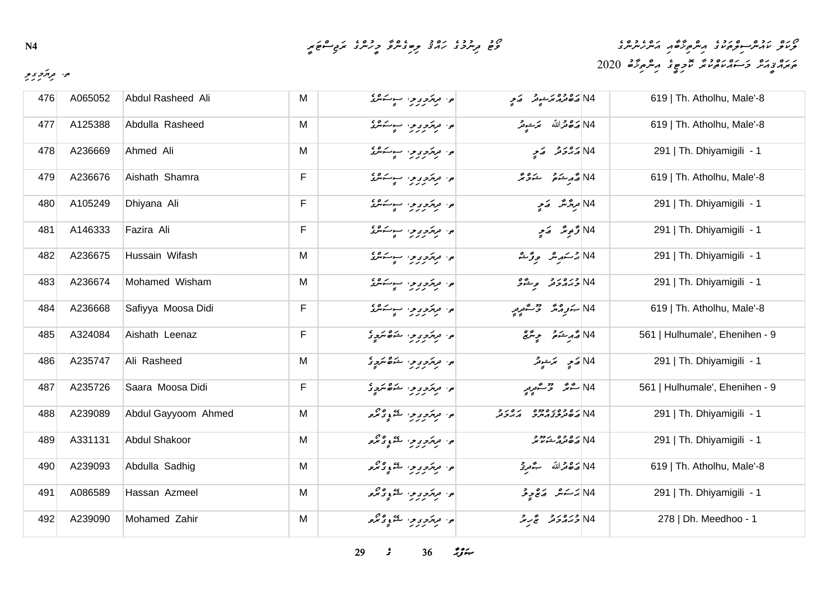*sCw7q7s5w7m< o<n9nOoAw7o< sCq;mAwBoEw7q<m; wBm;vB* م من المرة المرة المرة المرجع المرجع في المركبة 2020<br>مجم*د المريض المربوط المربع المرجع في المراجع المركبة* 

| 476 | A065052 | Abdul Rasheed Ali    | M |                                                                                                                                                                                                                                | N4 كەھە <i>تەم كەنچە</i> ھەمچ          | 619   Th. Atholhu, Male'-8     |  |
|-----|---------|----------------------|---|--------------------------------------------------------------------------------------------------------------------------------------------------------------------------------------------------------------------------------|----------------------------------------|--------------------------------|--|
| 477 | A125388 | Abdulla Rasheed      | M | ه مەكرى بەسىستەندى.<br>بەر بەيرىيە                                                                                                                                                                                             | N4 كەھەراللە كەن يوتر                  | 619   Th. Atholhu, Male'-8     |  |
| 478 | A236669 | Ahmed Ali            | M | ه مرکزده سوسکندگی                                                                                                                                                                                                              | N4  پَ <i>.25ش پ</i> َ یو              | 291   Th. Dhiyamigili - 1      |  |
| 479 | A236676 | Aishath Shamra       | F | ه مەركەرى سوسىمىتىگە                                                                                                                                                                                                           | N4 مَّەرِ مَنَّمَّةٌ مَّتَوَكَّرٌ      | 619   Th. Atholhu, Male'-8     |  |
| 480 | A105249 | Dhiyana Ali          | F | ه مرکزدری سوسکندگی<br>راه در در                                                                                                                                                                                                | N4 مرتزمتر کرم پ                       | 291   Th. Dhiyamigili - 1      |  |
| 481 | A146333 | Fazira Ali           | F | ە بەركىرى سوسەھىي                                                                                                                                                                                                              | N4 وَم <sub>ُ</sub> مِرَّ - رَمِ       | 291   Th. Dhiyamigili - 1      |  |
| 482 | A236675 | Hussain Wifash       | M | ء <sub>`</sub> مرکز در در سوسک <sup>ر</sup> شد که م                                                                                                                                                                            | N4 بڑے پر موگ <sup>م</sup> ے           | 291   Th. Dhiyamigili - 1      |  |
| 483 | A236674 | Mohamed Wisham       | M | ه مرکزده سوسکرده<br>د روز و                                                                                                                                                                                                    | N4 <i>5 برو 5 قر</i> م مش <sup>و</sup> | 291   Th. Dhiyamigili - 1      |  |
| 484 | A236668 | Safiyya Moosa Didi   | F | په مرکزې د په موسمونه کليکو کليکو کليکو کليکو کليکو کليکو کليکو کليکو کليکو کليکو کليکو کليکو کليکو کليکو کل<br>استاد کليکو کليکو کليکو کليکو کليکو کليکو کليکو کليکو کليکو کليکو کليکو کليکو کليکو کليکو کليکو کليکو کليکو کل | N4 ج <i>نو ۾ پڻ جي گ</i> مومي          | 619   Th. Atholhu, Male'-8     |  |
| 485 | A324084 | Aishath Leenaz       | F | په مرکز <sub>کر ک</sub> ره شوه کرد کړه کل                                                                                                                                                                                      | N4 مەرخىق م <sub>و</sub> شق            | 561   Hulhumale', Ehenihen - 9 |  |
| 486 | A235747 | Ali Rasheed          | M | ه مرکزدی شکه کرد ؟<br>ام                                                                                                                                                                                                       | N4 كەمچە كەشپەتر                       | 291   Th. Dhiyamigili - 1      |  |
| 487 | A235726 | Saara Moosa Didi     | F | ه مرکزد و استمام دی                                                                                                                                                                                                            | N4 گەنگە قۇستەمبەير                    | 561   Hulhumale', Ehenihen - 9 |  |
| 488 | A239089 | Abdul Gayyoom Ahmed  | M | ه مرکزد و گنج دمی                                                                                                                                                                                                              | N4 ره وه بره ووه مر بر د و             | 291   Th. Dhiyamigili - 1      |  |
| 489 | A331131 | <b>Abdul Shakoor</b> | M | په مرکز در دو، کشي وجه در کل                                                                                                                                                                                                   | N4 كەھ <i>قرار شەھ تىر</i>             | 291   Th. Dhiyamigili - 1      |  |
| 490 | A239093 | Abdulla Sadhig       | M | و . مرکز در دو . هند و محمد .                                                                                                                                                                                                  | N4 كەھەراللە سەمىرتى                   | 619   Th. Atholhu, Male'-8     |  |
| 491 | A086589 | Hassan Azmeel        | M | ه مرکزدی که دهم                                                                                                                                                                                                                | N4   پرسترېن کا پرېڅ <i>چ</i> ر تحر    | 291   Th. Dhiyamigili - 1      |  |
| 492 | A239090 | Mohamed Zahir        | M | و· مرکز در دو، گنگو و مرکز                                                                                                                                                                                                     | N4 <i>3222 كارىتى</i>                  | 278   Dh. Meedhoo - 1          |  |

**29** *s* 36 *z*  $\frac{2}{3}$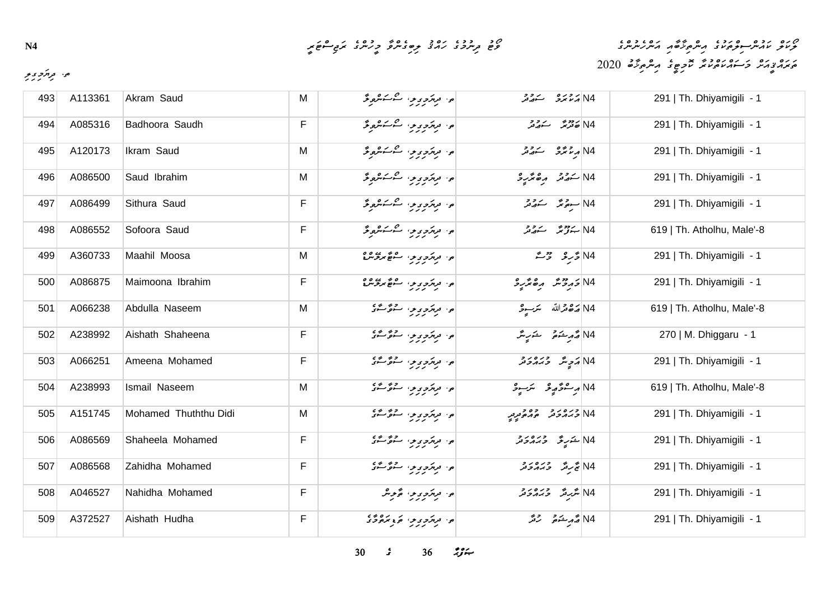*sCw7q7s5w7m< o<n9nOoAw7o< sCq;mAwBoEw7q<m; wBm;vB* م من المرة المرة المرة المرجع المراجع المراجع المراجع المراجع المراجع المراجع المراجع المراجع المراجع المراجع<br>مرين المراجع المراجع المرجع المراجع المراجع المراجع المراجع المراجع المراجع المراجع المراجع المراجع المراجع ال

| 493 | A113361 | Akram Saud            | M           | ە بەردىرى سىسكىرۇ                                                                                  | N4 پر متعرف سکھ سکھ                        | 291   Th. Dhiyamigili - 1  |
|-----|---------|-----------------------|-------------|----------------------------------------------------------------------------------------------------|--------------------------------------------|----------------------------|
| 494 | A085316 | Badhoora Saudh        | F           | ه مرکز دی گے مگرومگر                                                                               | N4 ڪقريمُر سن <i>ھ</i> تر                  | 291   Th. Dhiyamigili - 1  |
| 495 | A120173 | Ikram Saud            | M           | ه مرکزد و مشکورهٔ                                                                                  | N4 مِرْمَتَّرَّدُّ سَمَ <i>مَ</i> ةَ مِ    | 291   Th. Dhiyamigili - 1  |
| 496 | A086500 | Saud Ibrahim          | M           | ه مەدەرى سىستىرۇ                                                                                   |                                            | 291   Th. Dhiyamigili - 1  |
| 497 | A086499 | Sithura Saud          | F           | و مرمزور و اسکسی و گ                                                                               | N4 سو <i>ھ پڻھ سندھ</i> تر                 | 291   Th. Dhiyamigili - 1  |
| 498 | A086552 | Sofoora Saud          | $\mathsf F$ | ە مەردە دە سىستىرۇ                                                                                 | N4 بەدە بىر بەرە بەر                       | 619   Th. Atholhu, Male'-8 |
| 499 | A360733 | Maahil Moosa          | M           | ه مرکزد و استطاعه و به ده<br>استرو در استطاعه و من                                                 | N4 وَرِوْ وَمْتَدْ                         | 291   Th. Dhiyamigili - 1  |
| 500 | A086875 | Maimoona Ibrahim      | $\mathsf F$ | و · مرمزد و د ع الله عند و الله عند و الله عند و الله عند الله عند الله عند الله عند الله عند الله | N4 كەرىخ ئىر مەھ ئىرىكى                    | 291   Th. Dhiyamigili - 1  |
| 501 | A066238 | Abdulla Naseem        | M           | ه مرکزد و استوکسی                                                                                  | N4 كَەھْتَراللە مَرَسِوتَر                 | 619   Th. Atholhu, Male'-8 |
| 502 | A238992 | Aishath Shaheena      | F           | ه مرکزد و به دوره داده<br>در درور                                                                  | N4 مَرْمِرْ مُحَمَّدٍ مُحَمَّرِ مَّرَ      | 270   M. Dhiggaru - 1      |
| 503 | A066251 | Ameena Mohamed        | F           | د مرکزدر د استفراد د                                                                               | N4 كەچ ئىگە ئەمگە ئەرەپىر                  | 291   Th. Dhiyamigili - 1  |
| 504 | A238993 | Ismail Naseem         | M           | ه مەردى مەشقى                                                                                      | N4 <sub>م</sub> رےدو چوٹ سرگور             | 619   Th. Atholhu, Male'-8 |
| 505 | A151745 | Mohamed Thuththu Didi | M           | ه مەردى مەشقى                                                                                      | N4ج د مرود و و و و ديد د                   | 291   Th. Dhiyamigili - 1  |
| 506 | A086569 | Shaheela Mohamed      | F           | و • مرکز درو به سوه سوه                                                                            | N4 خَرَرٍ عَنْ رَحْمَةً مِنْ مَسْرَوْمَتْر | 291   Th. Dhiyamigili - 1  |
| 507 | A086568 | Zahidha Mohamed       | $\mathsf F$ | ه درگردد و متوسق                                                                                   | N4 تج برمد محمد 1945 مر                    | 291   Th. Dhiyamigili - 1  |
| 508 | A046527 | Nahidha Mohamed       | $\mathsf F$ | و· مرمزدرو و محمومثر                                                                               | N4 مَّر <i>ْبِ</i> مَدَّ دَيَرَ مَرَ مَرَّ | 291   Th. Dhiyamigili - 1  |
| 509 | A372527 | Aishath Hudha         | F           | ه مرکزدی و عرومی                                                                                   | N4 مُگهرِ شَمَعٌ گَمَّرٌ                   | 291   Th. Dhiyamigili - 1  |

**30** *s* 36 *n***<sub>s</sub>** $\rightarrow$  36 *n* $\rightarrow$  36 *n* $\rightarrow$  36 *n* $\rightarrow$  36 *n* $\rightarrow$  36 *n* $\rightarrow$  36 *n* $\rightarrow$  36 *n* $\rightarrow$  36 *n* $\rightarrow$  36 *n* $\rightarrow$  36 *n* $\rightarrow$  36 *n* $\rightarrow$  36 *n* $\rightarrow$  36 *n* $\rightarrow$  36 *n* $\rightarrow$  36 *n* $\rightarrow$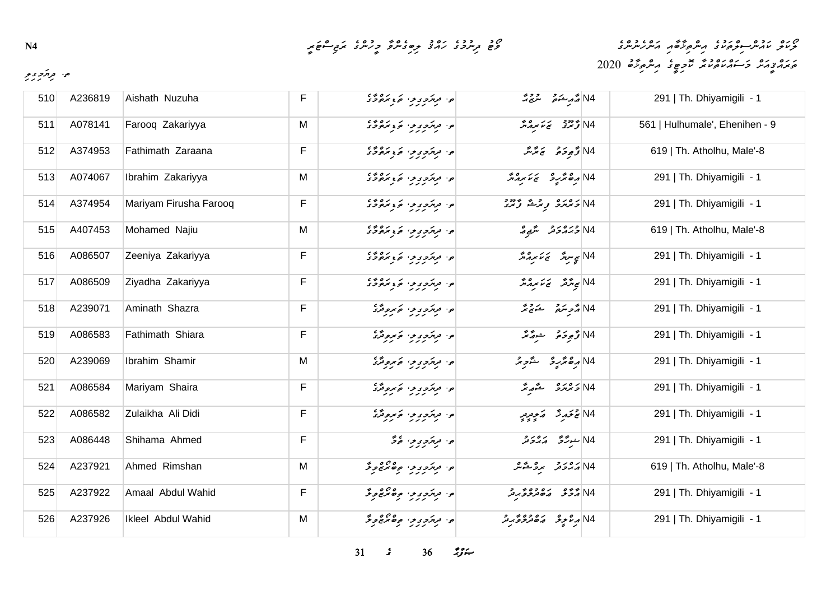*sCw7q7s5w7m< o<n9nOoAw7o< sCq;mAwBoEw7q<m; wBm;vB* م من المرة المرة المرة المرجع المراجع المراجع المراجع المراجع المراجع المراجع المراجع المراجع المراجع المراجع<br>مرين المراجع المراجع المرجع المراجع المراجع المراجع المراجع المراجع المراجع المراجع المراجع المراجع المراجع ال

| 510 | A236819 | Aishath Nuzuha            | F           | ه مرکزدی و عمده ده                       | N4 مەم ئىسىم ئىس ئىرىم ئى                 | 291   Th. Dhiyamigili - 1      |
|-----|---------|---------------------------|-------------|------------------------------------------|-------------------------------------------|--------------------------------|
| 511 | A078141 | Farooq Zakariyya          | M           | ه مرکزدی و عمومی                         | N4 ۇچ <sub>مىق</sub> ئە <i>مەمەمە</i>     | 561   Hulhumale', Ehenihen - 9 |
| 512 | A374953 | Fathimath Zaraana         | $\mathsf F$ | ه · مرکزدی و انگروه و انگروه دارد.<br>ام | N4 زَّەب <i>ە دَەڭ</i> ئەنگەنگر           | 619   Th. Atholhu, Male'-8     |
| 513 | A074067 | Ibrahim Zakariyya         | M           | و · مرکز در دو و و برو دی                | N4 مەھەرىپە ئەسىمە ئىرىدىكە               | 291   Th. Dhiyamigili - 1      |
| 514 | A374954 | Mariyam Firusha Farooq    | $\mathsf F$ | ه مرکزدی که ده ده                        | N4 كەمكەر ئومرىشە كەمدى                   | 291   Th. Dhiyamigili - 1      |
| 515 | A407453 | Mohamed Najiu             | M           | ه مرکزد و عمومی ده ده                    | N4 وبرور و سگھ <sub>ر</sub> و             | 619   Th. Atholhu, Male'-8     |
| 516 | A086507 | Zeeniya Zakariyya         | F           | و · مرکز در دوره و برده در و             | N4 پې سرم <i>گە ئەندى</i> رە مگ           | 291   Th. Dhiyamigili - 1      |
| 517 | A086509 | Ziyadha Zakariyya         | F           | و · مرکز در دوره و برده در و             | N4 ىبەتزىتر سىم <i>ئىرەر ق</i> ر          | 291   Th. Dhiyamigili - 1      |
| 518 | A239071 | Aminath Shazra            | $\mathsf F$ | ه مرکزد و نمبروترد                       | N4 مَرْحِ سَرَى جَمْعَ مَدْ               | 291   Th. Dhiyamigili - 1      |
| 519 | A086583 | Fathimath Shiara          | F           |                                          | N4 زَّجِرحَة صَرْمَةٌ مَّدَ               | 291   Th. Dhiyamigili - 1      |
| 520 | A239069 | Ibrahim Shamir            | M           | و · مرکز در و ان کارو مرد ک              | N4 مەھم <i>گرى</i> ھەرىمە                 | 291   Th. Dhiyamigili - 1      |
| 521 | A086584 | Mariyam Shaira            | F           | ه مرکزد د کارونده                        | N4ج بمبر <i>د بحمي شهر برگ</i>            | 291   Th. Dhiyamigili - 1      |
| 522 | A086582 | Zulaikha Ali Didi         | $\mathsf F$ | ه مرکزد و نمبروند                        | N4 تح تزمر <sup>ی</sup> – تر ویرور        | 291   Th. Dhiyamigili - 1      |
| 523 | A086448 | Shihama Ahmed             | F           | من مرکز در در مرکز<br>  من مرکز را مرکز  | N4 حو <i>ثرًى مەدەن</i> ر                 | 291   Th. Dhiyamigili - 1      |
| 524 | A237921 | Ahmed Rimshan             | M           | و· مرمزد و در موره برج و د گ             | N4 كەبرى تىر بىرى ئىگەنگر                 | 619   Th. Atholhu, Male'-8     |
| 525 | A237922 | Amaal Abdul Wahid         | F           | و مرکزد و موه مرکز و د                   | N4 دَّرَّتْرَ دَەمْمَر <i>ْوَةٌ ب</i> ەرْ | 291   Th. Dhiyamigili - 1      |
| 526 | A237926 | <b>Ikleel Abdul Wahid</b> | M           | و مرکزدر و موه نده و د                   | N4 مەنزىقى ئەھەر ئۇن <i>تى</i> بەر        | 291   Th. Dhiyamigili - 1      |

 $31$  *s*  $36$  *n***<sub>y</sub>**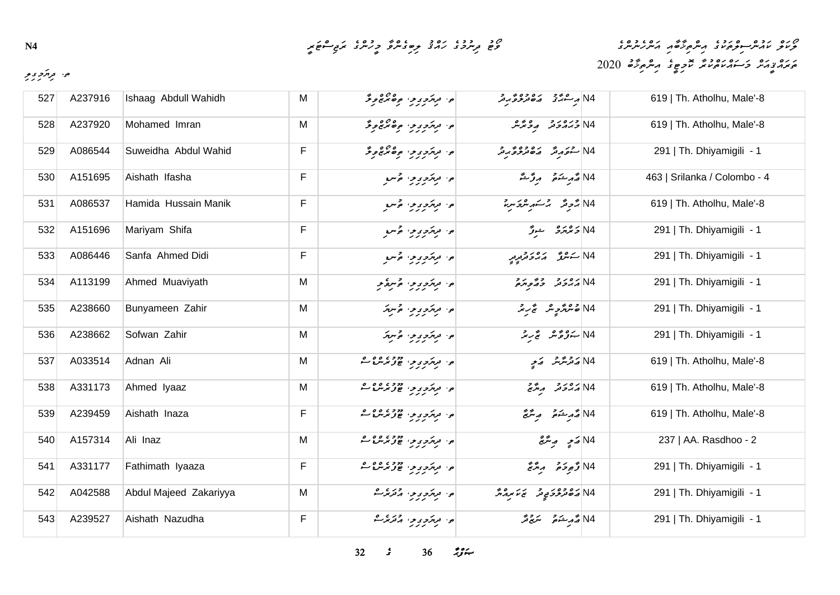*sCw7q7s5w7m< o<n9nOoAw7o< sCq;mAwBoEw7q<m; wBm;vB* م من المرة المرة المرة المرجع المراجع المراجع المراجع المراجع المراجع المراجع المراجع المراجع المراجع المراجع<br>مرين المراجع المراجع المرجع المراجع المراجع المراجع المراجع المراجع المراجع المراجع المراجع المراجع المراجع ال

| 527 | A237916 | Ishaag Abdull Wahidh   | M | و · مرمزد و در موضع و د                                     | N4 مر ش <i>مرگی ماه فروغ ب</i> اتر            | 619   Th. Atholhu, Male'-8   |
|-----|---------|------------------------|---|-------------------------------------------------------------|-----------------------------------------------|------------------------------|
| 528 | A237920 | Mohamed Imran          | M | و مرکزد و موه مرکز و د                                      | N4 <i>ڈبزوجو پروبڑ</i> ئر                     | 619   Th. Atholhu, Male'-8   |
| 529 | A086544 | Suweidha Abdul Wahid   | F | و مرکز در و همگر و د                                        | N4 شۇم <i>ونۇ مەھەردە ئ</i> ور                | 291   Th. Dhiyamigili - 1    |
| 530 | A151695 | Aishath Ifasha         | F | ه مرکزد د و همس                                             | N4 مَّەمِسْدَمَّى مِتَرَّسَّةَ                | 463   Srilanka / Colombo - 4 |
| 531 | A086537 | Hamida Hussain Manik   | F | ه مرکزد دو همس                                              | N4 تُرجعٌ بِرْسَم مِعْرَ مِنْ مِنْ            | 619   Th. Atholhu, Male'-8   |
| 532 | A151696 | Mariyam Shifa          | F | ه ويركزون محسن                                              | N4ج <i>بح</i> پڻر گر شوگر                     | 291   Th. Dhiyamigili - 1    |
| 533 | A086446 | Sanfa Ahmed Didi       | F | ه مرکزدری که س                                              |                                               | 291   Th. Dhiyamigili - 1    |
| 534 | A113199 | Ahmed Muaviyath        | M | ه مرکزدرو، وسرهٔ د                                          | N4 <i>הُגُכ</i> َى دَرُّہِ دَرَّمَ            | 291   Th. Dhiyamigili - 1    |
| 535 | A238660 | Bunyameen Zahir        | M | ه ويرودون فرس                                               | N4 <i>ھىترو چىر چې بو</i>                     | 291   Th. Dhiyamigili - 1    |
| 536 | A238662 | Sofwan Zahir           | M | ه ويرورو المحمد                                             | N4 بەر <i>وم شەرىتى</i>                       | 291   Th. Dhiyamigili - 1    |
| 537 | A033514 | Adnan Ali              | M | ه مرکز در مورد و ده م                                       | N4 كەنگرىگرىش كەي                             | 619   Th. Atholhu, Male'-8   |
| 538 | A331173 | Ahmed Iyaaz            | M | ه مرکزدر و مورد و ده م                                      | N4 كەبرى قىر مەمگەنتى                         | 619   Th. Atholhu, Male'-8   |
| 539 | A239459 | Aishath Inaza          | F | ه مرکزد د و ده ده می د                                      | N4 صَّمِيشَة صِمَّتَهَ                        | 619   Th. Atholhu, Male'-8   |
| 540 | A157314 | Ali Inaz               | M | م مرکزد و موسیق می ده می داد.<br>مستقر در موسیق می می موسیق | N4 <i>ھَ جِه م</i> ِسَّمَّة                   | 237   AA. Rasdhoo - 2        |
| 541 | A331177 | Fathimath Iyaaza       | F | م مرکزد و موسیق می                                          | N4 وَّجِوحَةُ مِتَّمَّةٌ                      | 291   Th. Dhiyamigili - 1    |
| 542 | A042588 | Abdul Majeed Zakariyya | M | و · مرکز در و از مرکز ک                                     | N4 كەھىر <i>3 كىمى ئىم بىر مەنگە</i>          | 291   Th. Dhiyamigili - 1    |
| 543 | A239527 | Aishath Nazudha        | F | ه مرکزد د ارتز ک                                            | N4 مَ <i>مْ مِ</i> شَمَعْ مَرْ مَرْتَهُ مَّرْ | 291   Th. Dhiyamigili - 1    |

**32** *s* **36** *z s*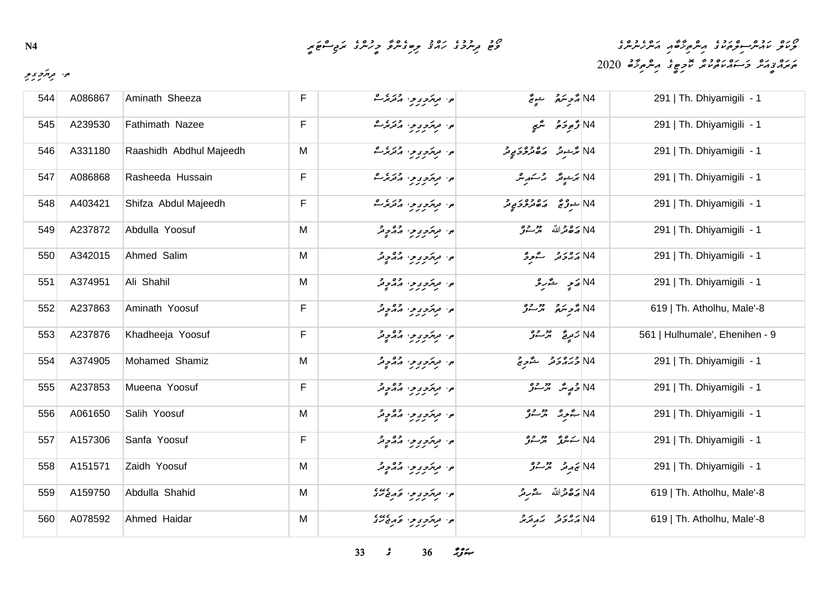*sCw7q7s5w7m< o<n9nOoAw7o< sCq;mAwBoEw7q<m; wBm;vB* م من المرة المرة المرة المرجع المراجع المراجع المراجع المراجع المراجع المراجع المراجع المراجع المراجع المراجع<br>مرين المراجع المراجع المرجع المراجع المراجع المراجع المراجع المراجع المراجع المراجع المراجع المراجع المراجع ال

| 544 | A086867 | Aminath Sheeza          | F           | ه مرکزدی میگر                                                                                                                                                                                                                    | N4 مُرْحِبَتِهُ شِيمٌ                                                                                | 291   Th. Dhiyamigili - 1      |
|-----|---------|-------------------------|-------------|----------------------------------------------------------------------------------------------------------------------------------------------------------------------------------------------------------------------------------|------------------------------------------------------------------------------------------------------|--------------------------------|
| 545 | A239530 | Fathimath Nazee         | $\mathsf F$ | ه مرکزد د میکرد.                                                                                                                                                                                                                 | N4 <i>وَّجوحَ</i> هُمَ مَّتَبِي                                                                      | 291   Th. Dhiyamigili - 1      |
| 546 | A331180 | Raashidh Abdhul Majeedh | M           | و و مرکز دی از مرکز ک                                                                                                                                                                                                            | N4 بَرْجون <i>ز – مەھەرى دې</i> تر                                                                   | 291   Th. Dhiyamigili - 1      |
| 547 | A086868 | Rasheeda Hussain        | $\mathsf F$ | ه ويردون مورث                                                                                                                                                                                                                    | N4 بَرَسْوِمَّر کُرْکَمَ مِرْ                                                                        | 291   Th. Dhiyamigili - 1      |
| 548 | A403421 | Shifza Abdul Majeedh    | F           | و ورکرد و د کارگرگ                                                                                                                                                                                                               | N4 خوتونج مەھەر <i>ۋە ئې</i> تر                                                                      | 291   Th. Dhiyamigili - 1      |
| 549 | A237872 | Abdulla Yoosuf          | M           | ه مرکزد و مهموند                                                                                                                                                                                                                 | N4 مَهْ قَدَاللَّهُ مَرْتَّقَوْ                                                                      | 291   Th. Dhiyamigili - 1      |
| 550 | A342015 | Ahmed Salim             | M           | ء · مرکز در در مرکز میگر<br> - در مرکز در مرکز می                                                                                                                                                                                | N4 كەبرى قىر ئىستىمبورى                                                                              | 291   Th. Dhiyamigili - 1      |
| 551 | A374951 | Ali Shahil              | M           | ه مرکزد و مهموند                                                                                                                                                                                                                 | N4 كەمچە ھە <i>مب</i> ىر                                                                             | 291   Th. Dhiyamigili - 1      |
| 552 | A237863 | Aminath Yoosuf          | F           | ه مرکزد و مهموند                                                                                                                                                                                                                 | N4 مَرْحِ مَرَمْ مَرْ سُوْرٌ                                                                         | 619   Th. Atholhu, Male'-8     |
| 553 | A237876 | Khadheeja Yoosuf        | F           | ه مرکزد و مهموند                                                                                                                                                                                                                 | N4 كَتَمْرِيعٌ مَرْتَشْمَرٌ                                                                          | 561   Hulhumale', Ehenihen - 9 |
| 554 | A374905 | Mohamed Shamiz          | M           | ه مرکزد و مهموند                                                                                                                                                                                                                 | N4 <i>32828 سگ</i> ويج                                                                               | 291   Th. Dhiyamigili - 1      |
| 555 | A237853 | Mueena Yoosuf           | $\mathsf F$ | ء • مرکز دی مرکز مقر                                                                                                                                                                                                             | N4 څوپه په مرحومو                                                                                    | 291   Th. Dhiyamigili - 1      |
| 556 | A061650 | Salih Yoosuf            | M           | ه مرکز دی مهرد ته                                                                                                                                                                                                                | N4 جُمعِ بِرْ مِرْ مِنْ الْمُرْ مِنْ الْمُرْ مِنْ مِنْ الْمُرْ مِنْ مِنْ الْمُرْكَّبَةِ مِنْ الْمُرْ | 291   Th. Dhiyamigili - 1      |
| 557 | A157306 | Sanfa Yoosuf            | $\mathsf F$ | ه مرکزد و مهموند                                                                                                                                                                                                                 | N4 سەھدىق تېرسىزى                                                                                    | 291   Th. Dhiyamigili - 1      |
| 558 | A151571 | Zaidh Yoosuf            | M           | ء مرکز دی مهموند                                                                                                                                                                                                                 | N4ج مرمر میں شروع                                                                                    | 291   Th. Dhiyamigili - 1      |
| 559 | A159750 | Abdulla Shahid          | M           | ه · مرکزد و ان عمره من                                                                                                                                                                                                           | N4 كَرْهُ قْرَاللَّهُ ۚ شَّرَتْرُ                                                                    | 619   Th. Atholhu, Male'-8     |
| 560 | A078592 | Ahmed Haidar            | M           | ه · مرکز در و مرکز و در در در استان و به استان و به استان و به استان و به استان و با استان و با استان و با است<br>براسم استان و با استان و با استان و با استان و با استان و با استان و با استان و با استان و با استان و با استان | N4 كەبرى <i>بىر كەبىرى</i> گە                                                                        | 619   Th. Atholhu, Male'-8     |

**33** *s* **36** *z s*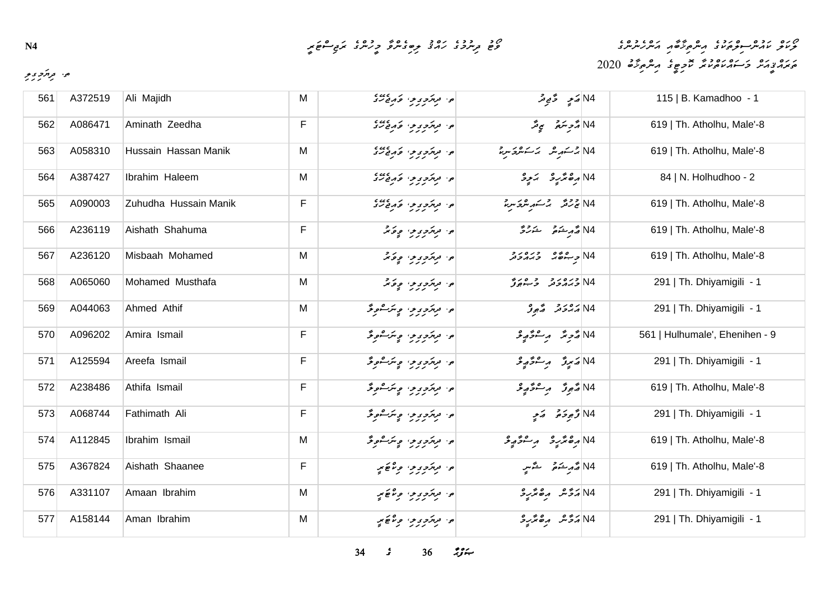*sCw7q7s5w7m< o<n9nOoAw7o< sCq;mAwBoEw7q<m; wBm;vB* م من المرة المرة المرة المرجع المراجع المراجع المراجع المراجع المراجع المراجع المراجع المراجع المراجع المراجع<br>مرين المراجع المراجع المرجع المراجع المراجع المراجع المراجع المراجع المراجع المراجع المراجع المراجع المراجع ال

| 561 | A372519 | Ali Majidh            | M           | ه مرکزد و که ده ده د         | N4 كەمچە گەي <sub>م</sub> ۇر                 | 115   B. Kamadhoo - 1          |
|-----|---------|-----------------------|-------------|------------------------------|----------------------------------------------|--------------------------------|
| 562 | A086471 | Aminath Zeedha        | F           | ه مرکزد و که ده د            | N4 مَّحِسَمَ مَعِ مِّ                        | 619   Th. Atholhu, Male'-8     |
| 563 | A058310 | Hussain Hassan Manik  | M           | په مرکز در و کاروند و        | N4 يُرْسَمْ مِنْ بَرْسَة مَنْ يَوْمِنْ       | 619   Th. Atholhu, Male'-8     |
| 564 | A387427 | Ibrahim Haleem        | M           | ه · مرکزد و ان عمره من       | N4 <sub>مر</sub> ھ <i>مُرْرِیْ۔ بَہ</i> وِیْ | 84   N. Holhudhoo - 2          |
| 565 | A090003 | Zuhudha Hussain Manik | F           | ه · مرکزد و ان عمره من       | N4ج ترتگر گرسکور تکریکرینز                   | 619   Th. Atholhu, Male'-8     |
| 566 | A236119 | Aishath Shahuma       | $\mathsf F$ | ه مرکزد د و کم               | N4 مُجمِّدَة مُحَمَّدة مُحَمَّدة             | 619   Th. Atholhu, Male'-8     |
| 567 | A236120 | Misbaah Mohamed       | M           | ه مرکزد د وقتر               | N4 وجوه وره دو                               | 619   Th. Atholhu, Male'-8     |
| 568 | A065060 | Mohamed Musthafa      | M           | ه مرکزد د و کم               | N4ج د د د د و د و د و                        | 291   Th. Dhiyamigili - 1      |
| 569 | A044063 | Ahmed Athif           | M           | ه مرکزدر و ترکه و د          | N4 كەشكەتتى گەچ <sub>ى</sub> تى              | 291   Th. Dhiyamigili - 1      |
| 570 | A096202 | Amira Ismail          | F           | ء • مرکزدرو ، ویتر شورمح     | N4 مَّ حِبَّد مِ سُؤَمِرُ مَحَ               | 561   Hulhumale', Ehenihen - 9 |
| 571 | A125594 | Areefa Ismail         | $\mathsf F$ | ه ويردون ويركونج             | N4 سَمِيرَ مِ سُءَّمِيدُ                     | 291   Th. Dhiyamigili - 1      |
| 572 | A238486 | Athifa Ismail         | F           | و الرکرد و الله و مرکز و محر | N4 مَّب <i>وِدٌ م</i> ِ حُرَّم <i>وٍ وُ</i>  | 619   Th. Atholhu, Male'-8     |
| 573 | A068744 | Fathimath Ali         | F           | ه مرکزدر په پرکرون           | N4 وَّجِرَة حَرَمٍ                           | 291   Th. Dhiyamigili - 1      |
| 574 | A112845 | Ibrahim Ismail        | M           | و مرکز دید ، و مکر شور مح    | N4 رەئزىرى بەسىۋە پى                         | 619   Th. Atholhu, Male'-8     |
| 575 | A367824 | Aishath Shaanee       | $\mathsf F$ | ه مرکزد و و نام بر           | N4 مَدْمِرْ مُحَمَّدٍ مُحَمَّسٍ              | 619   Th. Atholhu, Male'-8     |
| 576 | A331107 | Amaan Ibrahim         | M           | ه ورکوری وراځې               | N4 كەۋىر مەھ <i>ترى</i> رى                   | 291   Th. Dhiyamigili - 1      |
| 577 | A158144 | Aman Ibrahim          | M           | ه مرکزد و و نظیر             | N4 كەۋىر م <i>ەھتىپ</i> ۇ                    | 291   Th. Dhiyamigili - 1      |

**34** *s* 36 *z*  $f$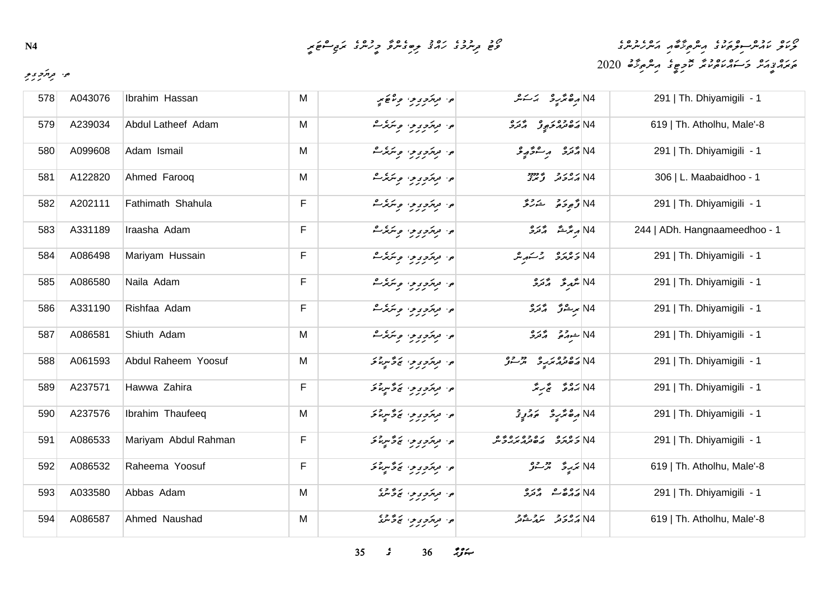*sCw7q7s5w7m< o<n9nOoAw7o< sCq;mAwBoEw7q<m; wBm;vB* م من المرة المرة المرة المرجع المراجع المراجع المراجع المراجع المراجع المراجع المراجع المراجع المراجع المراجع<br>مرين المراجع المراجع المرجع المراجع المراجع المراجع المراجع المراجع المراجع المراجع المراجع المراجع المراجع ال

| 578 | A043076 | Ibrahim Hassan       | M           | ه ورکرد د ورگاند                   | N4  م <i>ەھەتگىي</i> ى    ئەسەئىر                                          | 291   Th. Dhiyamigili - 1     |
|-----|---------|----------------------|-------------|------------------------------------|----------------------------------------------------------------------------|-------------------------------|
| 579 | A239034 | Abdul Latheef Adam   | M           | و· مرکزدرو، ویترنگ                 | N4 בֿיפּינג <del>ֿ צ</del> יפּ ג <i>'ינ</i> ב                              | 619   Th. Atholhu, Male'-8    |
| 580 | A099608 | Adam Ismail          | M           | و· مرکز در و ترکد ه                | N4 مَرْمَرْدَ مِرْمُدَّمْ مِرْدَ                                           | 291   Th. Dhiyamigili - 1     |
| 581 | A122820 | Ahmed Farooq         | M           | ه مهرد دو و مرکب                   | N4 كەبەد قەرەپە                                                            | 306   L. Maabaidhoo - 1       |
| 582 | A202111 | Fathimath Shahula    | F           | و· مرکز دیر ویترنگ                 | N4 وَّجِرَةٌ شَرْرَةٌ                                                      | 291   Th. Dhiyamigili - 1     |
| 583 | A331189 | Iraasha Adam         | $\mathsf F$ | ه مرکزدی و ترکمب                   | N4 مِتَّرْتَّہُ مَرْتَزَدُّ                                                | 244   ADh. Hangnaameedhoo - 1 |
| 584 | A086498 | Mariyam Hussain      | $\mathsf F$ | و· مرکزدرو، ویژنگرگ                | N4 كانترىزى بەستى <i>ر بىر</i>                                             | 291   Th. Dhiyamigili - 1     |
| 585 | A086580 | Naila Adam           | $\mathsf F$ | ه مرکزد و عبدالله                  | N4 سَمَدِ مَثَّ مَنْ دَرَدَ الله عَنْ الله عَنْ الله عَنْ الله عَنْ السَّا | 291   Th. Dhiyamigili - 1     |
| 586 | A331190 | Rishfaa Adam         | F           | ء مەكردىم وتىگە                    | N4 مرشروٌ گ <sup>و</sup> ترو                                               | 291   Th. Dhiyamigili - 1     |
| 587 | A086581 | Shiuth Adam          | M           | ء مرکز دی ویتگر                    | $\mathbb{R}^3$ $\mathbb{R}^5$ $\mathbb{R}^3$ $\mathbb{R}^2$                | 291   Th. Dhiyamigili - 1     |
| 588 | A061593 | Abdul Raheem Yoosuf  | M           | ه مرکزد و کارمانی                  | N4 كەھەركە بىر مەرج مەرجى<br>N4 كەھەركە <i>بىر بىر بىر بىر</i>             | 291   Th. Dhiyamigili - 1     |
| 589 | A237571 | Hawwa Zahira         | F           | و ۰ مرمز د دو ۷ م گیرید کا         | N4 بَرْدْةَ گَ <sup>7</sup> ر بَّز                                         | 291   Th. Dhiyamigili - 1     |
| 590 | A237576 | Ibrahim Thaufeeq     | M           | و • مرکزد و د • م گیریده که        | N4 مەھمگىيە ھەممۇ تى                                                       | 291   Th. Dhiyamigili - 1     |
| 591 | A086533 | Mariyam Abdul Rahman | F           | و· وركزو و بالمحسن و المحمد المحمد | N4 د برمره بره د و بره د و بر                                              | 291   Th. Dhiyamigili - 1     |
| 592 | A086532 | Raheema Yoosuf       | $\mathsf F$ | و • مرکز در دو ، نماد میره د       | N4 بَرَبِيرَةَ بَرْسَةَ وَ                                                 | 619   Th. Atholhu, Male'-8    |
| 593 | A033580 | Abbas Adam           | M           | ه · مرکزد و د ، نم د مرد           | N4 شەھ شەرە                                                                | 291   Th. Dhiyamigili - 1     |
| 594 | A086587 | Ahmed Naushad        | M           | ه مرکز در نموشد                    | N4 كەبەر بىر ئىكەن ئىقى                                                    | 619   Th. Atholhu, Male'-8    |

**35** *s* 36 *n***<sub>y</sub>** $\rightarrow$